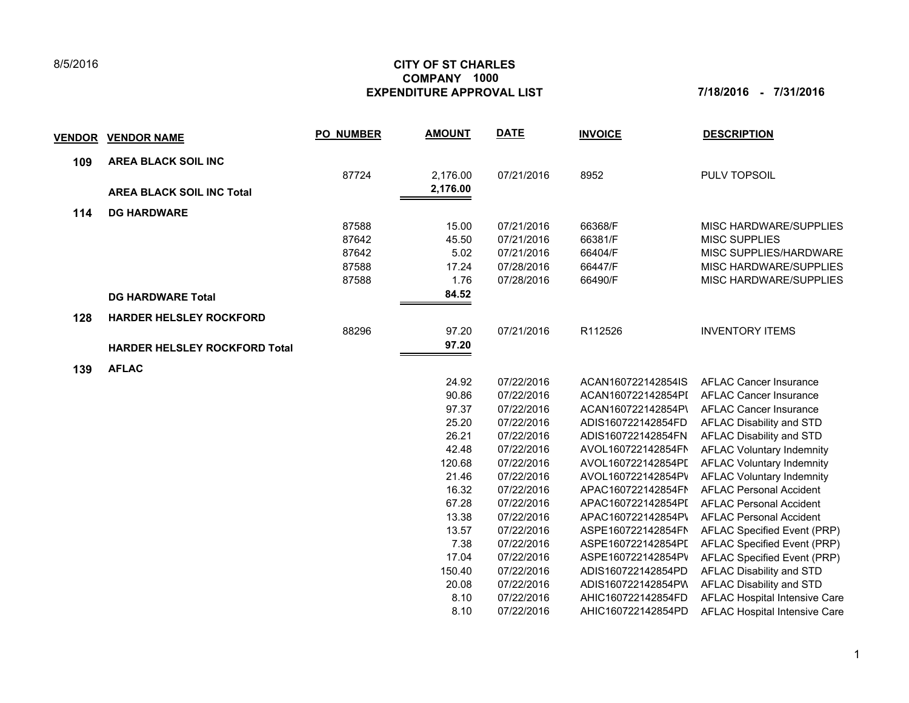## **CITY OF ST CHARLES EXPENDITURE APPROVAL LIST 7/18/2016 - 7/31/2016 COMPANY 1000**

| <b>VENDOR</b> | <b>VENDOR NAME</b>                   | <b>PO NUMBER</b> | <b>AMOUNT</b> | <b>DATE</b> | <b>INVOICE</b>     | <b>DESCRIPTION</b>               |
|---------------|--------------------------------------|------------------|---------------|-------------|--------------------|----------------------------------|
| 109           | <b>AREA BLACK SOIL INC</b>           |                  |               |             |                    |                                  |
|               |                                      | 87724            | 2,176.00      | 07/21/2016  | 8952               | PULV TOPSOIL                     |
|               | <b>AREA BLACK SOIL INC Total</b>     |                  | 2,176.00      |             |                    |                                  |
| 114           | <b>DG HARDWARE</b>                   |                  |               |             |                    |                                  |
|               |                                      | 87588            | 15.00         | 07/21/2016  | 66368/F            | MISC HARDWARE/SUPPLIES           |
|               |                                      | 87642            | 45.50         | 07/21/2016  | 66381/F            | <b>MISC SUPPLIES</b>             |
|               |                                      | 87642            | 5.02          | 07/21/2016  | 66404/F            | MISC SUPPLIES/HARDWARE           |
|               |                                      | 87588            | 17.24         | 07/28/2016  | 66447/F            | MISC HARDWARE/SUPPLIES           |
|               |                                      | 87588            | 1.76          | 07/28/2016  | 66490/F            | MISC HARDWARE/SUPPLIES           |
|               | <b>DG HARDWARE Total</b>             |                  | 84.52         |             |                    |                                  |
| 128           | <b>HARDER HELSLEY ROCKFORD</b>       |                  |               |             |                    |                                  |
|               |                                      | 88296            | 97.20         | 07/21/2016  | R112526            | <b>INVENTORY ITEMS</b>           |
|               | <b>HARDER HELSLEY ROCKFORD Total</b> |                  | 97.20         |             |                    |                                  |
| 139           | <b>AFLAC</b>                         |                  |               |             |                    |                                  |
|               |                                      |                  | 24.92         | 07/22/2016  | ACAN160722142854IS | <b>AFLAC Cancer Insurance</b>    |
|               |                                      |                  | 90.86         | 07/22/2016  | ACAN160722142854PI | <b>AFLAC Cancer Insurance</b>    |
|               |                                      |                  | 97.37         | 07/22/2016  | ACAN160722142854P\ | <b>AFLAC Cancer Insurance</b>    |
|               |                                      |                  | 25.20         | 07/22/2016  | ADIS160722142854FD | AFLAC Disability and STD         |
|               |                                      |                  | 26.21         | 07/22/2016  | ADIS160722142854FN | AFLAC Disability and STD         |
|               |                                      |                  | 42.48         | 07/22/2016  | AVOL160722142854FN | <b>AFLAC Voluntary Indemnity</b> |
|               |                                      |                  | 120.68        | 07/22/2016  | AVOL160722142854PI | <b>AFLAC Voluntary Indemnity</b> |
|               |                                      |                  | 21.46         | 07/22/2016  | AVOL160722142854PV | <b>AFLAC Voluntary Indemnity</b> |
|               |                                      |                  | 16.32         | 07/22/2016  | APAC160722142854FN | <b>AFLAC Personal Accident</b>   |
|               |                                      |                  | 67.28         | 07/22/2016  | APAC160722142854PI | <b>AFLAC Personal Accident</b>   |
|               |                                      |                  | 13.38         | 07/22/2016  | APAC160722142854P\ | <b>AFLAC Personal Accident</b>   |
|               |                                      |                  | 13.57         | 07/22/2016  | ASPE160722142854FN | AFLAC Specified Event (PRP)      |
|               |                                      |                  | 7.38          | 07/22/2016  | ASPE160722142854PI | AFLAC Specified Event (PRP)      |
|               |                                      |                  | 17.04         | 07/22/2016  | ASPE160722142854PV | AFLAC Specified Event (PRP)      |
|               |                                      |                  | 150.40        | 07/22/2016  | ADIS160722142854PD | AFLAC Disability and STD         |
|               |                                      |                  | 20.08         | 07/22/2016  | ADIS160722142854PW | AFLAC Disability and STD         |
|               |                                      |                  | 8.10          | 07/22/2016  | AHIC160722142854FD | AFLAC Hospital Intensive Care    |
|               |                                      |                  | 8.10          | 07/22/2016  | AHIC160722142854PD | AFLAC Hospital Intensive Care    |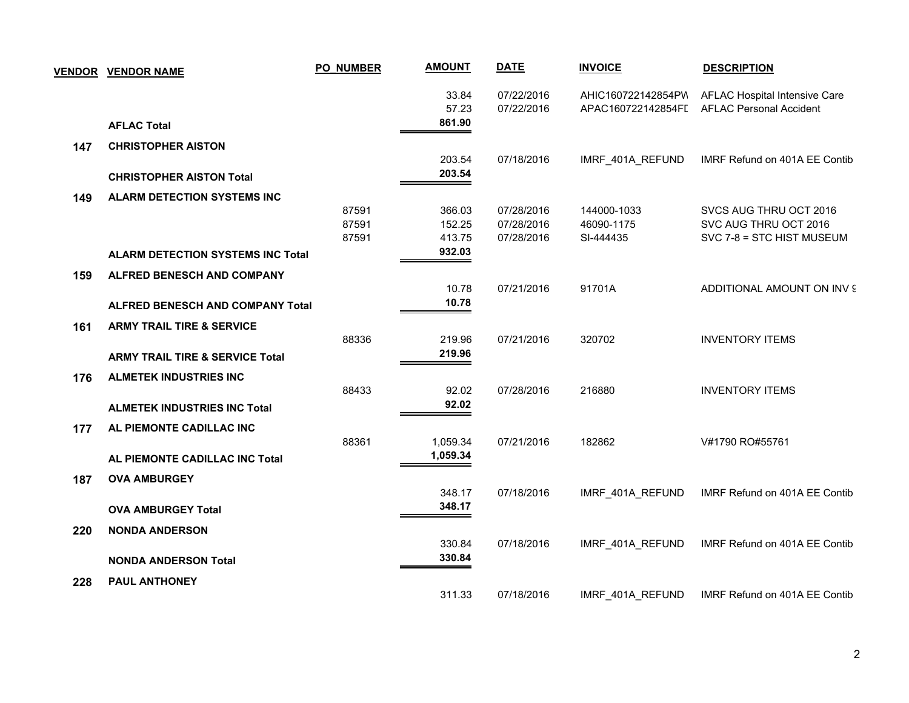|     | <b>VENDOR VENDOR NAME</b>                  | <b>PO_NUMBER</b> | <b>AMOUNT</b>  | <b>DATE</b>              | <b>INVOICE</b>                           | <b>DESCRIPTION</b>                                              |
|-----|--------------------------------------------|------------------|----------------|--------------------------|------------------------------------------|-----------------------------------------------------------------|
|     |                                            |                  | 33.84<br>57.23 | 07/22/2016<br>07/22/2016 | AHIC160722142854PW<br>APAC160722142854FI | AFLAC Hospital Intensive Care<br><b>AFLAC Personal Accident</b> |
|     | <b>AFLAC Total</b>                         |                  | 861.90         |                          |                                          |                                                                 |
| 147 | <b>CHRISTOPHER AISTON</b>                  |                  |                |                          |                                          |                                                                 |
|     |                                            |                  | 203.54         | 07/18/2016               | IMRF_401A_REFUND                         | IMRF Refund on 401A EE Contib                                   |
|     | <b>CHRISTOPHER AISTON Total</b>            |                  | 203.54         |                          |                                          |                                                                 |
| 149 | <b>ALARM DETECTION SYSTEMS INC</b>         |                  |                |                          |                                          |                                                                 |
|     |                                            | 87591            | 366.03         | 07/28/2016               | 144000-1033                              | SVCS AUG THRU OCT 2016                                          |
|     |                                            | 87591            | 152.25         | 07/28/2016               | 46090-1175                               | SVC AUG THRU OCT 2016                                           |
|     |                                            | 87591            | 413.75         | 07/28/2016               | SI-444435                                | SVC 7-8 = STC HIST MUSEUM                                       |
|     | <b>ALARM DETECTION SYSTEMS INC Total</b>   |                  | 932.03         |                          |                                          |                                                                 |
| 159 | <b>ALFRED BENESCH AND COMPANY</b>          |                  |                |                          |                                          |                                                                 |
|     |                                            |                  | 10.78          | 07/21/2016               | 91701A                                   | ADDITIONAL AMOUNT ON INV 9                                      |
|     | <b>ALFRED BENESCH AND COMPANY Total</b>    |                  | 10.78          |                          |                                          |                                                                 |
|     |                                            |                  |                |                          |                                          |                                                                 |
| 161 | <b>ARMY TRAIL TIRE &amp; SERVICE</b>       | 88336            | 219.96         | 07/21/2016               | 320702                                   | <b>INVENTORY ITEMS</b>                                          |
|     | <b>ARMY TRAIL TIRE &amp; SERVICE Total</b> |                  | 219.96         |                          |                                          |                                                                 |
|     |                                            |                  |                |                          |                                          |                                                                 |
| 176 | <b>ALMETEK INDUSTRIES INC</b>              |                  |                |                          |                                          |                                                                 |
|     |                                            | 88433            | 92.02          | 07/28/2016               | 216880                                   | <b>INVENTORY ITEMS</b>                                          |
|     | <b>ALMETEK INDUSTRIES INC Total</b>        |                  | 92.02          |                          |                                          |                                                                 |
| 177 | AL PIEMONTE CADILLAC INC                   |                  |                |                          |                                          |                                                                 |
|     |                                            | 88361            | 1,059.34       | 07/21/2016               | 182862                                   | V#1790 RO#55761                                                 |
|     | AL PIEMONTE CADILLAC INC Total             |                  | 1,059.34       |                          |                                          |                                                                 |
| 187 | <b>OVA AMBURGEY</b>                        |                  |                |                          |                                          |                                                                 |
|     |                                            |                  | 348.17         | 07/18/2016               | IMRF 401A REFUND                         | IMRF Refund on 401A EE Contib                                   |
|     | <b>OVA AMBURGEY Total</b>                  |                  | 348.17         |                          |                                          |                                                                 |
|     |                                            |                  |                |                          |                                          |                                                                 |
| 220 | <b>NONDA ANDERSON</b>                      |                  | 330.84         | 07/18/2016               | IMRF_401A_REFUND                         | IMRF Refund on 401A EE Contib                                   |
|     |                                            |                  | 330.84         |                          |                                          |                                                                 |
|     | <b>NONDA ANDERSON Total</b>                |                  |                |                          |                                          |                                                                 |
| 228 | <b>PAUL ANTHONEY</b>                       |                  |                |                          |                                          |                                                                 |
|     |                                            |                  | 311.33         | 07/18/2016               | IMRF 401A REFUND                         | IMRF Refund on 401A EE Contib                                   |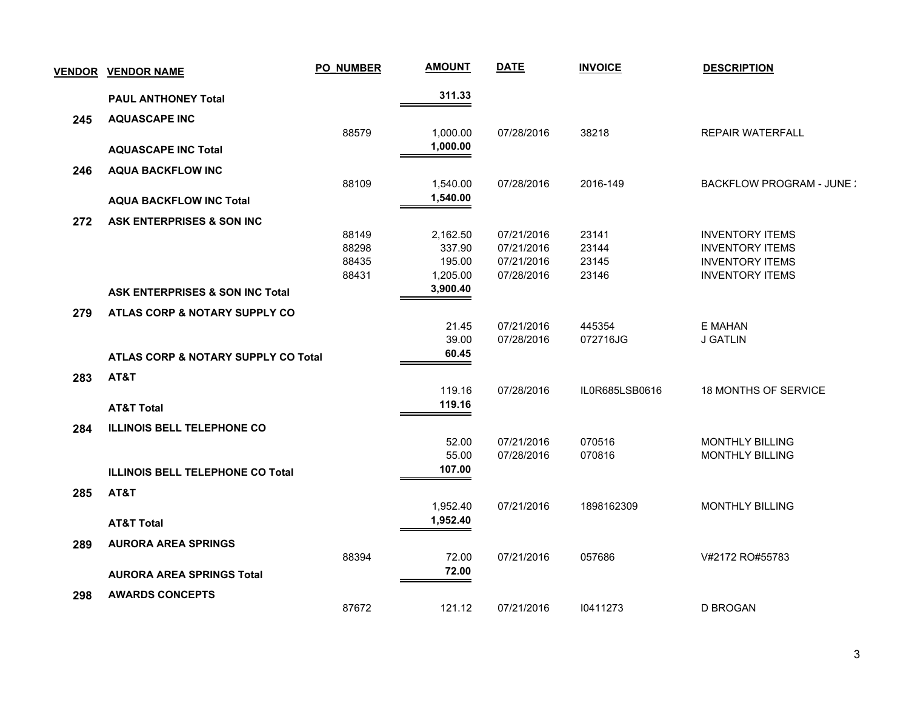| <b>VENDOR</b> | <b>VENDOR NAME</b>                         | <b>PO_NUMBER</b> | <b>AMOUNT</b>        | <b>DATE</b>              | <b>INVOICE</b>     | <b>DESCRIPTION</b>                               |
|---------------|--------------------------------------------|------------------|----------------------|--------------------------|--------------------|--------------------------------------------------|
|               | <b>PAUL ANTHONEY Total</b>                 |                  | 311.33               |                          |                    |                                                  |
| 245           | <b>AQUASCAPE INC</b>                       |                  |                      |                          |                    |                                                  |
|               |                                            | 88579            | 1,000.00             | 07/28/2016               | 38218              | <b>REPAIR WATERFALL</b>                          |
|               | <b>AQUASCAPE INC Total</b>                 |                  | 1,000.00             |                          |                    |                                                  |
| 246           | <b>AQUA BACKFLOW INC</b>                   |                  |                      |                          |                    |                                                  |
|               |                                            | 88109            | 1,540.00             | 07/28/2016               | 2016-149           | <b>BACKFLOW PROGRAM - JUNE:</b>                  |
|               | <b>AQUA BACKFLOW INC Total</b>             |                  | 1,540.00             |                          |                    |                                                  |
| 272           | ASK ENTERPRISES & SON INC                  |                  |                      |                          |                    |                                                  |
|               |                                            | 88149            | 2,162.50             | 07/21/2016               | 23141              | <b>INVENTORY ITEMS</b>                           |
|               |                                            | 88298            | 337.90               | 07/21/2016               | 23144              | <b>INVENTORY ITEMS</b>                           |
|               |                                            | 88435            | 195.00               | 07/21/2016               | 23145              | <b>INVENTORY ITEMS</b>                           |
|               |                                            | 88431            | 1,205.00<br>3,900.40 | 07/28/2016               | 23146              | <b>INVENTORY ITEMS</b>                           |
|               | <b>ASK ENTERPRISES &amp; SON INC Total</b> |                  |                      |                          |                    |                                                  |
| 279           | ATLAS CORP & NOTARY SUPPLY CO              |                  |                      |                          |                    |                                                  |
|               |                                            |                  | 21.45<br>39.00       | 07/21/2016<br>07/28/2016 | 445354<br>072716JG | E MAHAN<br><b>J GATLIN</b>                       |
|               |                                            |                  | 60.45                |                          |                    |                                                  |
|               | ATLAS CORP & NOTARY SUPPLY CO Total        |                  |                      |                          |                    |                                                  |
| 283           | AT&T                                       |                  | 119.16               | 07/28/2016               | IL0R685LSB0616     |                                                  |
|               |                                            |                  | 119.16               |                          |                    | <b>18 MONTHS OF SERVICE</b>                      |
|               | <b>AT&amp;T Total</b>                      |                  |                      |                          |                    |                                                  |
| 284           | <b>ILLINOIS BELL TELEPHONE CO</b>          |                  |                      |                          |                    |                                                  |
|               |                                            |                  | 52.00<br>55.00       | 07/21/2016<br>07/28/2016 | 070516<br>070816   | <b>MONTHLY BILLING</b><br><b>MONTHLY BILLING</b> |
|               | <b>ILLINOIS BELL TELEPHONE CO Total</b>    |                  | 107.00               |                          |                    |                                                  |
|               |                                            |                  |                      |                          |                    |                                                  |
| 285           | AT&T                                       |                  | 1,952.40             | 07/21/2016               | 1898162309         | <b>MONTHLY BILLING</b>                           |
|               |                                            |                  | 1,952.40             |                          |                    |                                                  |
|               | <b>AT&amp;T Total</b>                      |                  |                      |                          |                    |                                                  |
| 289           | <b>AURORA AREA SPRINGS</b>                 |                  |                      |                          |                    |                                                  |
|               |                                            | 88394            | 72.00<br>72.00       | 07/21/2016               | 057686             | V#2172 RO#55783                                  |
|               | <b>AURORA AREA SPRINGS Total</b>           |                  |                      |                          |                    |                                                  |
| 298           | <b>AWARDS CONCEPTS</b>                     |                  |                      |                          |                    |                                                  |
|               |                                            | 87672            | 121.12               | 07/21/2016               | 10411273           | <b>D BROGAN</b>                                  |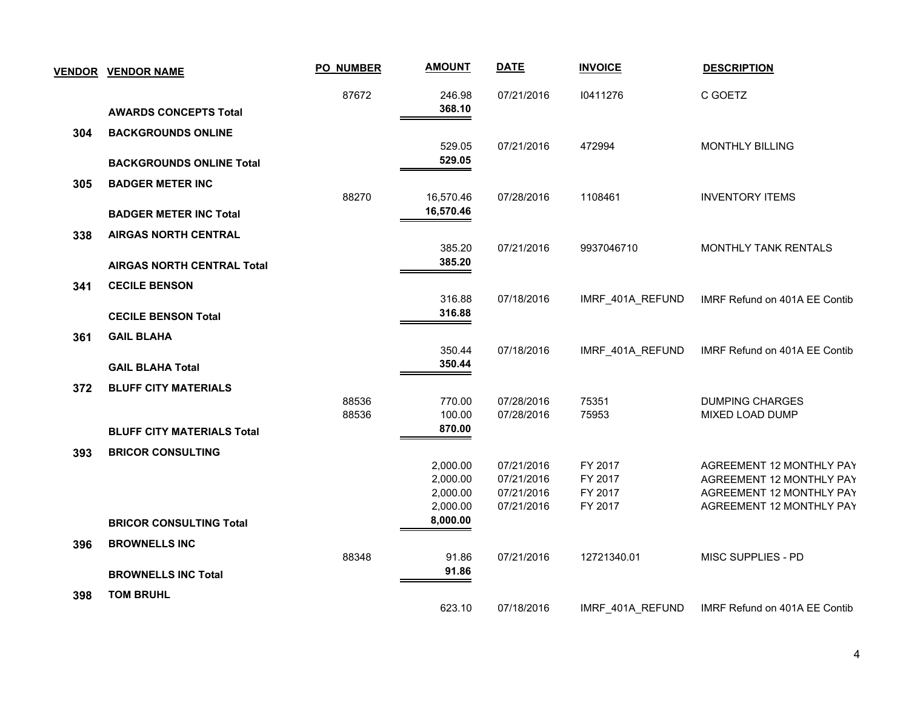|     | <b>VENDOR VENDOR NAME</b>         | <b>PO_NUMBER</b> | <b>AMOUNT</b>        | <b>DATE</b> | <b>INVOICE</b>   | <b>DESCRIPTION</b>            |
|-----|-----------------------------------|------------------|----------------------|-------------|------------------|-------------------------------|
|     |                                   | 87672            | 246.98<br>368.10     | 07/21/2016  | 10411276         | C GOETZ                       |
|     | <b>AWARDS CONCEPTS Total</b>      |                  |                      |             |                  |                               |
| 304 | <b>BACKGROUNDS ONLINE</b>         |                  | 529.05               | 07/21/2016  | 472994           | <b>MONTHLY BILLING</b>        |
|     | <b>BACKGROUNDS ONLINE Total</b>   |                  | 529.05               |             |                  |                               |
| 305 | <b>BADGER METER INC</b>           |                  |                      |             |                  |                               |
|     |                                   | 88270            | 16,570.46            | 07/28/2016  | 1108461          | <b>INVENTORY ITEMS</b>        |
|     | <b>BADGER METER INC Total</b>     |                  | 16,570.46            |             |                  |                               |
| 338 | <b>AIRGAS NORTH CENTRAL</b>       |                  |                      |             |                  |                               |
|     |                                   |                  | 385.20<br>385.20     | 07/21/2016  | 9937046710       | MONTHLY TANK RENTALS          |
|     | <b>AIRGAS NORTH CENTRAL Total</b> |                  |                      |             |                  |                               |
| 341 | <b>CECILE BENSON</b>              |                  | 316.88               | 07/18/2016  | IMRF 401A REFUND | IMRF Refund on 401A EE Contib |
|     | <b>CECILE BENSON Total</b>        |                  | 316.88               |             |                  |                               |
| 361 | <b>GAIL BLAHA</b>                 |                  |                      |             |                  |                               |
|     |                                   |                  | 350.44               | 07/18/2016  | IMRF_401A_REFUND | IMRF Refund on 401A EE Contib |
|     | <b>GAIL BLAHA Total</b>           |                  | 350.44               |             |                  |                               |
| 372 | <b>BLUFF CITY MATERIALS</b>       |                  |                      |             |                  |                               |
|     |                                   | 88536            | 770.00               | 07/28/2016  | 75351            | <b>DUMPING CHARGES</b>        |
|     | <b>BLUFF CITY MATERIALS Total</b> | 88536            | 100.00<br>870.00     | 07/28/2016  | 75953            | MIXED LOAD DUMP               |
|     |                                   |                  |                      |             |                  |                               |
| 393 | <b>BRICOR CONSULTING</b>          |                  | 2,000.00             | 07/21/2016  | FY 2017          | AGREEMENT 12 MONTHLY PAY      |
|     |                                   |                  | 2,000.00             | 07/21/2016  | FY 2017          | AGREEMENT 12 MONTHLY PAY      |
|     |                                   |                  | 2,000.00             | 07/21/2016  | FY 2017          | AGREEMENT 12 MONTHLY PAY      |
|     | <b>BRICOR CONSULTING Total</b>    |                  | 2,000.00<br>8,000.00 | 07/21/2016  | FY 2017          | AGREEMENT 12 MONTHLY PAY      |
|     |                                   |                  |                      |             |                  |                               |
| 396 | <b>BROWNELLS INC</b>              | 88348            | 91.86                | 07/21/2016  | 12721340.01      | MISC SUPPLIES - PD            |
|     | <b>BROWNELLS INC Total</b>        |                  | 91.86                |             |                  |                               |
| 398 | <b>TOM BRUHL</b>                  |                  |                      |             |                  |                               |
|     |                                   |                  | 623.10               | 07/18/2016  | IMRF 401A REFUND | IMRF Refund on 401A EE Contib |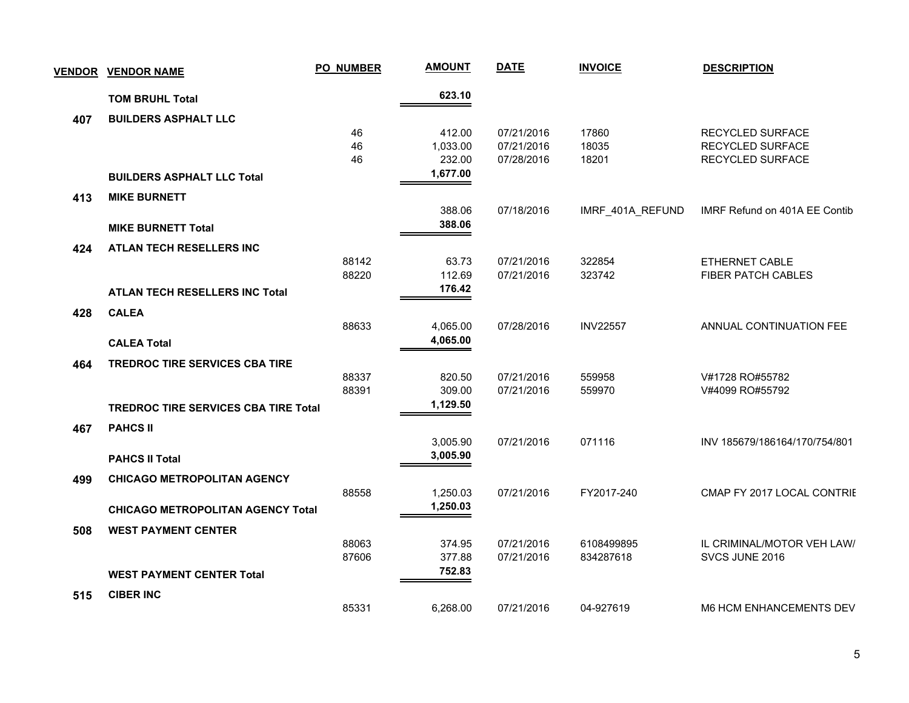| <b>VENDOR</b> | <b>VENDOR NAME</b>                          | <b>PO_NUMBER</b> | <b>AMOUNT</b> | <b>DATE</b> | <b>INVOICE</b>   | <b>DESCRIPTION</b>             |
|---------------|---------------------------------------------|------------------|---------------|-------------|------------------|--------------------------------|
|               | <b>TOM BRUHL Total</b>                      |                  | 623.10        |             |                  |                                |
| 407           | <b>BUILDERS ASPHALT LLC</b>                 |                  |               |             |                  |                                |
|               |                                             | 46               | 412.00        | 07/21/2016  | 17860            | RECYCLED SURFACE               |
|               |                                             | 46               | 1,033.00      | 07/21/2016  | 18035            | RECYCLED SURFACE               |
|               |                                             | 46               | 232.00        | 07/28/2016  | 18201            | RECYCLED SURFACE               |
|               | <b>BUILDERS ASPHALT LLC Total</b>           |                  | 1,677.00      |             |                  |                                |
| 413           | <b>MIKE BURNETT</b>                         |                  |               |             |                  |                                |
|               |                                             |                  | 388.06        | 07/18/2016  | IMRF_401A_REFUND | IMRF Refund on 401A EE Contib  |
|               | <b>MIKE BURNETT Total</b>                   |                  | 388.06        |             |                  |                                |
| 424           | ATLAN TECH RESELLERS INC                    |                  |               |             |                  |                                |
|               |                                             | 88142            | 63.73         | 07/21/2016  | 322854           | ETHERNET CABLE                 |
|               |                                             | 88220            | 112.69        | 07/21/2016  | 323742           | FIBER PATCH CABLES             |
|               | <b>ATLAN TECH RESELLERS INC Total</b>       |                  | 176.42        |             |                  |                                |
| 428           | <b>CALEA</b>                                |                  |               |             |                  |                                |
|               |                                             | 88633            | 4,065.00      | 07/28/2016  | <b>INV22557</b>  | ANNUAL CONTINUATION FEE        |
|               | <b>CALEA Total</b>                          |                  | 4,065.00      |             |                  |                                |
| 464           | <b>TREDROC TIRE SERVICES CBA TIRE</b>       |                  |               |             |                  |                                |
|               |                                             | 88337            | 820.50        | 07/21/2016  | 559958           | V#1728 RO#55782                |
|               |                                             | 88391            | 309.00        | 07/21/2016  | 559970           | V#4099 RO#55792                |
|               | <b>TREDROC TIRE SERVICES CBA TIRE Total</b> |                  | 1,129.50      |             |                  |                                |
| 467           | <b>PAHCS II</b>                             |                  |               |             |                  |                                |
|               |                                             |                  | 3,005.90      | 07/21/2016  | 071116           | INV 185679/186164/170/754/801  |
|               | <b>PAHCS II Total</b>                       |                  | 3,005.90      |             |                  |                                |
| 499           | <b>CHICAGO METROPOLITAN AGENCY</b>          |                  |               |             |                  |                                |
|               |                                             | 88558            | 1,250.03      | 07/21/2016  | FY2017-240       | CMAP FY 2017 LOCAL CONTRIE     |
|               | <b>CHICAGO METROPOLITAN AGENCY Total</b>    |                  | 1,250.03      |             |                  |                                |
| 508           | <b>WEST PAYMENT CENTER</b>                  |                  |               |             |                  |                                |
|               |                                             | 88063            | 374.95        | 07/21/2016  | 6108499895       | IL CRIMINAL/MOTOR VEH LAW/     |
|               |                                             | 87606            | 377.88        | 07/21/2016  | 834287618        | SVCS JUNE 2016                 |
|               | <b>WEST PAYMENT CENTER Total</b>            |                  | 752.83        |             |                  |                                |
| 515           | <b>CIBER INC</b>                            |                  |               |             |                  |                                |
|               |                                             | 85331            | 6,268.00      | 07/21/2016  | 04-927619        | <b>M6 HCM ENHANCEMENTS DEV</b> |
|               |                                             |                  |               |             |                  |                                |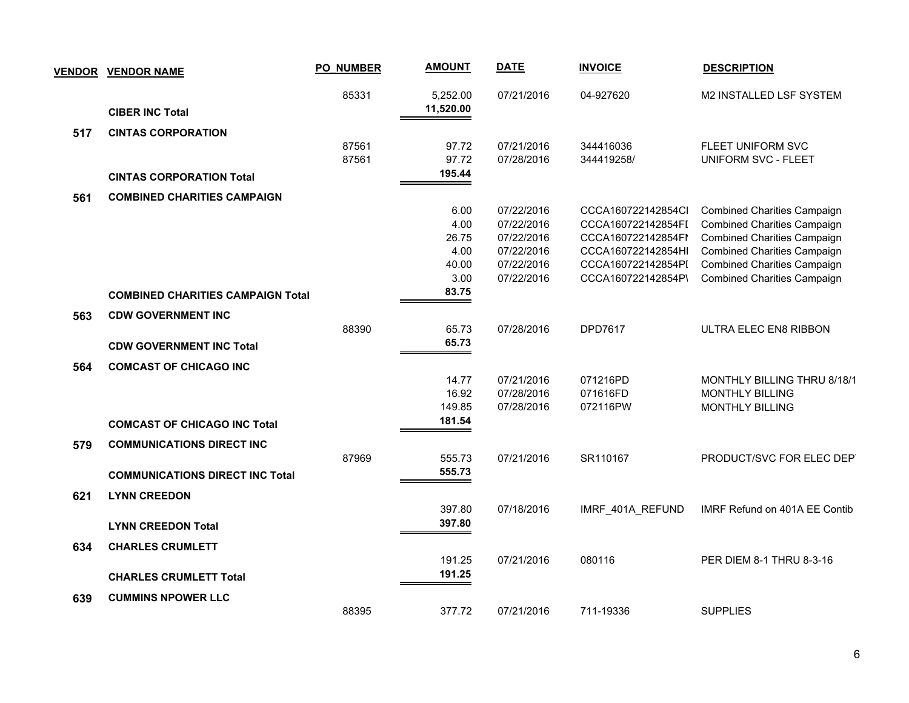| <b>VENDOR</b> | <b>VENDOR NAME</b>                       | <b>PO_NUMBER</b> | <b>AMOUNT</b>         | <b>DATE</b> | <b>INVOICE</b>     | <b>DESCRIPTION</b>                 |
|---------------|------------------------------------------|------------------|-----------------------|-------------|--------------------|------------------------------------|
|               | <b>CIBER INC Total</b>                   | 85331            | 5,252.00<br>11,520.00 | 07/21/2016  | 04-927620          | M2 INSTALLED LSF SYSTEM            |
| 517           | <b>CINTAS CORPORATION</b>                |                  |                       |             |                    |                                    |
|               |                                          | 87561            | 97.72                 | 07/21/2016  | 344416036          | FLEET UNIFORM SVC                  |
|               |                                          | 87561            | 97.72                 | 07/28/2016  | 344419258/         | <b>UNIFORM SVC - FLEET</b>         |
|               | <b>CINTAS CORPORATION Total</b>          |                  | 195.44                |             |                    |                                    |
| 561           | <b>COMBINED CHARITIES CAMPAIGN</b>       |                  |                       |             |                    |                                    |
|               |                                          |                  | 6.00                  | 07/22/2016  | CCCA160722142854Cl | <b>Combined Charities Campaign</b> |
|               |                                          |                  | 4.00                  | 07/22/2016  | CCCA160722142854FI | <b>Combined Charities Campaign</b> |
|               |                                          |                  | 26.75                 | 07/22/2016  | CCCA160722142854FI | <b>Combined Charities Campaign</b> |
|               |                                          |                  | 4.00                  | 07/22/2016  | CCCA160722142854HI | <b>Combined Charities Campaign</b> |
|               |                                          |                  | 40.00                 | 07/22/2016  | CCCA160722142854PI | <b>Combined Charities Campaign</b> |
|               |                                          |                  | 3.00                  | 07/22/2016  | CCCA160722142854P\ | <b>Combined Charities Campaign</b> |
|               | <b>COMBINED CHARITIES CAMPAIGN Total</b> |                  | 83.75                 |             |                    |                                    |
| 563           | <b>CDW GOVERNMENT INC</b>                |                  |                       |             |                    |                                    |
|               |                                          | 88390            | 65.73                 | 07/28/2016  | DPD7617            | ULTRA ELEC EN8 RIBBON              |
|               | <b>CDW GOVERNMENT INC Total</b>          |                  | 65.73                 |             |                    |                                    |
| 564           | <b>COMCAST OF CHICAGO INC</b>            |                  |                       |             |                    |                                    |
|               |                                          |                  | 14.77                 | 07/21/2016  | 071216PD           | MONTHLY BILLING THRU 8/18/1        |
|               |                                          |                  | 16.92                 | 07/28/2016  | 071616FD           | <b>MONTHLY BILLING</b>             |
|               |                                          |                  | 149.85                | 07/28/2016  | 072116PW           | <b>MONTHLY BILLING</b>             |
|               | <b>COMCAST OF CHICAGO INC Total</b>      |                  | 181.54                |             |                    |                                    |
| 579           | <b>COMMUNICATIONS DIRECT INC</b>         |                  |                       |             |                    |                                    |
|               |                                          | 87969            | 555.73                | 07/21/2016  | SR110167           | PRODUCT/SVC FOR ELEC DEP           |
|               | <b>COMMUNICATIONS DIRECT INC Total</b>   |                  | 555.73                |             |                    |                                    |
| 621           | <b>LYNN CREEDON</b>                      |                  |                       |             |                    |                                    |
|               |                                          |                  | 397.80                | 07/18/2016  | IMRF 401A REFUND   | IMRF Refund on 401A EE Contib      |
|               | <b>LYNN CREEDON Total</b>                |                  | 397.80                |             |                    |                                    |
| 634           | <b>CHARLES CRUMLETT</b>                  |                  |                       |             |                    |                                    |
|               |                                          |                  | 191.25                | 07/21/2016  | 080116             | PER DIEM 8-1 THRU 8-3-16           |
|               | <b>CHARLES CRUMLETT Total</b>            |                  | 191.25                |             |                    |                                    |
| 639           | <b>CUMMINS NPOWER LLC</b>                |                  |                       |             |                    |                                    |
|               |                                          | 88395            | 377.72                | 07/21/2016  | 711-19336          | <b>SUPPLIES</b>                    |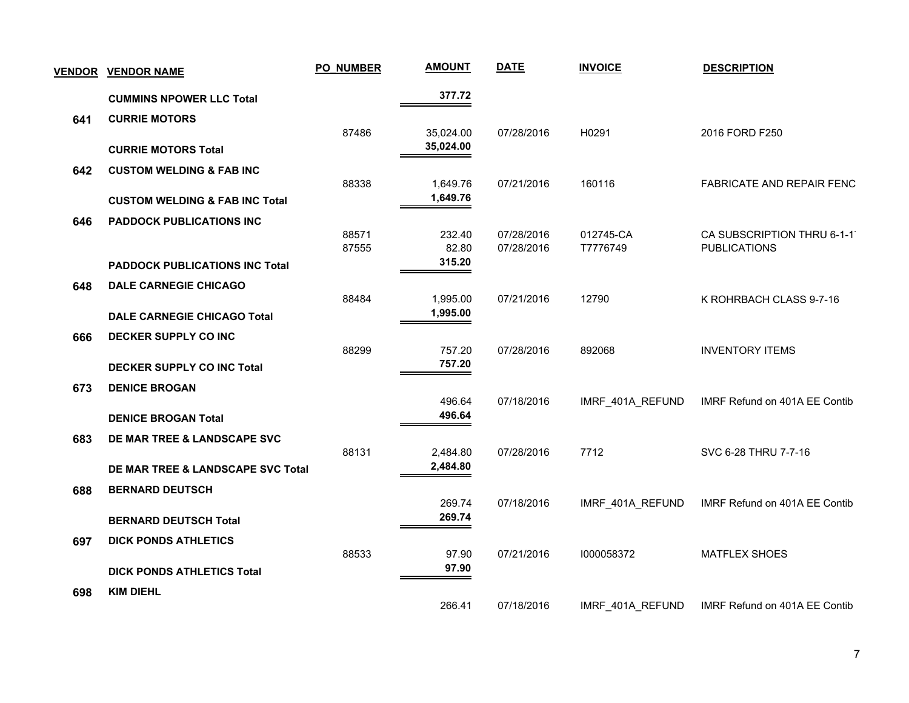| <b>VENDOR</b> | <b>VENDOR NAME</b>                           | PO_NUMBER      | <b>AMOUNT</b>          | <b>DATE</b>              | <b>INVOICE</b>        | <b>DESCRIPTION</b>                                |
|---------------|----------------------------------------------|----------------|------------------------|--------------------------|-----------------------|---------------------------------------------------|
|               | <b>CUMMINS NPOWER LLC Total</b>              |                | 377.72                 |                          |                       |                                                   |
| 641           | <b>CURRIE MOTORS</b>                         |                |                        |                          |                       |                                                   |
|               | <b>CURRIE MOTORS Total</b>                   | 87486          | 35,024.00<br>35,024.00 | 07/28/2016               | H0291                 | 2016 FORD F250                                    |
| 642           | <b>CUSTOM WELDING &amp; FAB INC</b>          | 88338          |                        | 07/21/2016               | 160116                |                                                   |
|               | <b>CUSTOM WELDING &amp; FAB INC Total</b>    |                | 1,649.76<br>1,649.76   |                          |                       | FABRICATE AND REPAIR FENC                         |
| 646           | <b>PADDOCK PUBLICATIONS INC</b>              |                |                        |                          |                       |                                                   |
|               |                                              | 88571<br>87555 | 232.40<br>82.80        | 07/28/2016<br>07/28/2016 | 012745-CA<br>T7776749 | CA SUBSCRIPTION THRU 6-1-1<br><b>PUBLICATIONS</b> |
|               | <b>PADDOCK PUBLICATIONS INC Total</b>        |                | 315.20                 |                          |                       |                                                   |
| 648           | <b>DALE CARNEGIE CHICAGO</b>                 |                |                        |                          |                       |                                                   |
|               | <b>DALE CARNEGIE CHICAGO Total</b>           | 88484          | 1,995.00<br>1,995.00   | 07/21/2016               | 12790                 | K ROHRBACH CLASS 9-7-16                           |
| 666           | DECKER SUPPLY CO INC                         |                |                        |                          |                       |                                                   |
|               |                                              | 88299          | 757.20                 | 07/28/2016               | 892068                | <b>INVENTORY ITEMS</b>                            |
|               | <b>DECKER SUPPLY CO INC Total</b>            |                | 757.20                 |                          |                       |                                                   |
| 673           | <b>DENICE BROGAN</b>                         |                | 496.64                 | 07/18/2016               | IMRF_401A_REFUND      | IMRF Refund on 401A EE Contib                     |
|               | <b>DENICE BROGAN Total</b>                   |                | 496.64                 |                          |                       |                                                   |
| 683           | DE MAR TREE & LANDSCAPE SVC                  |                |                        |                          |                       |                                                   |
|               |                                              | 88131          | 2,484.80<br>2,484.80   | 07/28/2016               | 7712                  | SVC 6-28 THRU 7-7-16                              |
|               | <b>DE MAR TREE &amp; LANDSCAPE SVC Total</b> |                |                        |                          |                       |                                                   |
| 688           | <b>BERNARD DEUTSCH</b>                       |                | 269.74                 | 07/18/2016               | IMRF_401A_REFUND      | IMRF Refund on 401A EE Contib                     |
|               | <b>BERNARD DEUTSCH Total</b>                 |                | 269.74                 |                          |                       |                                                   |
| 697           | <b>DICK PONDS ATHLETICS</b>                  |                |                        |                          |                       |                                                   |
|               | <b>DICK PONDS ATHLETICS Total</b>            | 88533          | 97.90<br>97.90         | 07/21/2016               | 1000058372            | <b>MATFLEX SHOES</b>                              |
| 698           | <b>KIM DIEHL</b>                             |                |                        |                          |                       |                                                   |
|               |                                              |                | 266.41                 | 07/18/2016               | IMRF_401A_REFUND      | IMRF Refund on 401A EE Contib                     |

7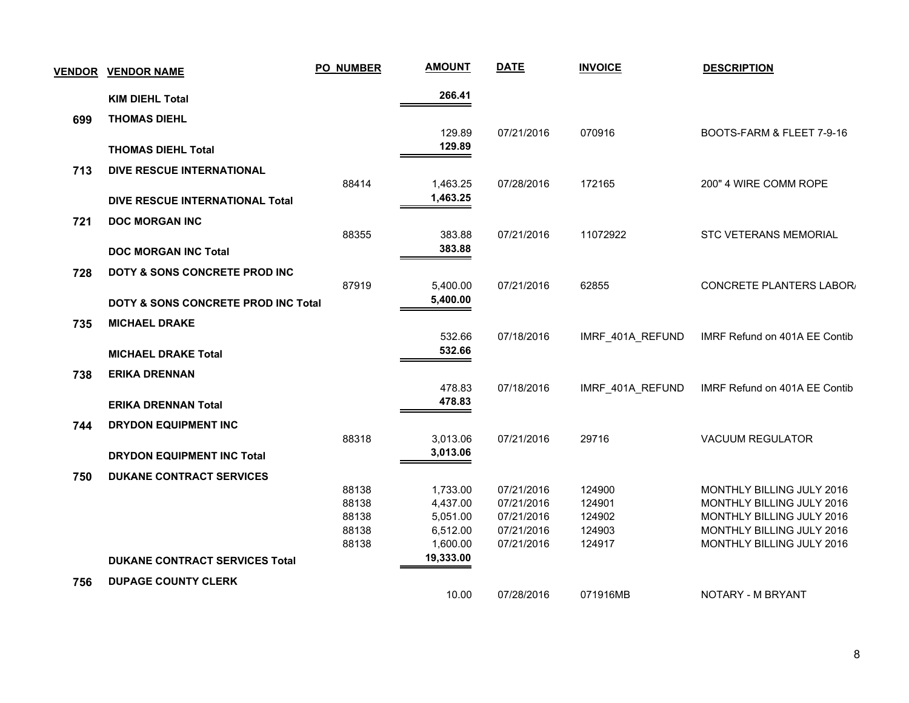| <b>VENDOR</b> | <b>VENDOR NAME</b>                             | <b>PO_NUMBER</b> | <b>AMOUNT</b> | <b>DATE</b> | <b>INVOICE</b>   | <b>DESCRIPTION</b>            |
|---------------|------------------------------------------------|------------------|---------------|-------------|------------------|-------------------------------|
|               | <b>KIM DIEHL Total</b>                         |                  | 266.41        |             |                  |                               |
| 699           | <b>THOMAS DIEHL</b>                            |                  |               |             |                  |                               |
|               |                                                |                  | 129.89        | 07/21/2016  | 070916           | BOOTS-FARM & FLEET 7-9-16     |
|               | <b>THOMAS DIEHL Total</b>                      |                  | 129.89        |             |                  |                               |
| 713           | DIVE RESCUE INTERNATIONAL                      |                  |               |             |                  |                               |
|               |                                                | 88414            | 1,463.25      | 07/28/2016  | 172165           | 200" 4 WIRE COMM ROPE         |
|               | DIVE RESCUE INTERNATIONAL Total                |                  | 1,463.25      |             |                  |                               |
| 721           | <b>DOC MORGAN INC</b>                          |                  |               |             |                  |                               |
|               |                                                | 88355            | 383.88        | 07/21/2016  | 11072922         | STC VETERANS MEMORIAL         |
|               | <b>DOC MORGAN INC Total</b>                    |                  | 383.88        |             |                  |                               |
| 728           | DOTY & SONS CONCRETE PROD INC                  |                  |               |             |                  |                               |
|               |                                                | 87919            | 5,400.00      | 07/21/2016  | 62855            | CONCRETE PLANTERS LABOR/      |
|               | <b>DOTY &amp; SONS CONCRETE PROD INC Total</b> |                  | 5,400.00      |             |                  |                               |
| 735           | <b>MICHAEL DRAKE</b>                           |                  |               |             |                  |                               |
|               |                                                |                  | 532.66        | 07/18/2016  | IMRF_401A_REFUND | IMRF Refund on 401A EE Contib |
|               | <b>MICHAEL DRAKE Total</b>                     |                  | 532.66        |             |                  |                               |
| 738           | <b>ERIKA DRENNAN</b>                           |                  |               |             |                  |                               |
|               |                                                |                  | 478.83        | 07/18/2016  | IMRF_401A_REFUND | IMRF Refund on 401A EE Contib |
|               | <b>ERIKA DRENNAN Total</b>                     |                  | 478.83        |             |                  |                               |
| 744           | <b>DRYDON EQUIPMENT INC</b>                    |                  |               |             |                  |                               |
|               |                                                | 88318            | 3,013.06      | 07/21/2016  | 29716            | <b>VACUUM REGULATOR</b>       |
|               | <b>DRYDON EQUIPMENT INC Total</b>              |                  | 3,013.06      |             |                  |                               |
| 750           | <b>DUKANE CONTRACT SERVICES</b>                |                  |               |             |                  |                               |
|               |                                                | 88138            | 1,733.00      | 07/21/2016  | 124900           | MONTHLY BILLING JULY 2016     |
|               |                                                | 88138            | 4,437.00      | 07/21/2016  | 124901           | MONTHLY BILLING JULY 2016     |
|               |                                                | 88138            | 5,051.00      | 07/21/2016  | 124902           | MONTHLY BILLING JULY 2016     |
|               |                                                | 88138            | 6,512.00      | 07/21/2016  | 124903           | MONTHLY BILLING JULY 2016     |
|               |                                                | 88138            | 1,600.00      | 07/21/2016  | 124917           | MONTHLY BILLING JULY 2016     |
|               | <b>DUKANE CONTRACT SERVICES Total</b>          |                  | 19,333.00     |             |                  |                               |
| 756           | <b>DUPAGE COUNTY CLERK</b>                     |                  |               |             |                  |                               |
|               |                                                |                  | 10.00         | 07/28/2016  | 071916MB         | NOTARY - M BRYANT             |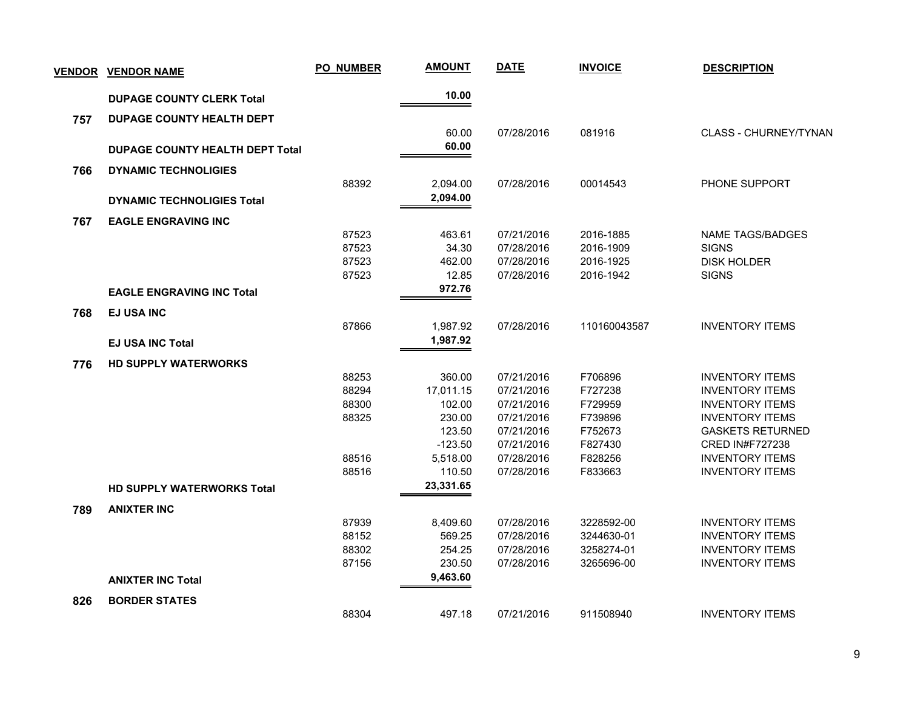|     | <b>VENDOR VENDOR NAME</b>              | <b>PO_NUMBER</b> | <b>AMOUNT</b> | <b>DATE</b> | <b>INVOICE</b> | <b>DESCRIPTION</b>           |
|-----|----------------------------------------|------------------|---------------|-------------|----------------|------------------------------|
|     | <b>DUPAGE COUNTY CLERK Total</b>       |                  | 10.00         |             |                |                              |
| 757 | <b>DUPAGE COUNTY HEALTH DEPT</b>       |                  |               |             |                |                              |
|     |                                        |                  | 60.00         | 07/28/2016  | 081916         | <b>CLASS - CHURNEY/TYNAN</b> |
|     | <b>DUPAGE COUNTY HEALTH DEPT Total</b> |                  | 60.00         |             |                |                              |
| 766 | <b>DYNAMIC TECHNOLIGIES</b>            |                  |               |             |                |                              |
|     |                                        | 88392            | 2,094.00      | 07/28/2016  | 00014543       | PHONE SUPPORT                |
|     | <b>DYNAMIC TECHNOLIGIES Total</b>      |                  | 2,094.00      |             |                |                              |
| 767 | <b>EAGLE ENGRAVING INC</b>             |                  |               |             |                |                              |
|     |                                        | 87523            | 463.61        | 07/21/2016  | 2016-1885      | <b>NAME TAGS/BADGES</b>      |
|     |                                        | 87523            | 34.30         | 07/28/2016  | 2016-1909      | <b>SIGNS</b>                 |
|     |                                        | 87523            | 462.00        | 07/28/2016  | 2016-1925      | <b>DISK HOLDER</b>           |
|     |                                        | 87523            | 12.85         | 07/28/2016  | 2016-1942      | <b>SIGNS</b>                 |
|     | <b>EAGLE ENGRAVING INC Total</b>       |                  | 972.76        |             |                |                              |
| 768 | <b>EJ USA INC</b>                      |                  |               |             |                |                              |
|     |                                        | 87866            | 1,987.92      | 07/28/2016  | 110160043587   | <b>INVENTORY ITEMS</b>       |
|     | <b>EJ USA INC Total</b>                |                  | 1,987.92      |             |                |                              |
| 776 | <b>HD SUPPLY WATERWORKS</b>            |                  |               |             |                |                              |
|     |                                        | 88253            | 360.00        | 07/21/2016  | F706896        | <b>INVENTORY ITEMS</b>       |
|     |                                        | 88294            | 17,011.15     | 07/21/2016  | F727238        | <b>INVENTORY ITEMS</b>       |
|     |                                        | 88300            | 102.00        | 07/21/2016  | F729959        | <b>INVENTORY ITEMS</b>       |
|     |                                        | 88325            | 230.00        | 07/21/2016  | F739896        | <b>INVENTORY ITEMS</b>       |
|     |                                        |                  | 123.50        | 07/21/2016  | F752673        | <b>GASKETS RETURNED</b>      |
|     |                                        |                  | $-123.50$     | 07/21/2016  | F827430        | <b>CRED IN#F727238</b>       |
|     |                                        | 88516            | 5,518.00      | 07/28/2016  | F828256        | <b>INVENTORY ITEMS</b>       |
|     |                                        | 88516            | 110.50        | 07/28/2016  | F833663        | <b>INVENTORY ITEMS</b>       |
|     | <b>HD SUPPLY WATERWORKS Total</b>      |                  | 23,331.65     |             |                |                              |
| 789 | <b>ANIXTER INC</b>                     |                  |               |             |                |                              |
|     |                                        | 87939            | 8,409.60      | 07/28/2016  | 3228592-00     | <b>INVENTORY ITEMS</b>       |
|     |                                        | 88152            | 569.25        | 07/28/2016  | 3244630-01     | <b>INVENTORY ITEMS</b>       |
|     |                                        | 88302            | 254.25        | 07/28/2016  | 3258274-01     | <b>INVENTORY ITEMS</b>       |
|     |                                        | 87156            | 230.50        | 07/28/2016  | 3265696-00     | <b>INVENTORY ITEMS</b>       |
|     | <b>ANIXTER INC Total</b>               |                  | 9,463.60      |             |                |                              |
| 826 | <b>BORDER STATES</b>                   |                  |               |             |                |                              |
|     |                                        | 88304            | 497.18        | 07/21/2016  | 911508940      | <b>INVENTORY ITEMS</b>       |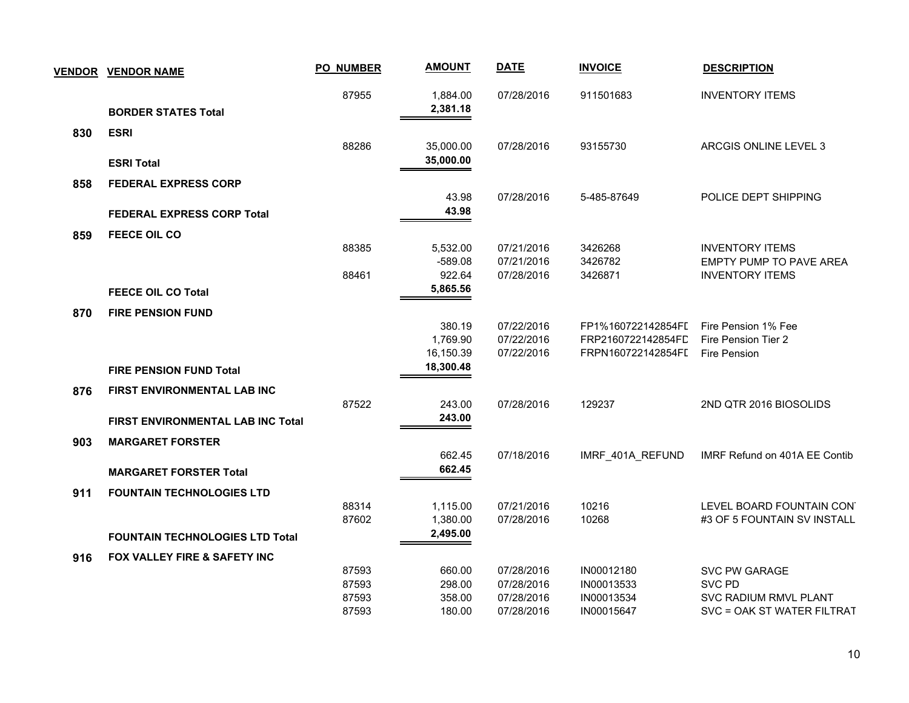|     | <b>VENDOR VENDOR NAME</b>                | <b>PO_NUMBER</b> | <b>AMOUNT</b>        | <b>DATE</b>              | <b>INVOICE</b>     | <b>DESCRIPTION</b>                                       |
|-----|------------------------------------------|------------------|----------------------|--------------------------|--------------------|----------------------------------------------------------|
|     |                                          | 87955            | 1,884.00             | 07/28/2016               | 911501683          | <b>INVENTORY ITEMS</b>                                   |
|     | <b>BORDER STATES Total</b>               |                  | 2,381.18             |                          |                    |                                                          |
| 830 | <b>ESRI</b>                              |                  |                      |                          |                    |                                                          |
|     |                                          | 88286            | 35,000.00            | 07/28/2016               | 93155730           | ARCGIS ONLINE LEVEL 3                                    |
|     | <b>ESRI Total</b>                        |                  | 35,000.00            |                          |                    |                                                          |
| 858 | <b>FEDERAL EXPRESS CORP</b>              |                  |                      |                          |                    |                                                          |
|     |                                          |                  | 43.98                | 07/28/2016               | 5-485-87649        | POLICE DEPT SHIPPING                                     |
|     | <b>FEDERAL EXPRESS CORP Total</b>        |                  | 43.98                |                          |                    |                                                          |
| 859 | <b>FEECE OIL CO</b>                      |                  |                      |                          |                    |                                                          |
|     |                                          | 88385            | 5,532.00             | 07/21/2016               | 3426268            | <b>INVENTORY ITEMS</b>                                   |
|     |                                          | 88461            | $-589.08$<br>922.64  | 07/21/2016<br>07/28/2016 | 3426782<br>3426871 | <b>EMPTY PUMP TO PAVE AREA</b><br><b>INVENTORY ITEMS</b> |
|     | <b>FEECE OIL CO Total</b>                |                  | 5,865.56             |                          |                    |                                                          |
|     | <b>FIRE PENSION FUND</b>                 |                  |                      |                          |                    |                                                          |
| 870 |                                          |                  | 380.19               | 07/22/2016               | FP1%160722142854FI | Fire Pension 1% Fee                                      |
|     |                                          |                  | 1,769.90             | 07/22/2016               | FRP2160722142854FD | Fire Pension Tier 2                                      |
|     |                                          |                  | 16,150.39            | 07/22/2016               | FRPN160722142854FI | Fire Pension                                             |
|     | <b>FIRE PENSION FUND Total</b>           |                  | 18,300.48            |                          |                    |                                                          |
| 876 | <b>FIRST ENVIRONMENTAL LAB INC</b>       |                  |                      |                          |                    |                                                          |
|     |                                          | 87522            | 243.00               | 07/28/2016               | 129237             | 2ND QTR 2016 BIOSOLIDS                                   |
|     | <b>FIRST ENVIRONMENTAL LAB INC Total</b> |                  | 243.00               |                          |                    |                                                          |
| 903 | <b>MARGARET FORSTER</b>                  |                  |                      |                          |                    |                                                          |
|     |                                          |                  | 662.45               | 07/18/2016               | IMRF 401A REFUND   | IMRF Refund on 401A EE Contib                            |
|     | <b>MARGARET FORSTER Total</b>            |                  | 662.45               |                          |                    |                                                          |
| 911 | <b>FOUNTAIN TECHNOLOGIES LTD</b>         |                  |                      |                          |                    |                                                          |
|     |                                          | 88314<br>87602   | 1,115.00<br>1,380.00 | 07/21/2016<br>07/28/2016 | 10216<br>10268     | LEVEL BOARD FOUNTAIN CON'<br>#3 OF 5 FOUNTAIN SV INSTALL |
|     | <b>FOUNTAIN TECHNOLOGIES LTD Total</b>   |                  | 2,495.00             |                          |                    |                                                          |
|     |                                          |                  |                      |                          |                    |                                                          |
| 916 | FOX VALLEY FIRE & SAFETY INC             | 87593            | 660.00               | 07/28/2016               | IN00012180         | SVC PW GARAGE                                            |
|     |                                          | 87593            | 298.00               | 07/28/2016               | IN00013533         | SVC PD                                                   |
|     |                                          | 87593            | 358.00               | 07/28/2016               | IN00013534         | <b>SVC RADIUM RMVL PLANT</b>                             |
|     |                                          | 87593            | 180.00               | 07/28/2016               | IN00015647         | SVC = OAK ST WATER FILTRAT                               |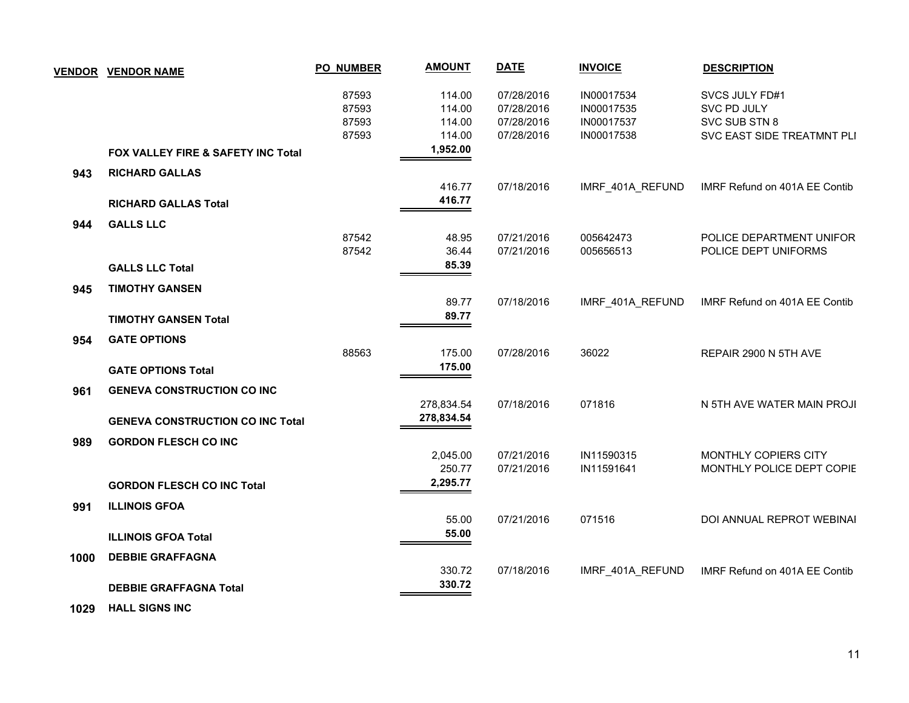| <b>VENDOR</b> | <b>VENDOR NAME</b>                      | <b>PO_NUMBER</b> | <b>AMOUNT</b> | <b>DATE</b> | <b>INVOICE</b>   | <b>DESCRIPTION</b>            |
|---------------|-----------------------------------------|------------------|---------------|-------------|------------------|-------------------------------|
|               |                                         | 87593            | 114.00        | 07/28/2016  | IN00017534       | SVCS JULY FD#1                |
|               |                                         | 87593            | 114.00        | 07/28/2016  | IN00017535       | SVC PD JULY                   |
|               |                                         | 87593            | 114.00        | 07/28/2016  | IN00017537       | SVC SUB STN 8                 |
|               |                                         | 87593            | 114.00        | 07/28/2016  | IN00017538       | SVC EAST SIDE TREATMNT PLI    |
|               | FOX VALLEY FIRE & SAFETY INC Total      |                  | 1,952.00      |             |                  |                               |
| 943           | <b>RICHARD GALLAS</b>                   |                  |               |             |                  |                               |
|               |                                         |                  | 416.77        | 07/18/2016  | IMRF_401A_REFUND | IMRF Refund on 401A EE Contib |
|               | <b>RICHARD GALLAS Total</b>             |                  | 416.77        |             |                  |                               |
| 944           | <b>GALLS LLC</b>                        |                  |               |             |                  |                               |
|               |                                         | 87542            | 48.95         | 07/21/2016  | 005642473        | POLICE DEPARTMENT UNIFOR      |
|               |                                         | 87542            | 36.44         | 07/21/2016  | 005656513        | POLICE DEPT UNIFORMS          |
|               | <b>GALLS LLC Total</b>                  |                  | 85.39         |             |                  |                               |
| 945           | <b>TIMOTHY GANSEN</b>                   |                  |               |             |                  |                               |
|               |                                         |                  | 89.77         | 07/18/2016  | IMRF_401A_REFUND | IMRF Refund on 401A EE Contib |
|               | <b>TIMOTHY GANSEN Total</b>             |                  | 89.77         |             |                  |                               |
| 954           | <b>GATE OPTIONS</b>                     |                  |               |             |                  |                               |
|               |                                         | 88563            | 175.00        | 07/28/2016  | 36022            | REPAIR 2900 N 5TH AVE         |
|               | <b>GATE OPTIONS Total</b>               |                  | 175.00        |             |                  |                               |
| 961           | <b>GENEVA CONSTRUCTION CO INC</b>       |                  |               |             |                  |                               |
|               |                                         |                  | 278,834.54    | 07/18/2016  | 071816           | N 5TH AVE WATER MAIN PROJI    |
|               | <b>GENEVA CONSTRUCTION CO INC Total</b> |                  | 278,834.54    |             |                  |                               |
| 989           | <b>GORDON FLESCH CO INC</b>             |                  |               |             |                  |                               |
|               |                                         |                  | 2,045.00      | 07/21/2016  | IN11590315       | MONTHLY COPIERS CITY          |
|               |                                         |                  | 250.77        | 07/21/2016  | IN11591641       | MONTHLY POLICE DEPT COPIE     |
|               | <b>GORDON FLESCH CO INC Total</b>       |                  | 2,295.77      |             |                  |                               |
| 991           | <b>ILLINOIS GFOA</b>                    |                  |               |             |                  |                               |
|               |                                         |                  | 55.00         | 07/21/2016  | 071516           | DOI ANNUAL REPROT WEBINAI     |
|               | <b>ILLINOIS GFOA Total</b>              |                  | 55.00         |             |                  |                               |
| 1000          | <b>DEBBIE GRAFFAGNA</b>                 |                  |               |             |                  |                               |
|               |                                         |                  | 330.72        | 07/18/2016  | IMRF_401A_REFUND | IMRF Refund on 401A EE Contib |
|               | <b>DEBBIE GRAFFAGNA Total</b>           |                  | 330.72        |             |                  |                               |
|               |                                         |                  |               |             |                  |                               |

 **1029 HALL SIGNS INC**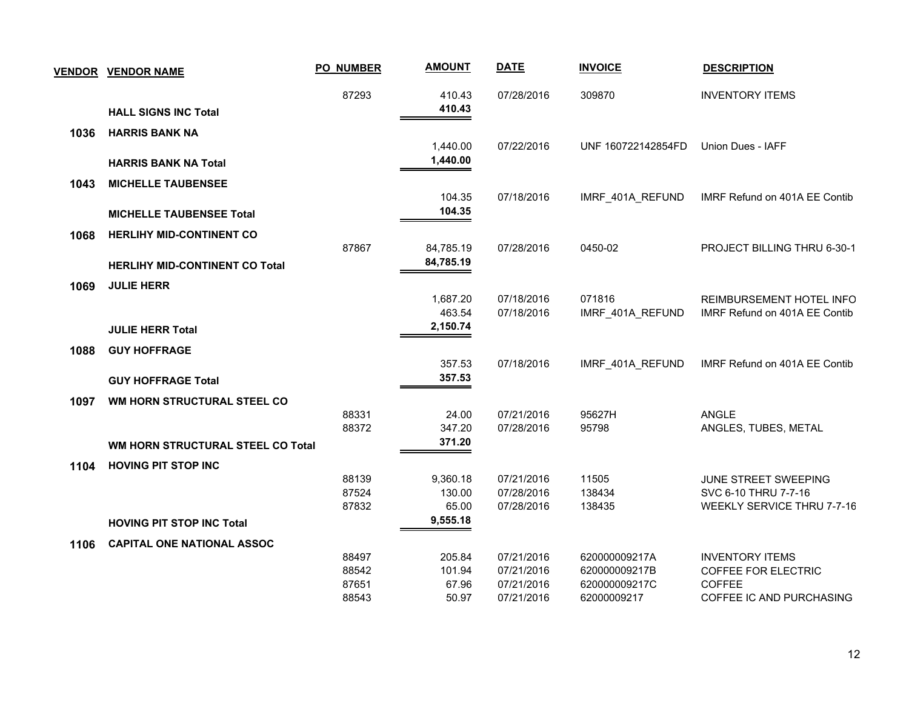|      | <b>VENDOR VENDOR NAME</b>             | <b>PO_NUMBER</b> | <b>AMOUNT</b>   | <b>DATE</b>              | <b>INVOICE</b>     | <b>DESCRIPTION</b>                                 |
|------|---------------------------------------|------------------|-----------------|--------------------------|--------------------|----------------------------------------------------|
|      |                                       | 87293            | 410.43          | 07/28/2016               | 309870             | <b>INVENTORY ITEMS</b>                             |
|      | <b>HALL SIGNS INC Total</b>           |                  | 410.43          |                          |                    |                                                    |
| 1036 | <b>HARRIS BANK NA</b>                 |                  |                 |                          |                    |                                                    |
|      |                                       |                  | 1,440.00        | 07/22/2016               | UNF 160722142854FD | Union Dues - IAFF                                  |
|      | <b>HARRIS BANK NA Total</b>           |                  | 1,440.00        |                          |                    |                                                    |
| 1043 | <b>MICHELLE TAUBENSEE</b>             |                  |                 |                          |                    |                                                    |
|      |                                       |                  | 104.35          | 07/18/2016               | IMRF_401A_REFUND   | IMRF Refund on 401A EE Contib                      |
|      | <b>MICHELLE TAUBENSEE Total</b>       |                  | 104.35          |                          |                    |                                                    |
| 1068 | <b>HERLIHY MID-CONTINENT CO</b>       |                  |                 |                          |                    |                                                    |
|      |                                       | 87867            | 84,785.19       | 07/28/2016               | 0450-02            | PROJECT BILLING THRU 6-30-1                        |
|      | <b>HERLIHY MID-CONTINENT CO Total</b> |                  | 84,785.19       |                          |                    |                                                    |
| 1069 | <b>JULIE HERR</b>                     |                  |                 |                          |                    |                                                    |
|      |                                       |                  | 1,687.20        | 07/18/2016               | 071816             | REIMBURSEMENT HOTEL INFO                           |
|      |                                       |                  | 463.54          | 07/18/2016               | IMRF_401A_REFUND   | IMRF Refund on 401A EE Contib                      |
|      | <b>JULIE HERR Total</b>               |                  | 2,150.74        |                          |                    |                                                    |
| 1088 | <b>GUY HOFFRAGE</b>                   |                  |                 |                          |                    |                                                    |
|      |                                       |                  | 357.53          | 07/18/2016               | IMRF_401A_REFUND   | IMRF Refund on 401A EE Contib                      |
|      | <b>GUY HOFFRAGE Total</b>             |                  | 357.53          |                          |                    |                                                    |
| 1097 | WM HORN STRUCTURAL STEEL CO           |                  |                 |                          |                    |                                                    |
|      |                                       | 88331            | 24.00           | 07/21/2016               | 95627H             | <b>ANGLE</b>                                       |
|      |                                       | 88372            | 347.20          | 07/28/2016               | 95798              | ANGLES, TUBES, METAL                               |
|      | WM HORN STRUCTURAL STEEL CO Total     |                  | 371.20          |                          |                    |                                                    |
| 1104 | <b>HOVING PIT STOP INC</b>            |                  |                 |                          |                    |                                                    |
|      |                                       | 88139<br>87524   | 9,360.18        | 07/21/2016               | 11505              | JUNE STREET SWEEPING                               |
|      |                                       | 87832            | 130.00<br>65.00 | 07/28/2016<br>07/28/2016 | 138434<br>138435   | SVC 6-10 THRU 7-7-16<br>WEEKLY SERVICE THRU 7-7-16 |
|      | <b>HOVING PIT STOP INC Total</b>      |                  | 9,555.18        |                          |                    |                                                    |
|      |                                       |                  |                 |                          |                    |                                                    |
| 1106 | <b>CAPITAL ONE NATIONAL ASSOC</b>     | 88497            | 205.84          | 07/21/2016               | 620000009217A      | <b>INVENTORY ITEMS</b>                             |
|      |                                       | 88542            | 101.94          | 07/21/2016               | 620000009217B      | <b>COFFEE FOR ELECTRIC</b>                         |
|      |                                       | 87651            | 67.96           | 07/21/2016               | 620000009217C      | <b>COFFEE</b>                                      |
|      |                                       | 88543            | 50.97           | 07/21/2016               | 62000009217        | COFFEE IC AND PURCHASING                           |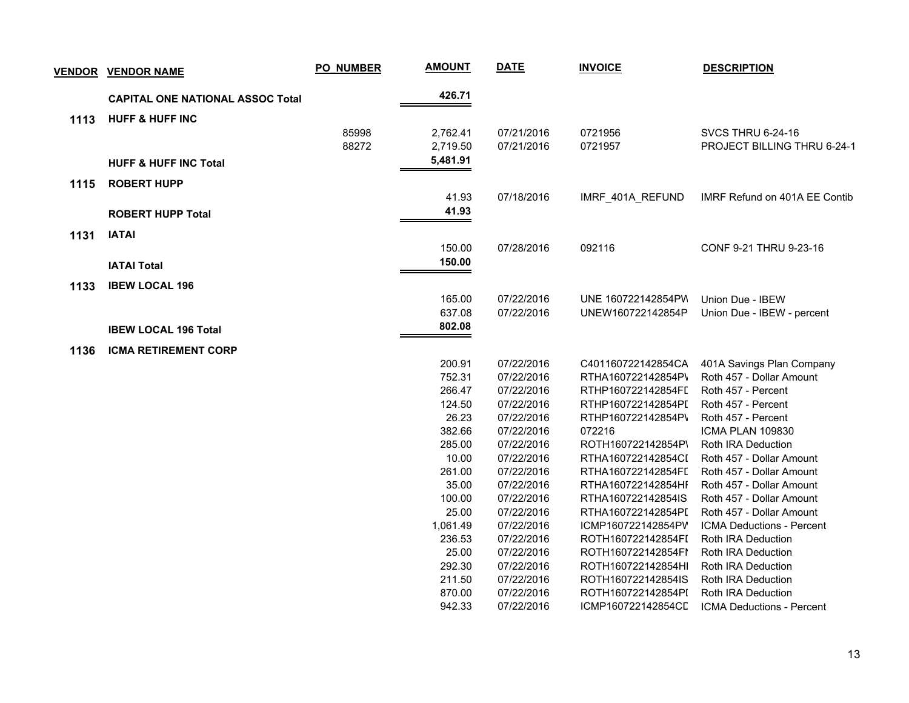| <b>VENDOR</b> | <b>VENDOR NAME</b>                      | PO_NUMBER | <b>AMOUNT</b> | <b>DATE</b> | <b>INVOICE</b>     | <b>DESCRIPTION</b>               |
|---------------|-----------------------------------------|-----------|---------------|-------------|--------------------|----------------------------------|
|               | <b>CAPITAL ONE NATIONAL ASSOC Total</b> |           | 426.71        |             |                    |                                  |
| 1113          | <b>HUFF &amp; HUFF INC</b>              |           |               |             |                    |                                  |
|               |                                         | 85998     | 2,762.41      | 07/21/2016  | 0721956            | SVCS THRU 6-24-16                |
|               |                                         | 88272     | 2,719.50      | 07/21/2016  | 0721957            | PROJECT BILLING THRU 6-24-1      |
|               | <b>HUFF &amp; HUFF INC Total</b>        |           | 5,481.91      |             |                    |                                  |
| 1115          | <b>ROBERT HUPP</b>                      |           |               |             |                    |                                  |
|               |                                         |           | 41.93         | 07/18/2016  | IMRF_401A_REFUND   | IMRF Refund on 401A EE Contib    |
|               | <b>ROBERT HUPP Total</b>                |           | 41.93         |             |                    |                                  |
|               |                                         |           |               |             |                    |                                  |
| 1131          | <b>IATAI</b>                            |           |               |             |                    |                                  |
|               |                                         |           | 150.00        | 07/28/2016  | 092116             | CONF 9-21 THRU 9-23-16           |
|               | <b>IATAI Total</b>                      |           | 150.00        |             |                    |                                  |
| 1133          | <b>IBEW LOCAL 196</b>                   |           |               |             |                    |                                  |
|               |                                         |           | 165.00        | 07/22/2016  | UNE 160722142854PW | Union Due - IBEW                 |
|               |                                         |           | 637.08        | 07/22/2016  | UNEW160722142854P  | Union Due - IBEW - percent       |
|               | <b>IBEW LOCAL 196 Total</b>             |           | 802.08        |             |                    |                                  |
|               |                                         |           |               |             |                    |                                  |
| 1136          | <b>ICMA RETIREMENT CORP</b>             |           |               |             |                    |                                  |
|               |                                         |           | 200.91        | 07/22/2016  | C401160722142854CA | 401A Savings Plan Company        |
|               |                                         |           | 752.31        | 07/22/2016  | RTHA160722142854P\ | Roth 457 - Dollar Amount         |
|               |                                         |           | 266.47        | 07/22/2016  | RTHP160722142854FI | Roth 457 - Percent               |
|               |                                         |           | 124.50        | 07/22/2016  | RTHP160722142854PI | Roth 457 - Percent               |
|               |                                         |           | 26.23         | 07/22/2016  | RTHP160722142854P\ | Roth 457 - Percent               |
|               |                                         |           | 382.66        | 07/22/2016  | 072216             | ICMA PLAN 109830                 |
|               |                                         |           | 285.00        | 07/22/2016  | ROTH160722142854P\ | Roth IRA Deduction               |
|               |                                         |           | 10.00         | 07/22/2016  | RTHA160722142854CI | Roth 457 - Dollar Amount         |
|               |                                         |           | 261.00        | 07/22/2016  | RTHA160722142854FL | Roth 457 - Dollar Amount         |
|               |                                         |           | 35.00         | 07/22/2016  | RTHA160722142854HI | Roth 457 - Dollar Amount         |
|               |                                         |           | 100.00        | 07/22/2016  | RTHA160722142854IS | Roth 457 - Dollar Amount         |
|               |                                         |           | 25.00         | 07/22/2016  | RTHA160722142854PI | Roth 457 - Dollar Amount         |
|               |                                         |           | 1,061.49      | 07/22/2016  | ICMP160722142854PV | ICMA Deductions - Percent        |
|               |                                         |           | 236.53        | 07/22/2016  | ROTH160722142854FI | Roth IRA Deduction               |
|               |                                         |           | 25.00         | 07/22/2016  | ROTH160722142854FI | Roth IRA Deduction               |
|               |                                         |           | 292.30        | 07/22/2016  | ROTH160722142854HI | Roth IRA Deduction               |
|               |                                         |           | 211.50        | 07/22/2016  | ROTH160722142854IS | Roth IRA Deduction               |
|               |                                         |           | 870.00        | 07/22/2016  | ROTH160722142854PI | Roth IRA Deduction               |
|               |                                         |           | 942.33        | 07/22/2016  | ICMP160722142854CL | <b>ICMA Deductions - Percent</b> |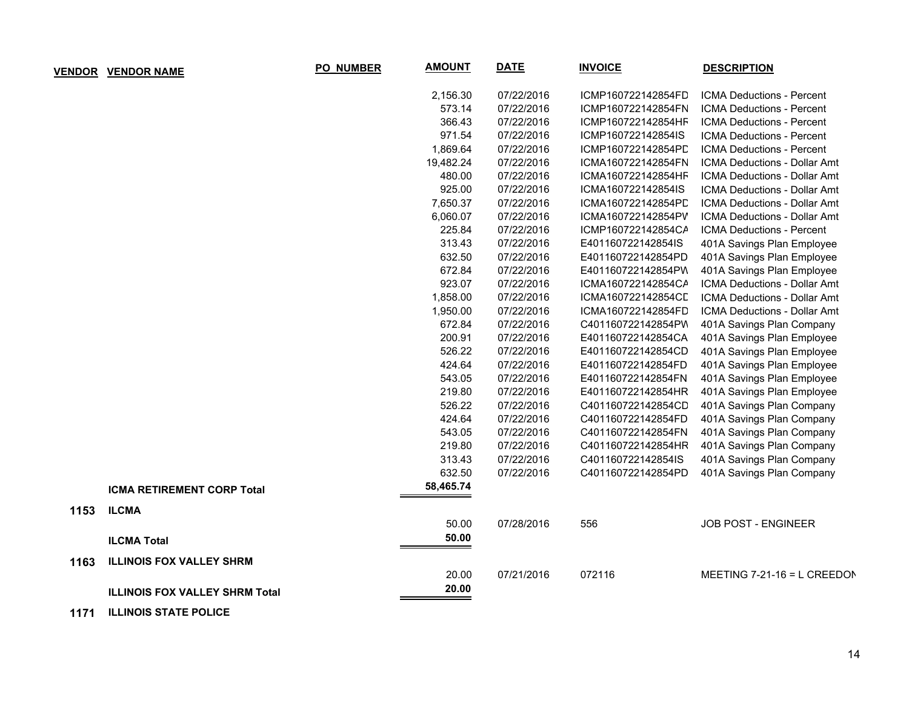| <b>VENDOR</b> | <b>VENDOR NAME</b>                    | PO_NUMBER | <b>AMOUNT</b> | <b>DATE</b> | <b>INVOICE</b>     | <b>DESCRIPTION</b>                  |
|---------------|---------------------------------------|-----------|---------------|-------------|--------------------|-------------------------------------|
|               |                                       |           | 2,156.30      | 07/22/2016  | ICMP160722142854FD | ICMA Deductions - Percent           |
|               |                                       |           | 573.14        | 07/22/2016  | ICMP160722142854FN | ICMA Deductions - Percent           |
|               |                                       |           | 366.43        | 07/22/2016  | ICMP160722142854HF | ICMA Deductions - Percent           |
|               |                                       |           | 971.54        | 07/22/2016  | ICMP160722142854IS | <b>ICMA Deductions - Percent</b>    |
|               |                                       |           | 1,869.64      | 07/22/2016  | ICMP160722142854PD | ICMA Deductions - Percent           |
|               |                                       |           | 19,482.24     | 07/22/2016  | ICMA160722142854FN | <b>ICMA Deductions - Dollar Amt</b> |
|               |                                       |           | 480.00        | 07/22/2016  | ICMA160722142854HF | ICMA Deductions - Dollar Amt        |
|               |                                       |           | 925.00        | 07/22/2016  | ICMA160722142854IS | <b>ICMA Deductions - Dollar Amt</b> |
|               |                                       |           | 7,650.37      | 07/22/2016  | ICMA160722142854PD | ICMA Deductions - Dollar Amt        |
|               |                                       |           | 6,060.07      | 07/22/2016  | ICMA160722142854PV | <b>ICMA Deductions - Dollar Amt</b> |
|               |                                       |           | 225.84        | 07/22/2016  | ICMP160722142854CA | ICMA Deductions - Percent           |
|               |                                       |           | 313.43        | 07/22/2016  | E401160722142854IS | 401A Savings Plan Employee          |
|               |                                       |           | 632.50        | 07/22/2016  | E401160722142854PD | 401A Savings Plan Employee          |
|               |                                       |           | 672.84        | 07/22/2016  | E401160722142854PW | 401A Savings Plan Employee          |
|               |                                       |           | 923.07        | 07/22/2016  | ICMA160722142854CA | ICMA Deductions - Dollar Amt        |
|               |                                       |           | 1,858.00      | 07/22/2016  | ICMA160722142854CD | ICMA Deductions - Dollar Amt        |
|               |                                       |           | 1,950.00      | 07/22/2016  | ICMA160722142854FD | ICMA Deductions - Dollar Amt        |
|               |                                       |           | 672.84        | 07/22/2016  | C401160722142854PW | 401A Savings Plan Company           |
|               |                                       |           | 200.91        | 07/22/2016  | E401160722142854CA | 401A Savings Plan Employee          |
|               |                                       |           | 526.22        | 07/22/2016  | E401160722142854CD | 401A Savings Plan Employee          |
|               |                                       |           | 424.64        | 07/22/2016  | E401160722142854FD | 401A Savings Plan Employee          |
|               |                                       |           | 543.05        | 07/22/2016  | E401160722142854FN | 401A Savings Plan Employee          |
|               |                                       |           | 219.80        | 07/22/2016  | E401160722142854HR | 401A Savings Plan Employee          |
|               |                                       |           | 526.22        | 07/22/2016  | C401160722142854CD | 401A Savings Plan Company           |
|               |                                       |           | 424.64        | 07/22/2016  | C401160722142854FD | 401A Savings Plan Company           |
|               |                                       |           | 543.05        | 07/22/2016  | C401160722142854FN | 401A Savings Plan Company           |
|               |                                       |           | 219.80        | 07/22/2016  | C401160722142854HR | 401A Savings Plan Company           |
|               |                                       |           | 313.43        | 07/22/2016  | C401160722142854IS | 401A Savings Plan Company           |
|               |                                       |           | 632.50        | 07/22/2016  | C401160722142854PD | 401A Savings Plan Company           |
|               | <b>ICMA RETIREMENT CORP Total</b>     |           | 58,465.74     |             |                    |                                     |
| 1153          | <b>ILCMA</b>                          |           |               |             |                    |                                     |
|               |                                       |           | 50.00         | 07/28/2016  | 556                | JOB POST - ENGINEER                 |
|               | <b>ILCMA Total</b>                    |           | 50.00         |             |                    |                                     |
| 1163          | <b>ILLINOIS FOX VALLEY SHRM</b>       |           |               |             |                    |                                     |
|               |                                       |           | 20.00         | 07/21/2016  | 072116             | MEETING 7-21-16 = L CREEDON         |
|               | <b>ILLINOIS FOX VALLEY SHRM Total</b> |           | 20.00         |             |                    |                                     |
|               |                                       |           |               |             |                    |                                     |

 **1171 ILLINOIS STATE POLICE**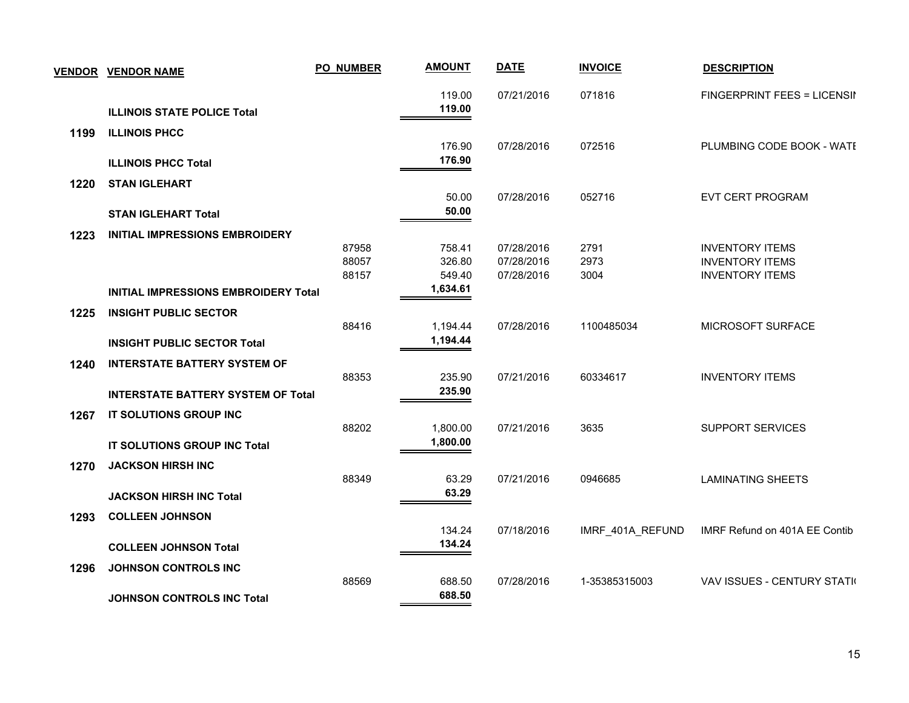| <b>VENDOR</b> | <b>VENDOR NAME</b>                          | PO_NUMBER | <b>AMOUNT</b>      | <b>DATE</b> | <b>INVOICE</b>   | <b>DESCRIPTION</b>            |
|---------------|---------------------------------------------|-----------|--------------------|-------------|------------------|-------------------------------|
|               | <b>ILLINOIS STATE POLICE Total</b>          |           | 119.00<br>119.00   | 07/21/2016  | 071816           | FINGERPRINT FEES = LICENSII   |
| 1199          | <b>ILLINOIS PHCC</b>                        |           | 176.90             | 07/28/2016  | 072516           | PLUMBING CODE BOOK - WATE     |
|               | <b>ILLINOIS PHCC Total</b>                  |           | 176.90             |             |                  |                               |
| 1220          | <b>STAN IGLEHART</b>                        |           |                    |             |                  |                               |
|               | <b>STAN IGLEHART Total</b>                  |           | 50.00<br>50.00     | 07/28/2016  | 052716           | EVT CERT PROGRAM              |
| 1223          | <b>INITIAL IMPRESSIONS EMBROIDERY</b>       |           |                    |             |                  |                               |
|               |                                             | 87958     | 758.41             | 07/28/2016  | 2791             | <b>INVENTORY ITEMS</b>        |
|               |                                             | 88057     | 326.80             | 07/28/2016  | 2973             | <b>INVENTORY ITEMS</b>        |
|               |                                             | 88157     | 549.40<br>1,634.61 | 07/28/2016  | 3004             | <b>INVENTORY ITEMS</b>        |
|               | <b>INITIAL IMPRESSIONS EMBROIDERY Total</b> |           |                    |             |                  |                               |
| 1225          | <b>INSIGHT PUBLIC SECTOR</b>                |           |                    |             |                  |                               |
|               |                                             | 88416     | 1,194.44           | 07/28/2016  | 1100485034       | MICROSOFT SURFACE             |
|               | <b>INSIGHT PUBLIC SECTOR Total</b>          |           | 1,194.44           |             |                  |                               |
| 1240          | <b>INTERSTATE BATTERY SYSTEM OF</b>         |           |                    |             |                  |                               |
|               |                                             | 88353     | 235.90             | 07/21/2016  | 60334617         | <b>INVENTORY ITEMS</b>        |
|               | <b>INTERSTATE BATTERY SYSTEM OF Total</b>   |           | 235.90             |             |                  |                               |
| 1267          | IT SOLUTIONS GROUP INC                      |           |                    |             |                  |                               |
|               |                                             | 88202     | 1,800.00           | 07/21/2016  | 3635             | <b>SUPPORT SERVICES</b>       |
|               | IT SOLUTIONS GROUP INC Total                |           | 1,800.00           |             |                  |                               |
| 1270          | <b>JACKSON HIRSH INC</b>                    |           |                    |             |                  |                               |
|               |                                             | 88349     | 63.29              | 07/21/2016  | 0946685          | <b>LAMINATING SHEETS</b>      |
|               | <b>JACKSON HIRSH INC Total</b>              |           | 63.29              |             |                  |                               |
| 1293          | <b>COLLEEN JOHNSON</b>                      |           |                    |             |                  |                               |
|               |                                             |           | 134.24             | 07/18/2016  | IMRF_401A_REFUND | IMRF Refund on 401A EE Contib |
|               | <b>COLLEEN JOHNSON Total</b>                |           | 134.24             |             |                  |                               |
| 1296          | <b>JOHNSON CONTROLS INC</b>                 |           |                    |             |                  |                               |
|               |                                             | 88569     | 688.50             | 07/28/2016  | 1-35385315003    | VAV ISSUES - CENTURY STATI(   |
|               | <b>JOHNSON CONTROLS INC Total</b>           |           | 688.50             |             |                  |                               |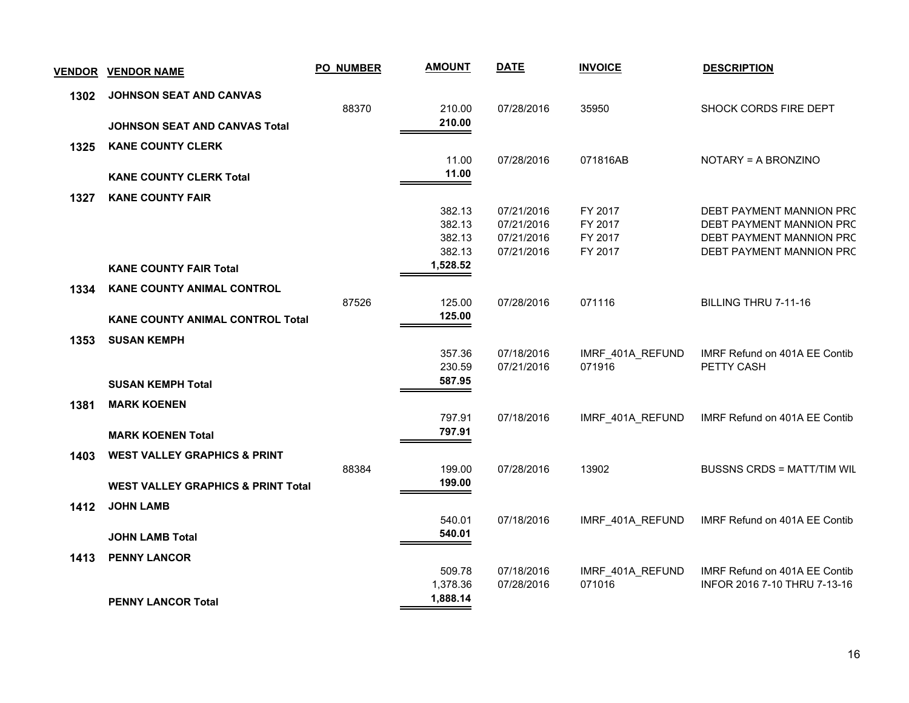|      | <b>VENDOR VENDOR NAME</b>                     | <b>PO_NUMBER</b> | <b>AMOUNT</b>    | <b>DATE</b>              | <b>INVOICE</b>     | <b>DESCRIPTION</b>                                   |
|------|-----------------------------------------------|------------------|------------------|--------------------------|--------------------|------------------------------------------------------|
| 1302 | JOHNSON SEAT AND CANVAS                       |                  |                  |                          |                    |                                                      |
|      |                                               | 88370            | 210.00           | 07/28/2016               | 35950              | SHOCK CORDS FIRE DEPT                                |
|      | <b>JOHNSON SEAT AND CANVAS Total</b>          |                  | 210.00           |                          |                    |                                                      |
| 1325 | <b>KANE COUNTY CLERK</b>                      |                  |                  |                          |                    |                                                      |
|      |                                               |                  | 11.00<br>11.00   | 07/28/2016               | 071816AB           | NOTARY = A BRONZINO                                  |
|      | <b>KANE COUNTY CLERK Total</b>                |                  |                  |                          |                    |                                                      |
| 1327 | <b>KANE COUNTY FAIR</b>                       |                  |                  |                          |                    |                                                      |
|      |                                               |                  | 382.13<br>382.13 | 07/21/2016<br>07/21/2016 | FY 2017<br>FY 2017 | DEBT PAYMENT MANNION PRC<br>DEBT PAYMENT MANNION PRC |
|      |                                               |                  | 382.13           | 07/21/2016               | FY 2017            | DEBT PAYMENT MANNION PRC                             |
|      |                                               |                  | 382.13           | 07/21/2016               | FY 2017            | DEBT PAYMENT MANNION PRC                             |
|      | <b>KANE COUNTY FAIR Total</b>                 |                  | 1,528.52         |                          |                    |                                                      |
| 1334 | <b>KANE COUNTY ANIMAL CONTROL</b>             |                  |                  |                          |                    |                                                      |
|      |                                               | 87526            | 125.00           | 07/28/2016               | 071116             | BILLING THRU 7-11-16                                 |
|      | <b>KANE COUNTY ANIMAL CONTROL Total</b>       |                  | 125.00           |                          |                    |                                                      |
| 1353 | <b>SUSAN KEMPH</b>                            |                  |                  |                          |                    |                                                      |
|      |                                               |                  | 357.36           | 07/18/2016               | IMRF_401A_REFUND   | IMRF Refund on 401A EE Contib                        |
|      |                                               |                  | 230.59           | 07/21/2016               | 071916             | PETTY CASH                                           |
|      | <b>SUSAN KEMPH Total</b>                      |                  | 587.95           |                          |                    |                                                      |
| 1381 | <b>MARK KOENEN</b>                            |                  |                  |                          |                    |                                                      |
|      |                                               |                  | 797.91           | 07/18/2016               | IMRF 401A REFUND   | IMRF Refund on 401A EE Contib                        |
|      | <b>MARK KOENEN Total</b>                      |                  | 797.91           |                          |                    |                                                      |
| 1403 | <b>WEST VALLEY GRAPHICS &amp; PRINT</b>       |                  |                  |                          |                    |                                                      |
|      |                                               | 88384            | 199.00           | 07/28/2016               | 13902              | <b>BUSSNS CRDS = MATT/TIM WIL</b>                    |
|      | <b>WEST VALLEY GRAPHICS &amp; PRINT Total</b> |                  | 199.00           |                          |                    |                                                      |
| 1412 | <b>JOHN LAMB</b>                              |                  |                  |                          |                    |                                                      |
|      |                                               |                  | 540.01           | 07/18/2016               | IMRF_401A_REFUND   | IMRF Refund on 401A EE Contib                        |
|      | <b>JOHN LAMB Total</b>                        |                  | 540.01           |                          |                    |                                                      |
| 1413 | <b>PENNY LANCOR</b>                           |                  |                  |                          |                    |                                                      |
|      |                                               |                  | 509.78           | 07/18/2016               | IMRF_401A_REFUND   | IMRF Refund on 401A EE Contib                        |
|      |                                               |                  | 1,378.36         | 07/28/2016               | 071016             | INFOR 2016 7-10 THRU 7-13-16                         |
|      | <b>PENNY LANCOR Total</b>                     |                  | 1,888.14         |                          |                    |                                                      |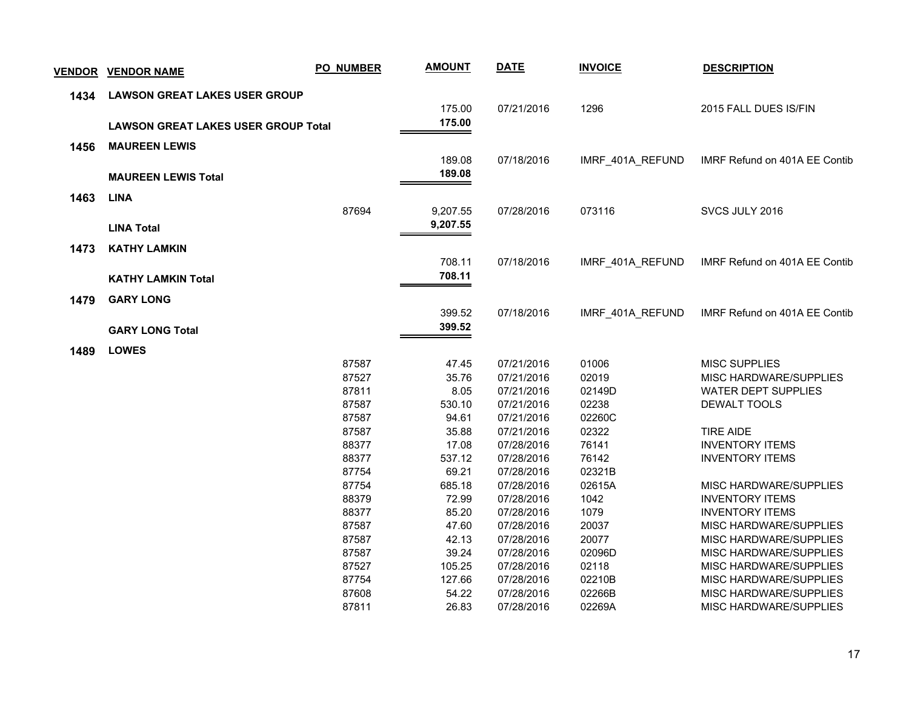|      | <b>VENDOR VENDOR NAME</b>                  | <b>PO_NUMBER</b> | <b>AMOUNT</b>   | <b>DATE</b>              | <b>INVOICE</b>   | <b>DESCRIPTION</b>                               |
|------|--------------------------------------------|------------------|-----------------|--------------------------|------------------|--------------------------------------------------|
| 1434 | <b>LAWSON GREAT LAKES USER GROUP</b>       |                  |                 |                          |                  |                                                  |
|      |                                            |                  | 175.00          | 07/21/2016               | 1296             | 2015 FALL DUES IS/FIN                            |
|      | <b>LAWSON GREAT LAKES USER GROUP Total</b> |                  | 175.00          |                          |                  |                                                  |
| 1456 | <b>MAUREEN LEWIS</b>                       |                  |                 |                          |                  |                                                  |
|      |                                            |                  | 189.08          | 07/18/2016               | IMRF 401A REFUND | IMRF Refund on 401A EE Contib                    |
|      | <b>MAUREEN LEWIS Total</b>                 |                  | 189.08          |                          |                  |                                                  |
| 1463 | <b>LINA</b>                                |                  |                 |                          |                  |                                                  |
|      |                                            | 87694            | 9,207.55        | 07/28/2016               | 073116           | SVCS JULY 2016                                   |
|      |                                            |                  | 9,207.55        |                          |                  |                                                  |
|      | <b>LINA Total</b>                          |                  |                 |                          |                  |                                                  |
| 1473 | <b>KATHY LAMKIN</b>                        |                  |                 |                          |                  |                                                  |
|      |                                            |                  | 708.11          | 07/18/2016               | IMRF_401A_REFUND | IMRF Refund on 401A EE Contib                    |
|      | <b>KATHY LAMKIN Total</b>                  |                  | 708.11          |                          |                  |                                                  |
|      |                                            |                  |                 |                          |                  |                                                  |
| 1479 | <b>GARY LONG</b>                           |                  | 399.52          | 07/18/2016               | IMRF_401A_REFUND | IMRF Refund on 401A EE Contib                    |
|      |                                            |                  | 399.52          |                          |                  |                                                  |
|      | <b>GARY LONG Total</b>                     |                  |                 |                          |                  |                                                  |
| 1489 | <b>LOWES</b>                               |                  |                 |                          |                  |                                                  |
|      |                                            | 87587            | 47.45           | 07/21/2016               | 01006            | <b>MISC SUPPLIES</b>                             |
|      |                                            | 87527            | 35.76           | 07/21/2016               | 02019            | MISC HARDWARE/SUPPLIES                           |
|      |                                            | 87811            | 8.05            | 07/21/2016               | 02149D           | <b>WATER DEPT SUPPLIES</b>                       |
|      |                                            | 87587            | 530.10          | 07/21/2016               | 02238            | DEWALT TOOLS                                     |
|      |                                            | 87587            | 94.61           | 07/21/2016               | 02260C           |                                                  |
|      |                                            | 87587            | 35.88           | 07/21/2016               | 02322            | <b>TIRE AIDE</b>                                 |
|      |                                            | 88377            | 17.08           | 07/28/2016               | 76141            | <b>INVENTORY ITEMS</b>                           |
|      |                                            | 88377            | 537.12          | 07/28/2016               | 76142            | <b>INVENTORY ITEMS</b>                           |
|      |                                            | 87754<br>87754   | 69.21<br>685.18 | 07/28/2016               | 02321B           |                                                  |
|      |                                            | 88379            | 72.99           | 07/28/2016<br>07/28/2016 | 02615A<br>1042   | MISC HARDWARE/SUPPLIES<br><b>INVENTORY ITEMS</b> |
|      |                                            | 88377            | 85.20           | 07/28/2016               | 1079             | <b>INVENTORY ITEMS</b>                           |
|      |                                            | 87587            | 47.60           | 07/28/2016               | 20037            | MISC HARDWARE/SUPPLIES                           |
|      |                                            | 87587            | 42.13           | 07/28/2016               | 20077            | MISC HARDWARE/SUPPLIES                           |
|      |                                            | 87587            | 39.24           | 07/28/2016               | 02096D           | MISC HARDWARE/SUPPLIES                           |
|      |                                            | 87527            | 105.25          | 07/28/2016               | 02118            | MISC HARDWARE/SUPPLIES                           |
|      |                                            | 87754            | 127.66          | 07/28/2016               | 02210B           | MISC HARDWARE/SUPPLIES                           |
|      |                                            | 87608            | 54.22           | 07/28/2016               | 02266B           | MISC HARDWARE/SUPPLIES                           |
|      |                                            | 87811            | 26.83           | 07/28/2016               | 02269A           | MISC HARDWARE/SUPPLIES                           |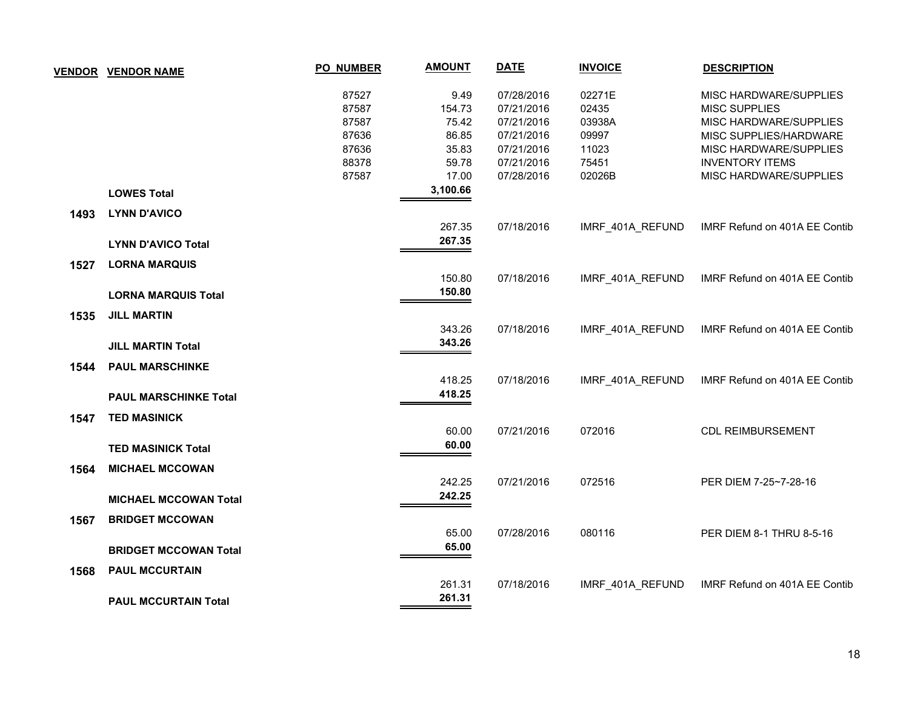|      | <b>VENDOR VENDOR NAME</b>    | PO_NUMBER | <b>AMOUNT</b> | <b>DATE</b> | <b>INVOICE</b>   | <b>DESCRIPTION</b>            |
|------|------------------------------|-----------|---------------|-------------|------------------|-------------------------------|
|      |                              | 87527     | 9.49          | 07/28/2016  | 02271E           | MISC HARDWARE/SUPPLIES        |
|      |                              | 87587     | 154.73        | 07/21/2016  | 02435            | <b>MISC SUPPLIES</b>          |
|      |                              | 87587     | 75.42         | 07/21/2016  | 03938A           | MISC HARDWARE/SUPPLIES        |
|      |                              | 87636     | 86.85         | 07/21/2016  | 09997            | MISC SUPPLIES/HARDWARE        |
|      |                              | 87636     | 35.83         | 07/21/2016  | 11023            | MISC HARDWARE/SUPPLIES        |
|      |                              | 88378     | 59.78         | 07/21/2016  | 75451            | <b>INVENTORY ITEMS</b>        |
|      |                              | 87587     | 17.00         | 07/28/2016  | 02026B           | MISC HARDWARE/SUPPLIES        |
|      | <b>LOWES Total</b>           |           | 3,100.66      |             |                  |                               |
| 1493 | <b>LYNN D'AVICO</b>          |           |               |             |                  |                               |
|      |                              |           | 267.35        | 07/18/2016  | IMRF_401A_REFUND | IMRF Refund on 401A EE Contib |
|      | <b>LYNN D'AVICO Total</b>    |           | 267.35        |             |                  |                               |
| 1527 | <b>LORNA MARQUIS</b>         |           |               |             |                  |                               |
|      |                              |           | 150.80        | 07/18/2016  | IMRF_401A_REFUND | IMRF Refund on 401A EE Contib |
|      | <b>LORNA MARQUIS Total</b>   |           | 150.80        |             |                  |                               |
| 1535 | <b>JILL MARTIN</b>           |           |               |             |                  |                               |
|      |                              |           | 343.26        | 07/18/2016  | IMRF_401A_REFUND | IMRF Refund on 401A EE Contib |
|      | <b>JILL MARTIN Total</b>     |           | 343.26        |             |                  |                               |
| 1544 | <b>PAUL MARSCHINKE</b>       |           |               |             |                  |                               |
|      |                              |           | 418.25        | 07/18/2016  | IMRF_401A_REFUND | IMRF Refund on 401A EE Contib |
|      | <b>PAUL MARSCHINKE Total</b> |           | 418.25        |             |                  |                               |
| 1547 | <b>TED MASINICK</b>          |           |               |             |                  |                               |
|      |                              |           | 60.00         | 07/21/2016  | 072016           | <b>CDL REIMBURSEMENT</b>      |
|      | <b>TED MASINICK Total</b>    |           | 60.00         |             |                  |                               |
| 1564 | <b>MICHAEL MCCOWAN</b>       |           |               |             |                  |                               |
|      |                              |           | 242.25        | 07/21/2016  | 072516           | PER DIEM 7-25~7-28-16         |
|      | <b>MICHAEL MCCOWAN Total</b> |           | 242.25        |             |                  |                               |
| 1567 | <b>BRIDGET MCCOWAN</b>       |           |               |             |                  |                               |
|      |                              |           | 65.00         | 07/28/2016  | 080116           | PER DIEM 8-1 THRU 8-5-16      |
|      | <b>BRIDGET MCCOWAN Total</b> |           | 65.00         |             |                  |                               |
| 1568 | <b>PAUL MCCURTAIN</b>        |           |               |             |                  |                               |
|      |                              |           | 261.31        | 07/18/2016  | IMRF_401A_REFUND | IMRF Refund on 401A EE Contib |
|      | <b>PAUL MCCURTAIN Total</b>  |           | 261.31        |             |                  |                               |
|      |                              |           |               |             |                  |                               |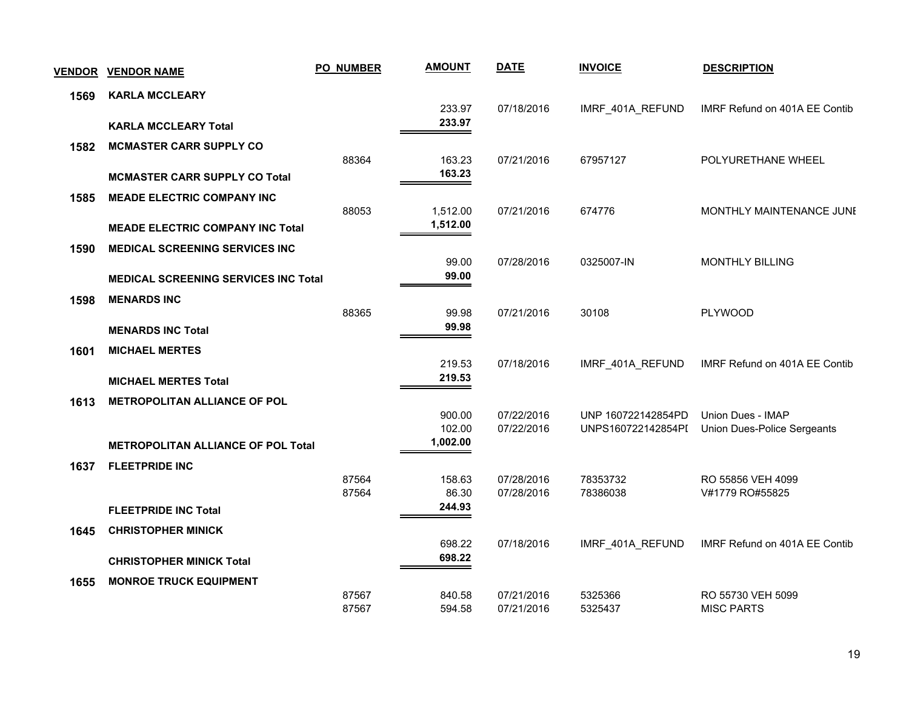| <b>VENDOR</b> | <b>VENDOR NAME</b>                          | <b>PO_NUMBER</b> | <b>AMOUNT</b>    | <b>DATE</b> | <b>INVOICE</b>     | <b>DESCRIPTION</b>            |
|---------------|---------------------------------------------|------------------|------------------|-------------|--------------------|-------------------------------|
| 1569          | <b>KARLA MCCLEARY</b>                       |                  |                  |             |                    |                               |
|               |                                             |                  | 233.97           | 07/18/2016  | IMRF_401A_REFUND   | IMRF Refund on 401A EE Contib |
|               | <b>KARLA MCCLEARY Total</b>                 |                  | 233.97           |             |                    |                               |
| 1582          | <b>MCMASTER CARR SUPPLY CO</b>              |                  |                  |             |                    |                               |
|               | <b>MCMASTER CARR SUPPLY CO Total</b>        | 88364            | 163.23<br>163.23 | 07/21/2016  | 67957127           | POLYURETHANE WHEEL            |
|               |                                             |                  |                  |             |                    |                               |
| 1585          | <b>MEADE ELECTRIC COMPANY INC</b>           | 88053            | 1,512.00         | 07/21/2016  | 674776             | MONTHLY MAINTENANCE JUNE      |
|               | <b>MEADE ELECTRIC COMPANY INC Total</b>     |                  | 1,512.00         |             |                    |                               |
| 1590          | <b>MEDICAL SCREENING SERVICES INC</b>       |                  |                  |             |                    |                               |
|               |                                             |                  | 99.00            | 07/28/2016  | 0325007-IN         | <b>MONTHLY BILLING</b>        |
|               | <b>MEDICAL SCREENING SERVICES INC Total</b> |                  | 99.00            |             |                    |                               |
| 1598          | <b>MENARDS INC</b>                          |                  |                  |             |                    |                               |
|               |                                             | 88365            | 99.98            | 07/21/2016  | 30108              | PLYWOOD                       |
|               | <b>MENARDS INC Total</b>                    |                  | 99.98            |             |                    |                               |
| 1601          | <b>MICHAEL MERTES</b>                       |                  |                  |             |                    |                               |
|               |                                             |                  | 219.53<br>219.53 | 07/18/2016  | IMRF_401A_REFUND   | IMRF Refund on 401A EE Contib |
|               | <b>MICHAEL MERTES Total</b>                 |                  |                  |             |                    |                               |
| 1613          | <b>METROPOLITAN ALLIANCE OF POL</b>         |                  | 900.00           | 07/22/2016  | UNP 160722142854PD | Union Dues - IMAP             |
|               |                                             |                  | 102.00           | 07/22/2016  | UNPS160722142854PI | Union Dues-Police Sergeants   |
|               | <b>METROPOLITAN ALLIANCE OF POL Total</b>   |                  | 1,002.00         |             |                    |                               |
| 1637          | <b>FLEETPRIDE INC</b>                       |                  |                  |             |                    |                               |
|               |                                             | 87564            | 158.63           | 07/28/2016  | 78353732           | RO 55856 VEH 4099             |
|               |                                             | 87564            | 86.30<br>244.93  | 07/28/2016  | 78386038           | V#1779 RO#55825               |
|               | <b>FLEETPRIDE INC Total</b>                 |                  |                  |             |                    |                               |
| 1645          | <b>CHRISTOPHER MINICK</b>                   |                  | 698.22           | 07/18/2016  | IMRF_401A_REFUND   | IMRF Refund on 401A EE Contib |
|               | <b>CHRISTOPHER MINICK Total</b>             |                  | 698.22           |             |                    |                               |
| 1655          | <b>MONROE TRUCK EQUIPMENT</b>               |                  |                  |             |                    |                               |
|               |                                             | 87567            | 840.58           | 07/21/2016  | 5325366            | RO 55730 VEH 5099             |
|               |                                             | 87567            | 594.58           | 07/21/2016  | 5325437            | <b>MISC PARTS</b>             |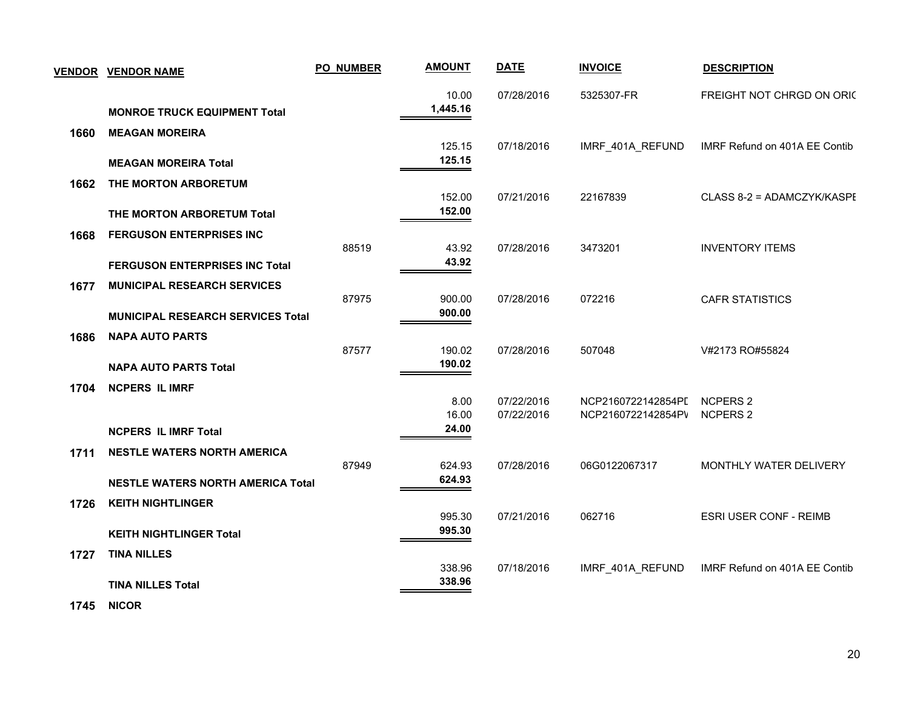|      | <b>VENDOR VENDOR NAME</b>                | PO_NUMBER | <b>AMOUNT</b>     | <b>DATE</b> | <b>INVOICE</b>     | <b>DESCRIPTION</b>            |
|------|------------------------------------------|-----------|-------------------|-------------|--------------------|-------------------------------|
|      | <b>MONROE TRUCK EQUIPMENT Total</b>      |           | 10.00<br>1,445.16 | 07/28/2016  | 5325307-FR         | FREIGHT NOT CHRGD ON ORIC     |
| 1660 | <b>MEAGAN MOREIRA</b>                    |           | 125.15            | 07/18/2016  | IMRF_401A_REFUND   | IMRF Refund on 401A EE Contib |
|      | <b>MEAGAN MOREIRA Total</b>              |           | 125.15            |             |                    |                               |
| 1662 | THE MORTON ARBORETUM                     |           | 152.00            | 07/21/2016  | 22167839           | CLASS 8-2 = ADAMCZYK/KASPE    |
|      | THE MORTON ARBORETUM Total               |           | 152.00            |             |                    |                               |
| 1668 | <b>FERGUSON ENTERPRISES INC</b>          |           |                   |             |                    |                               |
|      | <b>FERGUSON ENTERPRISES INC Total</b>    | 88519     | 43.92<br>43.92    | 07/28/2016  | 3473201            | <b>INVENTORY ITEMS</b>        |
| 1677 | <b>MUNICIPAL RESEARCH SERVICES</b>       |           |                   |             |                    |                               |
|      |                                          | 87975     | 900.00            | 07/28/2016  | 072216             | <b>CAFR STATISTICS</b>        |
|      | <b>MUNICIPAL RESEARCH SERVICES Total</b> |           | 900.00            |             |                    |                               |
| 1686 | <b>NAPA AUTO PARTS</b>                   | 87577     | 190.02            | 07/28/2016  | 507048             | V#2173 RO#55824               |
|      | <b>NAPA AUTO PARTS Total</b>             |           | 190.02            |             |                    |                               |
| 1704 | <b>NCPERS IL IMRF</b>                    |           |                   |             |                    |                               |
|      |                                          |           | 8.00              | 07/22/2016  | NCP2160722142854PI | <b>NCPERS 2</b>               |
|      | <b>NCPERS IL IMRF Total</b>              |           | 16.00<br>24.00    | 07/22/2016  | NCP2160722142854PV | <b>NCPERS 2</b>               |
| 1711 | <b>NESTLE WATERS NORTH AMERICA</b>       |           |                   |             |                    |                               |
|      |                                          | 87949     | 624.93            | 07/28/2016  | 06G0122067317      | MONTHLY WATER DELIVERY        |
|      | <b>NESTLE WATERS NORTH AMERICA Total</b> |           | 624.93            |             |                    |                               |
| 1726 | <b>KEITH NIGHTLINGER</b>                 |           | 995.30            | 07/21/2016  | 062716             | <b>ESRI USER CONF - REIMB</b> |
|      | <b>KEITH NIGHTLINGER Total</b>           |           | 995.30            |             |                    |                               |
| 1727 | <b>TINA NILLES</b>                       |           |                   |             |                    |                               |
|      |                                          |           | 338.96<br>338.96  | 07/18/2016  | IMRF_401A_REFUND   | IMRF Refund on 401A EE Contib |
|      | <b>TINA NILLES Total</b>                 |           |                   |             |                    |                               |

 **1745 NICOR**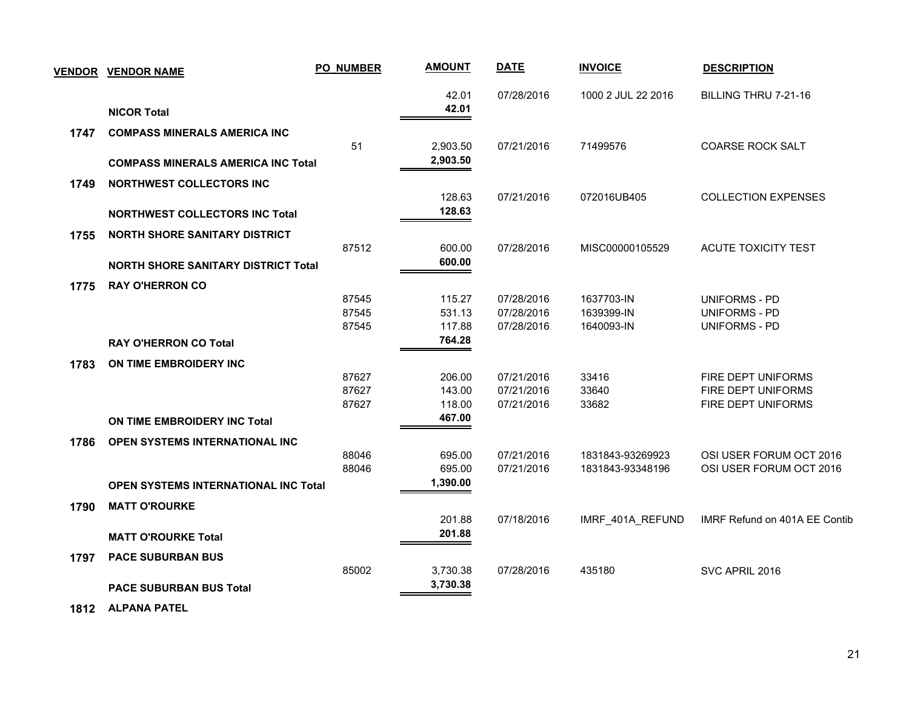| <b>VENDOR</b> | <b>VENDOR NAME</b>                          | <b>PO_NUMBER</b> | <b>AMOUNT</b> | <b>DATE</b> | <b>INVOICE</b>     | <b>DESCRIPTION</b>            |
|---------------|---------------------------------------------|------------------|---------------|-------------|--------------------|-------------------------------|
|               |                                             |                  | 42.01         | 07/28/2016  | 1000 2 JUL 22 2016 | BILLING THRU 7-21-16          |
|               | <b>NICOR Total</b>                          |                  | 42.01         |             |                    |                               |
| 1747          | <b>COMPASS MINERALS AMERICA INC</b>         |                  |               |             |                    |                               |
|               |                                             | 51               | 2,903.50      | 07/21/2016  | 71499576           | <b>COARSE ROCK SALT</b>       |
|               | <b>COMPASS MINERALS AMERICA INC Total</b>   |                  | 2,903.50      |             |                    |                               |
| 1749          | <b>NORTHWEST COLLECTORS INC</b>             |                  |               |             |                    |                               |
|               |                                             |                  | 128.63        | 07/21/2016  | 072016UB405        | <b>COLLECTION EXPENSES</b>    |
|               | <b>NORTHWEST COLLECTORS INC Total</b>       |                  | 128.63        |             |                    |                               |
| 1755          | <b>NORTH SHORE SANITARY DISTRICT</b>        |                  |               |             |                    |                               |
|               |                                             | 87512            | 600.00        | 07/28/2016  | MISC00000105529    | ACUTE TOXICITY TEST           |
|               | <b>NORTH SHORE SANITARY DISTRICT Total</b>  |                  | 600.00        |             |                    |                               |
| 1775          | <b>RAY O'HERRON CO</b>                      |                  |               |             |                    |                               |
|               |                                             | 87545            | 115.27        | 07/28/2016  | 1637703-IN         | UNIFORMS - PD                 |
|               |                                             | 87545            | 531.13        | 07/28/2016  | 1639399-IN         | <b>UNIFORMS - PD</b>          |
|               |                                             | 87545            | 117.88        | 07/28/2016  | 1640093-IN         | UNIFORMS - PD                 |
|               | <b>RAY O'HERRON CO Total</b>                |                  | 764.28        |             |                    |                               |
| 1783          | ON TIME EMBROIDERY INC                      |                  |               |             |                    |                               |
|               |                                             | 87627            | 206.00        | 07/21/2016  | 33416              | FIRE DEPT UNIFORMS            |
|               |                                             | 87627            | 143.00        | 07/21/2016  | 33640              | FIRE DEPT UNIFORMS            |
|               |                                             | 87627            | 118.00        | 07/21/2016  | 33682              | FIRE DEPT UNIFORMS            |
|               | ON TIME EMBROIDERY INC Total                |                  | 467.00        |             |                    |                               |
| 1786          | OPEN SYSTEMS INTERNATIONAL INC              |                  |               |             |                    |                               |
|               |                                             | 88046            | 695.00        | 07/21/2016  | 1831843-93269923   | OSI USER FORUM OCT 2016       |
|               |                                             | 88046            | 695.00        | 07/21/2016  | 1831843-93348196   | OSI USER FORUM OCT 2016       |
|               | <b>OPEN SYSTEMS INTERNATIONAL INC Total</b> |                  | 1,390.00      |             |                    |                               |
| 1790          | <b>MATT O'ROURKE</b>                        |                  |               |             |                    |                               |
|               |                                             |                  | 201.88        | 07/18/2016  | IMRF_401A_REFUND   | IMRF Refund on 401A EE Contib |
|               | <b>MATT O'ROURKE Total</b>                  |                  | 201.88        |             |                    |                               |
| 1797          | <b>PACE SUBURBAN BUS</b>                    |                  |               |             |                    |                               |
|               |                                             | 85002            | 3,730.38      | 07/28/2016  | 435180             | SVC APRIL 2016                |
|               | <b>PACE SUBURBAN BUS Total</b>              |                  | 3,730.38      |             |                    |                               |
|               |                                             |                  |               |             |                    |                               |

 **1812 ALPANA PATEL**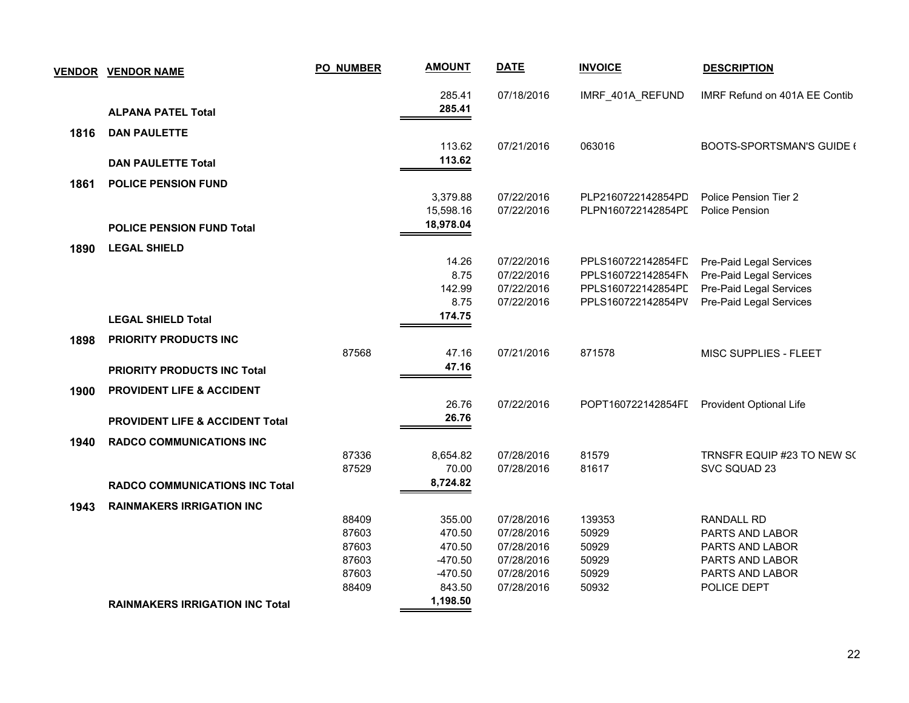|      | <b>VENDOR VENDOR NAME</b>                  | PO_NUMBER | <b>AMOUNT</b> | <b>DATE</b> | <b>INVOICE</b>     | <b>DESCRIPTION</b>               |
|------|--------------------------------------------|-----------|---------------|-------------|--------------------|----------------------------------|
|      |                                            |           | 285.41        | 07/18/2016  | IMRF_401A_REFUND   | IMRF Refund on 401A EE Contib    |
|      | <b>ALPANA PATEL Total</b>                  |           | 285.41        |             |                    |                                  |
| 1816 | <b>DAN PAULETTE</b>                        |           |               |             |                    |                                  |
|      |                                            |           | 113.62        | 07/21/2016  | 063016             | <b>BOOTS-SPORTSMAN'S GUIDE (</b> |
|      | <b>DAN PAULETTE Total</b>                  |           | 113.62        |             |                    |                                  |
| 1861 | <b>POLICE PENSION FUND</b>                 |           |               |             |                    |                                  |
|      |                                            |           | 3,379.88      | 07/22/2016  | PLP2160722142854PD | Police Pension Tier 2            |
|      |                                            |           | 15,598.16     | 07/22/2016  | PLPN160722142854PL | <b>Police Pension</b>            |
|      | <b>POLICE PENSION FUND Total</b>           |           | 18,978.04     |             |                    |                                  |
| 1890 | <b>LEGAL SHIELD</b>                        |           |               |             |                    |                                  |
|      |                                            |           | 14.26         | 07/22/2016  | PPLS160722142854FD | Pre-Paid Legal Services          |
|      |                                            |           | 8.75          | 07/22/2016  | PPLS160722142854FN | Pre-Paid Legal Services          |
|      |                                            |           | 142.99        | 07/22/2016  | PPLS160722142854PD | Pre-Paid Legal Services          |
|      |                                            |           | 8.75          | 07/22/2016  | PPLS160722142854PV | Pre-Paid Legal Services          |
|      | <b>LEGAL SHIELD Total</b>                  |           | 174.75        |             |                    |                                  |
| 1898 | <b>PRIORITY PRODUCTS INC</b>               |           |               |             |                    |                                  |
|      |                                            | 87568     | 47.16         | 07/21/2016  | 871578             | MISC SUPPLIES - FLEET            |
|      | <b>PRIORITY PRODUCTS INC Total</b>         |           | 47.16         |             |                    |                                  |
| 1900 | PROVIDENT LIFE & ACCIDENT                  |           |               |             |                    |                                  |
|      |                                            |           | 26.76         | 07/22/2016  | POPT160722142854FI | Provident Optional Life          |
|      | <b>PROVIDENT LIFE &amp; ACCIDENT Total</b> |           | 26.76         |             |                    |                                  |
| 1940 | <b>RADCO COMMUNICATIONS INC</b>            |           |               |             |                    |                                  |
|      |                                            | 87336     | 8,654.82      | 07/28/2016  | 81579              | TRNSFR EQUIP #23 TO NEW SO       |
|      |                                            | 87529     | 70.00         | 07/28/2016  | 81617              | SVC SQUAD 23                     |
|      | <b>RADCO COMMUNICATIONS INC Total</b>      |           | 8,724.82      |             |                    |                                  |
| 1943 | <b>RAINMAKERS IRRIGATION INC</b>           |           |               |             |                    |                                  |
|      |                                            | 88409     | 355.00        | 07/28/2016  | 139353             | <b>RANDALL RD</b>                |
|      |                                            | 87603     | 470.50        | 07/28/2016  | 50929              | PARTS AND LABOR                  |
|      |                                            | 87603     | 470.50        | 07/28/2016  | 50929              | PARTS AND LABOR                  |
|      |                                            | 87603     | $-470.50$     | 07/28/2016  | 50929              | PARTS AND LABOR                  |
|      |                                            | 87603     | $-470.50$     | 07/28/2016  | 50929              | PARTS AND LABOR                  |
|      |                                            | 88409     | 843.50        | 07/28/2016  | 50932              | POLICE DEPT                      |
|      | <b>RAINMAKERS IRRIGATION INC Total</b>     |           | 1,198.50      |             |                    |                                  |
|      |                                            |           |               |             |                    |                                  |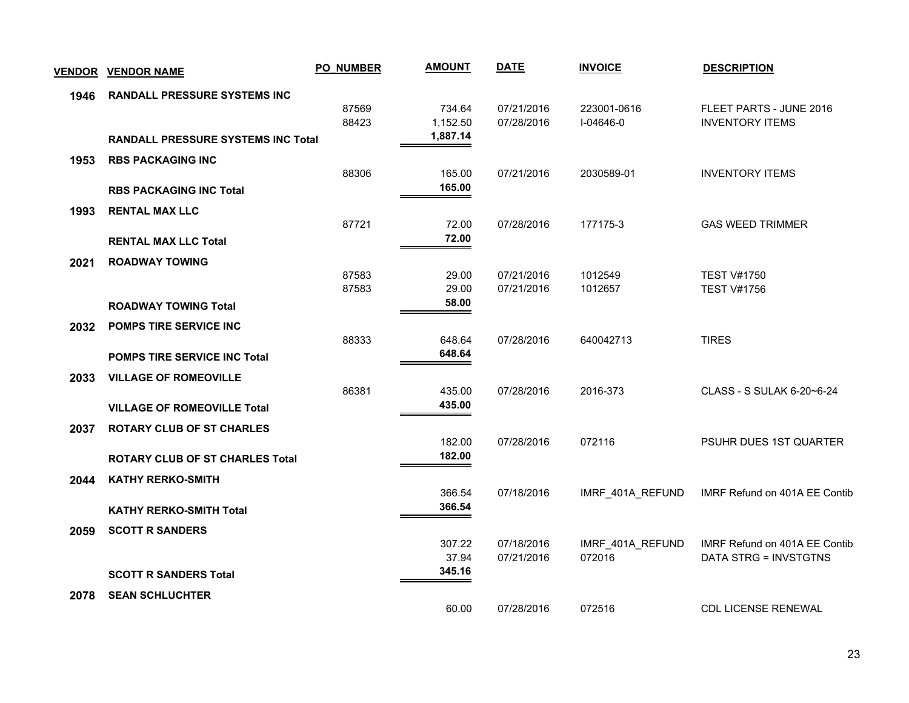|      | <u>VENDOR VENDOR NAME</u>                 | <b>PO_NUMBER</b> | <b>AMOUNT</b>    | <b>DATE</b>              | <b>INVOICE</b>     | <b>DESCRIPTION</b>                       |
|------|-------------------------------------------|------------------|------------------|--------------------------|--------------------|------------------------------------------|
| 1946 | RANDALL PRESSURE SYSTEMS INC              |                  |                  |                          |                    |                                          |
|      |                                           | 87569            | 734.64           | 07/21/2016               | 223001-0616        | FLEET PARTS - JUNE 2016                  |
|      |                                           | 88423            | 1,152.50         | 07/28/2016               | $I - 04646 - 0$    | <b>INVENTORY ITEMS</b>                   |
|      | <b>RANDALL PRESSURE SYSTEMS INC Total</b> |                  | 1,887.14         |                          |                    |                                          |
| 1953 | <b>RBS PACKAGING INC</b>                  |                  |                  |                          |                    |                                          |
|      |                                           | 88306            | 165.00<br>165.00 | 07/21/2016               | 2030589-01         | <b>INVENTORY ITEMS</b>                   |
|      | <b>RBS PACKAGING INC Total</b>            |                  |                  |                          |                    |                                          |
| 1993 | <b>RENTAL MAX LLC</b>                     |                  |                  |                          |                    |                                          |
|      |                                           | 87721            | 72.00<br>72.00   | 07/28/2016               | 177175-3           | <b>GAS WEED TRIMMER</b>                  |
|      | <b>RENTAL MAX LLC Total</b>               |                  |                  |                          |                    |                                          |
| 2021 | <b>ROADWAY TOWING</b>                     |                  |                  |                          |                    |                                          |
|      |                                           | 87583<br>87583   | 29.00<br>29.00   | 07/21/2016<br>07/21/2016 | 1012549<br>1012657 | <b>TEST V#1750</b><br><b>TEST V#1756</b> |
|      | <b>ROADWAY TOWING Total</b>               |                  | 58.00            |                          |                    |                                          |
| 2032 | POMPS TIRE SERVICE INC                    |                  |                  |                          |                    |                                          |
|      |                                           | 88333            | 648.64           | 07/28/2016               | 640042713          | <b>TIRES</b>                             |
|      | <b>POMPS TIRE SERVICE INC Total</b>       |                  | 648.64           |                          |                    |                                          |
| 2033 | <b>VILLAGE OF ROMEOVILLE</b>              |                  |                  |                          |                    |                                          |
|      |                                           | 86381            | 435.00           | 07/28/2016               | 2016-373           | CLASS - S SULAK 6-20~6-24                |
|      | <b>VILLAGE OF ROMEOVILLE Total</b>        |                  | 435.00           |                          |                    |                                          |
| 2037 | <b>ROTARY CLUB OF ST CHARLES</b>          |                  |                  |                          |                    |                                          |
|      |                                           |                  | 182.00           | 07/28/2016               | 072116             | PSUHR DUES 1ST QUARTER                   |
|      | <b>ROTARY CLUB OF ST CHARLES Total</b>    |                  | 182.00           |                          |                    |                                          |
| 2044 | <b>KATHY RERKO-SMITH</b>                  |                  |                  |                          |                    |                                          |
|      |                                           |                  | 366.54           | 07/18/2016               | IMRF 401A REFUND   | IMRF Refund on 401A EE Contib            |
|      | <b>KATHY RERKO-SMITH Total</b>            |                  | 366.54           |                          |                    |                                          |
| 2059 | <b>SCOTT R SANDERS</b>                    |                  |                  |                          |                    |                                          |
|      |                                           |                  | 307.22           | 07/18/2016               | IMRF_401A_REFUND   | IMRF Refund on 401A EE Contib            |
|      |                                           |                  | 37.94            | 07/21/2016               | 072016             | DATA STRG = INVSTGTNS                    |
|      | <b>SCOTT R SANDERS Total</b>              |                  | 345.16           |                          |                    |                                          |
| 2078 | <b>SEAN SCHLUCHTER</b>                    |                  |                  |                          |                    |                                          |
|      |                                           |                  | 60.00            | 07/28/2016               | 072516             | <b>CDL LICENSE RENEWAL</b>               |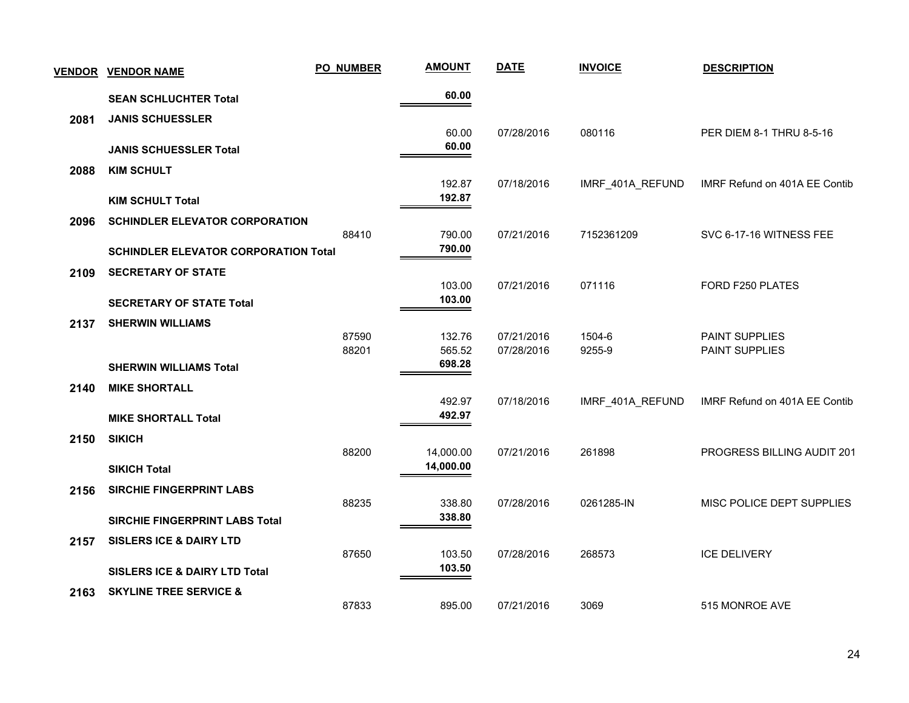| <b>VENDOR</b> | <b>VENDOR NAME</b>                          | <b>PO_NUMBER</b> | <b>AMOUNT</b>          | <b>DATE</b> | <b>INVOICE</b>   | <b>DESCRIPTION</b>            |
|---------------|---------------------------------------------|------------------|------------------------|-------------|------------------|-------------------------------|
|               | <b>SEAN SCHLUCHTER Total</b>                |                  | 60.00                  |             |                  |                               |
| 2081          | <b>JANIS SCHUESSLER</b>                     |                  |                        |             |                  |                               |
|               | <b>JANIS SCHUESSLER Total</b>               |                  | 60.00<br>60.00         | 07/28/2016  | 080116           | PER DIEM 8-1 THRU 8-5-16      |
|               |                                             |                  |                        |             |                  |                               |
| 2088          | <b>KIM SCHULT</b>                           |                  | 192.87                 | 07/18/2016  | IMRF_401A_REFUND | IMRF Refund on 401A EE Contib |
|               | <b>KIM SCHULT Total</b>                     |                  | 192.87                 |             |                  |                               |
| 2096          | <b>SCHINDLER ELEVATOR CORPORATION</b>       |                  |                        |             |                  |                               |
|               |                                             | 88410            | 790.00<br>790.00       | 07/21/2016  | 7152361209       | SVC 6-17-16 WITNESS FEE       |
|               | <b>SCHINDLER ELEVATOR CORPORATION Total</b> |                  |                        |             |                  |                               |
| 2109          | <b>SECRETARY OF STATE</b>                   |                  | 103.00                 | 07/21/2016  | 071116           | FORD F250 PLATES              |
|               | <b>SECRETARY OF STATE Total</b>             |                  | 103.00                 |             |                  |                               |
| 2137          | <b>SHERWIN WILLIAMS</b>                     |                  |                        |             |                  |                               |
|               |                                             | 87590            | 132.76                 | 07/21/2016  | 1504-6           | <b>PAINT SUPPLIES</b>         |
|               | <b>SHERWIN WILLIAMS Total</b>               | 88201            | 565.52<br>698.28       | 07/28/2016  | 9255-9           | PAINT SUPPLIES                |
| 2140          | <b>MIKE SHORTALL</b>                        |                  |                        |             |                  |                               |
|               |                                             |                  | 492.97                 | 07/18/2016  | IMRF_401A_REFUND | IMRF Refund on 401A EE Contib |
|               | <b>MIKE SHORTALL Total</b>                  |                  | 492.97                 |             |                  |                               |
| 2150          | <b>SIKICH</b>                               |                  |                        |             |                  |                               |
|               | <b>SIKICH Total</b>                         | 88200            | 14,000.00<br>14,000.00 | 07/21/2016  | 261898           | PROGRESS BILLING AUDIT 201    |
|               |                                             |                  |                        |             |                  |                               |
| 2156          | <b>SIRCHIE FINGERPRINT LABS</b>             | 88235            | 338.80                 | 07/28/2016  | 0261285-IN       | MISC POLICE DEPT SUPPLIES     |
|               | <b>SIRCHIE FINGERPRINT LABS Total</b>       |                  | 338.80                 |             |                  |                               |
| 2157          | <b>SISLERS ICE &amp; DAIRY LTD</b>          |                  |                        |             |                  |                               |
|               |                                             | 87650            | 103.50                 | 07/28/2016  | 268573           | <b>ICE DELIVERY</b>           |
|               | <b>SISLERS ICE &amp; DAIRY LTD Total</b>    |                  | 103.50                 |             |                  |                               |
| 2163          | <b>SKYLINE TREE SERVICE &amp;</b>           | 87833            | 895.00                 | 07/21/2016  | 3069             | 515 MONROE AVE                |
|               |                                             |                  |                        |             |                  |                               |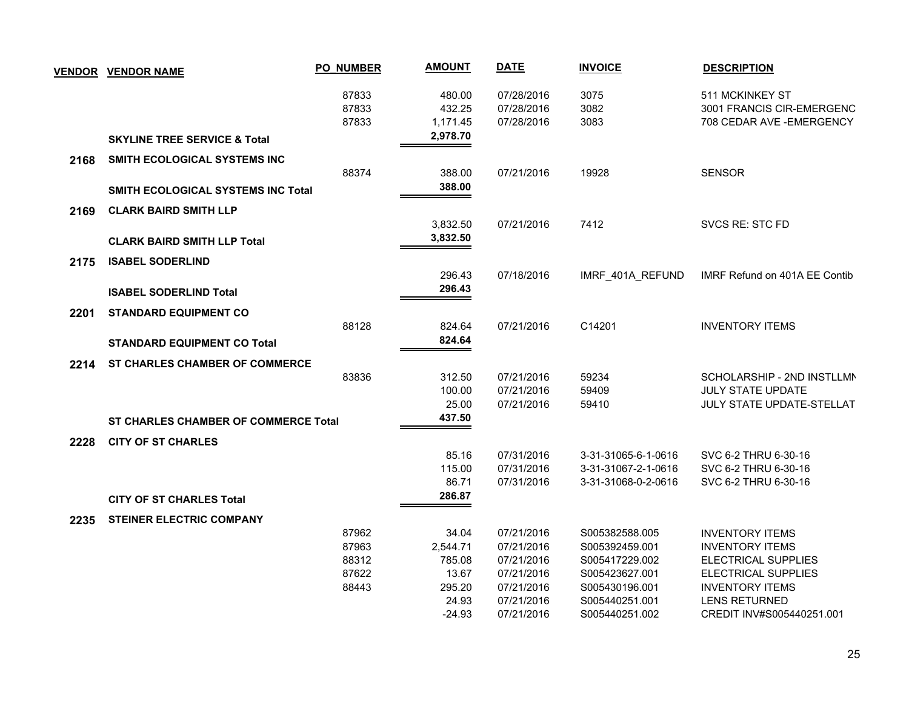|      | <b>VENDOR VENDOR NAME</b>                   | <b>PO_NUMBER</b> | <b>AMOUNT</b> | <b>DATE</b> | <b>INVOICE</b>      | <b>DESCRIPTION</b>            |
|------|---------------------------------------------|------------------|---------------|-------------|---------------------|-------------------------------|
|      |                                             | 87833            | 480.00        | 07/28/2016  | 3075                | 511 MCKINKEY ST               |
|      |                                             | 87833            | 432.25        | 07/28/2016  | 3082                | 3001 FRANCIS CIR-EMERGENC     |
|      |                                             | 87833            | 1,171.45      | 07/28/2016  | 3083                | 708 CEDAR AVE - EMERGENCY     |
|      | <b>SKYLINE TREE SERVICE &amp; Total</b>     |                  | 2,978.70      |             |                     |                               |
| 2168 | SMITH ECOLOGICAL SYSTEMS INC                |                  |               |             |                     |                               |
|      |                                             | 88374            | 388.00        | 07/21/2016  | 19928               | <b>SENSOR</b>                 |
|      | SMITH ECOLOGICAL SYSTEMS INC Total          |                  | 388.00        |             |                     |                               |
| 2169 | <b>CLARK BAIRD SMITH LLP</b>                |                  |               |             |                     |                               |
|      |                                             |                  | 3,832.50      | 07/21/2016  | 7412                | SVCS RE: STC FD               |
|      | <b>CLARK BAIRD SMITH LLP Total</b>          |                  | 3,832.50      |             |                     |                               |
| 2175 | <b>ISABEL SODERLIND</b>                     |                  |               |             |                     |                               |
|      |                                             |                  | 296.43        | 07/18/2016  | IMRF_401A_REFUND    | IMRF Refund on 401A EE Contib |
|      | <b>ISABEL SODERLIND Total</b>               |                  | 296.43        |             |                     |                               |
| 2201 | <b>STANDARD EQUIPMENT CO</b>                |                  |               |             |                     |                               |
|      |                                             | 88128            | 824.64        | 07/21/2016  | C14201              | <b>INVENTORY ITEMS</b>        |
|      | <b>STANDARD EQUIPMENT CO Total</b>          |                  | 824.64        |             |                     |                               |
| 2214 | <b>ST CHARLES CHAMBER OF COMMERCE</b>       |                  |               |             |                     |                               |
|      |                                             | 83836            | 312.50        | 07/21/2016  | 59234               | SCHOLARSHIP - 2ND INSTLLMN    |
|      |                                             |                  | 100.00        | 07/21/2016  | 59409               | <b>JULY STATE UPDATE</b>      |
|      |                                             |                  | 25.00         | 07/21/2016  | 59410               | JULY STATE UPDATE-STELLAT     |
|      | <b>ST CHARLES CHAMBER OF COMMERCE Total</b> |                  | 437.50        |             |                     |                               |
| 2228 | <b>CITY OF ST CHARLES</b>                   |                  |               |             |                     |                               |
|      |                                             |                  | 85.16         | 07/31/2016  | 3-31-31065-6-1-0616 | SVC 6-2 THRU 6-30-16          |
|      |                                             |                  | 115.00        | 07/31/2016  | 3-31-31067-2-1-0616 | SVC 6-2 THRU 6-30-16          |
|      |                                             |                  | 86.71         | 07/31/2016  | 3-31-31068-0-2-0616 | SVC 6-2 THRU 6-30-16          |
|      | <b>CITY OF ST CHARLES Total</b>             |                  | 286.87        |             |                     |                               |
| 2235 | <b>STEINER ELECTRIC COMPANY</b>             |                  |               |             |                     |                               |
|      |                                             | 87962            | 34.04         | 07/21/2016  | S005382588.005      | <b>INVENTORY ITEMS</b>        |
|      |                                             | 87963            | 2,544.71      | 07/21/2016  | S005392459.001      | <b>INVENTORY ITEMS</b>        |
|      |                                             | 88312            | 785.08        | 07/21/2016  | S005417229.002      | <b>ELECTRICAL SUPPLIES</b>    |
|      |                                             | 87622            | 13.67         | 07/21/2016  | S005423627.001      | ELECTRICAL SUPPLIES           |
|      |                                             | 88443            | 295.20        | 07/21/2016  | S005430196.001      | <b>INVENTORY ITEMS</b>        |
|      |                                             |                  | 24.93         | 07/21/2016  | S005440251.001      | <b>LENS RETURNED</b>          |
|      |                                             |                  | $-24.93$      | 07/21/2016  | S005440251.002      | CREDIT INV#S005440251.001     |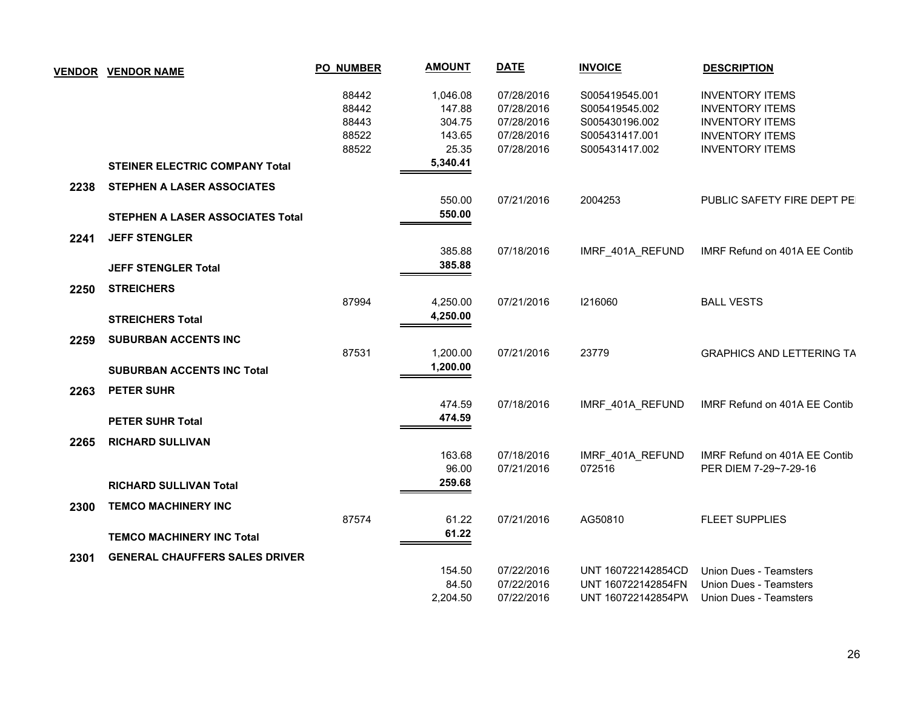|      | <u>VENDOR VENDOR NAME</u>               | <b>PO_NUMBER</b> | <b>AMOUNT</b> | <b>DATE</b> | <b>INVOICE</b>     | <b>DESCRIPTION</b>               |
|------|-----------------------------------------|------------------|---------------|-------------|--------------------|----------------------------------|
|      |                                         | 88442            | 1,046.08      | 07/28/2016  | S005419545.001     | <b>INVENTORY ITEMS</b>           |
|      |                                         | 88442            | 147.88        | 07/28/2016  | S005419545.002     | <b>INVENTORY ITEMS</b>           |
|      |                                         | 88443            | 304.75        | 07/28/2016  | S005430196.002     | <b>INVENTORY ITEMS</b>           |
|      |                                         | 88522            | 143.65        | 07/28/2016  | S005431417.001     | <b>INVENTORY ITEMS</b>           |
|      |                                         | 88522            | 25.35         | 07/28/2016  | S005431417.002     | <b>INVENTORY ITEMS</b>           |
|      | <b>STEINER ELECTRIC COMPANY Total</b>   |                  | 5,340.41      |             |                    |                                  |
| 2238 | STEPHEN A LASER ASSOCIATES              |                  |               |             |                    |                                  |
|      |                                         |                  | 550.00        | 07/21/2016  | 2004253            | PUBLIC SAFETY FIRE DEPT PE       |
|      | <b>STEPHEN A LASER ASSOCIATES Total</b> |                  | 550.00        |             |                    |                                  |
| 2241 | <b>JEFF STENGLER</b>                    |                  |               |             |                    |                                  |
|      |                                         |                  | 385.88        | 07/18/2016  | IMRF_401A_REFUND   | IMRF Refund on 401A EE Contib    |
|      | <b>JEFF STENGLER Total</b>              |                  | 385.88        |             |                    |                                  |
| 2250 | <b>STREICHERS</b>                       |                  |               |             |                    |                                  |
|      |                                         | 87994            | 4,250.00      | 07/21/2016  | 1216060            | <b>BALL VESTS</b>                |
|      | <b>STREICHERS Total</b>                 |                  | 4,250.00      |             |                    |                                  |
|      |                                         |                  |               |             |                    |                                  |
| 2259 | <b>SUBURBAN ACCENTS INC</b>             |                  |               |             |                    |                                  |
|      |                                         | 87531            | 1,200.00      | 07/21/2016  | 23779              | <b>GRAPHICS AND LETTERING TA</b> |
|      | <b>SUBURBAN ACCENTS INC Total</b>       |                  | 1,200.00      |             |                    |                                  |
| 2263 | PETER SUHR                              |                  |               |             |                    |                                  |
|      |                                         |                  | 474.59        | 07/18/2016  | IMRF_401A_REFUND   | IMRF Refund on 401A EE Contib    |
|      | <b>PETER SUHR Total</b>                 |                  | 474.59        |             |                    |                                  |
| 2265 | <b>RICHARD SULLIVAN</b>                 |                  |               |             |                    |                                  |
|      |                                         |                  | 163.68        | 07/18/2016  | IMRF_401A_REFUND   | IMRF Refund on 401A EE Contib    |
|      |                                         |                  | 96.00         | 07/21/2016  | 072516             | PER DIEM 7-29~7-29-16            |
|      | <b>RICHARD SULLIVAN Total</b>           |                  | 259.68        |             |                    |                                  |
| 2300 | <b>TEMCO MACHINERY INC</b>              |                  |               |             |                    |                                  |
|      |                                         | 87574            | 61.22         | 07/21/2016  | AG50810            | <b>FLEET SUPPLIES</b>            |
|      | <b>TEMCO MACHINERY INC Total</b>        |                  | 61.22         |             |                    |                                  |
| 2301 | <b>GENERAL CHAUFFERS SALES DRIVER</b>   |                  |               |             |                    |                                  |
|      |                                         |                  | 154.50        | 07/22/2016  | UNT 160722142854CD | Union Dues - Teamsters           |
|      |                                         |                  | 84.50         | 07/22/2016  | UNT 160722142854FN | Union Dues - Teamsters           |
|      |                                         |                  | 2,204.50      | 07/22/2016  | UNT 160722142854PW | <b>Union Dues - Teamsters</b>    |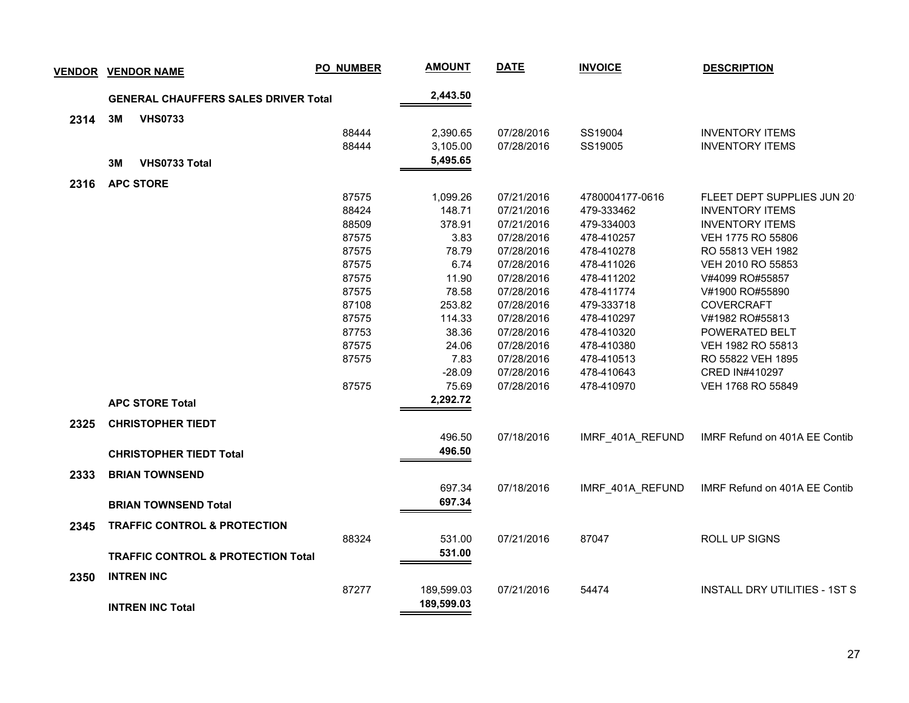| <b>VENDOR</b> |    | <b>VENDOR NAME</b>                            | PO_NUMBER | <b>AMOUNT</b> | <b>DATE</b> | <b>INVOICE</b>   | <b>DESCRIPTION</b>                   |
|---------------|----|-----------------------------------------------|-----------|---------------|-------------|------------------|--------------------------------------|
|               |    | <b>GENERAL CHAUFFERS SALES DRIVER Total</b>   |           | 2,443.50      |             |                  |                                      |
|               |    |                                               |           |               |             |                  |                                      |
| 2314          | 3M | <b>VHS0733</b>                                | 88444     | 2,390.65      | 07/28/2016  | SS19004          | <b>INVENTORY ITEMS</b>               |
|               |    |                                               | 88444     | 3,105.00      | 07/28/2016  | SS19005          | <b>INVENTORY ITEMS</b>               |
|               |    |                                               |           | 5,495.65      |             |                  |                                      |
|               | 3M | <b>VHS0733 Total</b>                          |           |               |             |                  |                                      |
| 2316          |    | <b>APC STORE</b>                              |           |               |             |                  |                                      |
|               |    |                                               | 87575     | 1,099.26      | 07/21/2016  | 4780004177-0616  | FLEET DEPT SUPPLIES JUN 20           |
|               |    |                                               | 88424     | 148.71        | 07/21/2016  | 479-333462       | <b>INVENTORY ITEMS</b>               |
|               |    |                                               | 88509     | 378.91        | 07/21/2016  | 479-334003       | <b>INVENTORY ITEMS</b>               |
|               |    |                                               | 87575     | 3.83          | 07/28/2016  | 478-410257       | VEH 1775 RO 55806                    |
|               |    |                                               | 87575     | 78.79         | 07/28/2016  | 478-410278       | RO 55813 VEH 1982                    |
|               |    |                                               | 87575     | 6.74          | 07/28/2016  | 478-411026       | VEH 2010 RO 55853                    |
|               |    |                                               | 87575     | 11.90         | 07/28/2016  | 478-411202       | V#4099 RO#55857                      |
|               |    |                                               | 87575     | 78.58         | 07/28/2016  | 478-411774       | V#1900 RO#55890                      |
|               |    |                                               | 87108     | 253.82        | 07/28/2016  | 479-333718       | <b>COVERCRAFT</b>                    |
|               |    |                                               | 87575     | 114.33        | 07/28/2016  | 478-410297       | V#1982 RO#55813                      |
|               |    |                                               | 87753     | 38.36         | 07/28/2016  | 478-410320       | POWERATED BELT                       |
|               |    |                                               | 87575     | 24.06         | 07/28/2016  | 478-410380       | VEH 1982 RO 55813                    |
|               |    |                                               | 87575     | 7.83          | 07/28/2016  | 478-410513       | RO 55822 VEH 1895                    |
|               |    |                                               |           | $-28.09$      | 07/28/2016  | 478-410643       | CRED IN#410297                       |
|               |    |                                               | 87575     | 75.69         | 07/28/2016  | 478-410970       | VEH 1768 RO 55849                    |
|               |    | <b>APC STORE Total</b>                        |           | 2,292.72      |             |                  |                                      |
| 2325          |    | <b>CHRISTOPHER TIEDT</b>                      |           |               |             |                  |                                      |
|               |    |                                               |           | 496.50        | 07/18/2016  | IMRF_401A_REFUND | IMRF Refund on 401A EE Contib        |
|               |    | <b>CHRISTOPHER TIEDT Total</b>                |           | 496.50        |             |                  |                                      |
| 2333          |    | <b>BRIAN TOWNSEND</b>                         |           |               |             |                  |                                      |
|               |    |                                               |           | 697.34        | 07/18/2016  | IMRF 401A REFUND | IMRF Refund on 401A EE Contib        |
|               |    | <b>BRIAN TOWNSEND Total</b>                   |           | 697.34        |             |                  |                                      |
|               |    |                                               |           |               |             |                  |                                      |
| 2345          |    | <b>TRAFFIC CONTROL &amp; PROTECTION</b>       | 88324     | 531.00        | 07/21/2016  |                  | ROLL UP SIGNS                        |
|               |    |                                               |           |               |             | 87047            |                                      |
|               |    | <b>TRAFFIC CONTROL &amp; PROTECTION Total</b> |           | 531.00        |             |                  |                                      |
| 2350          |    | <b>INTREN INC</b>                             |           |               |             |                  |                                      |
|               |    |                                               | 87277     | 189,599.03    | 07/21/2016  | 54474            | <b>INSTALL DRY UTILITIES - 1ST S</b> |
|               |    | <b>INTREN INC Total</b>                       |           | 189,599.03    |             |                  |                                      |
|               |    |                                               |           |               |             |                  |                                      |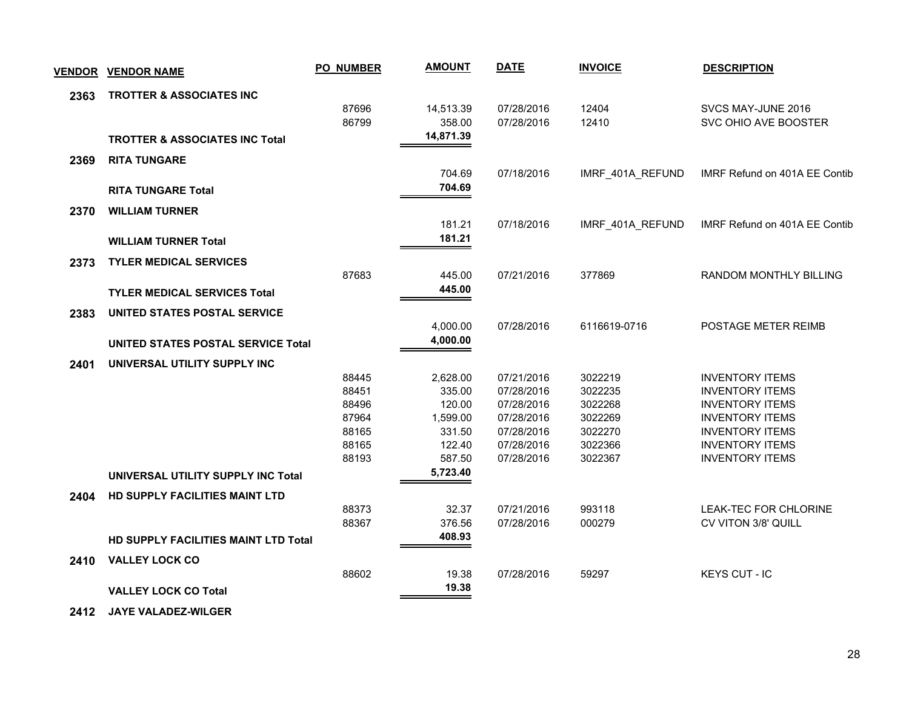| <u>VENDOR</u> | <b>VENDOR NAME</b>                        | <b>PO_NUMBER</b> | <b>AMOUNT</b>      | <b>DATE</b>              | <b>INVOICE</b>     | <b>DESCRIPTION</b>                               |
|---------------|-------------------------------------------|------------------|--------------------|--------------------------|--------------------|--------------------------------------------------|
| 2363          | <b>TROTTER &amp; ASSOCIATES INC</b>       |                  |                    |                          |                    |                                                  |
|               |                                           | 87696            | 14,513.39          | 07/28/2016               | 12404              | SVCS MAY-JUNE 2016                               |
|               |                                           | 86799            | 358.00             | 07/28/2016               | 12410              | SVC OHIO AVE BOOSTER                             |
|               | <b>TROTTER &amp; ASSOCIATES INC Total</b> |                  | 14,871.39          |                          |                    |                                                  |
| 2369          | <b>RITA TUNGARE</b>                       |                  |                    |                          |                    |                                                  |
|               |                                           |                  | 704.69             | 07/18/2016               | IMRF_401A_REFUND   | IMRF Refund on 401A EE Contib                    |
|               | <b>RITA TUNGARE Total</b>                 |                  | 704.69             |                          |                    |                                                  |
| 2370          | <b>WILLIAM TURNER</b>                     |                  |                    |                          |                    |                                                  |
|               |                                           |                  | 181.21             | 07/18/2016               | IMRF_401A_REFUND   | IMRF Refund on 401A EE Contib                    |
|               | <b>WILLIAM TURNER Total</b>               |                  | 181.21             |                          |                    |                                                  |
| 2373          | <b>TYLER MEDICAL SERVICES</b>             |                  |                    |                          |                    |                                                  |
|               |                                           | 87683            | 445.00             | 07/21/2016               | 377869             | RANDOM MONTHLY BILLING                           |
|               | <b>TYLER MEDICAL SERVICES Total</b>       |                  | 445.00             |                          |                    |                                                  |
|               |                                           |                  |                    |                          |                    |                                                  |
| 2383          | UNITED STATES POSTAL SERVICE              |                  | 4,000.00           | 07/28/2016               | 6116619-0716       | POSTAGE METER REIMB                              |
|               |                                           |                  | 4,000.00           |                          |                    |                                                  |
|               | UNITED STATES POSTAL SERVICE Total        |                  |                    |                          |                    |                                                  |
| 2401          | UNIVERSAL UTILITY SUPPLY INC              |                  |                    |                          |                    |                                                  |
|               |                                           | 88445<br>88451   | 2,628.00<br>335.00 | 07/21/2016<br>07/28/2016 | 3022219<br>3022235 | <b>INVENTORY ITEMS</b><br><b>INVENTORY ITEMS</b> |
|               |                                           | 88496            | 120.00             | 07/28/2016               | 3022268            | <b>INVENTORY ITEMS</b>                           |
|               |                                           | 87964            | 1,599.00           | 07/28/2016               | 3022269            | <b>INVENTORY ITEMS</b>                           |
|               |                                           | 88165            | 331.50             | 07/28/2016               | 3022270            | <b>INVENTORY ITEMS</b>                           |
|               |                                           | 88165            | 122.40             | 07/28/2016               | 3022366            | <b>INVENTORY ITEMS</b>                           |
|               |                                           | 88193            | 587.50             | 07/28/2016               | 3022367            | <b>INVENTORY ITEMS</b>                           |
|               | UNIVERSAL UTILITY SUPPLY INC Total        |                  | 5,723.40           |                          |                    |                                                  |
| 2404          | HD SUPPLY FACILITIES MAINT LTD            |                  |                    |                          |                    |                                                  |
|               |                                           | 88373            | 32.37              | 07/21/2016               | 993118             | LEAK-TEC FOR CHLORINE                            |
|               |                                           | 88367            | 376.56             | 07/28/2016               | 000279             | CV VITON 3/8' QUILL                              |
|               | HD SUPPLY FACILITIES MAINT LTD Total      |                  | 408.93             |                          |                    |                                                  |
| 2410          | <b>VALLEY LOCK CO</b>                     |                  |                    |                          |                    |                                                  |
|               |                                           | 88602            | 19.38              | 07/28/2016               | 59297              | <b>KEYS CUT - IC</b>                             |
|               | <b>VALLEY LOCK CO Total</b>               |                  | 19.38              |                          |                    |                                                  |
|               |                                           |                  |                    |                          |                    |                                                  |

 **2412 JAYE VALADEZ-WILGER**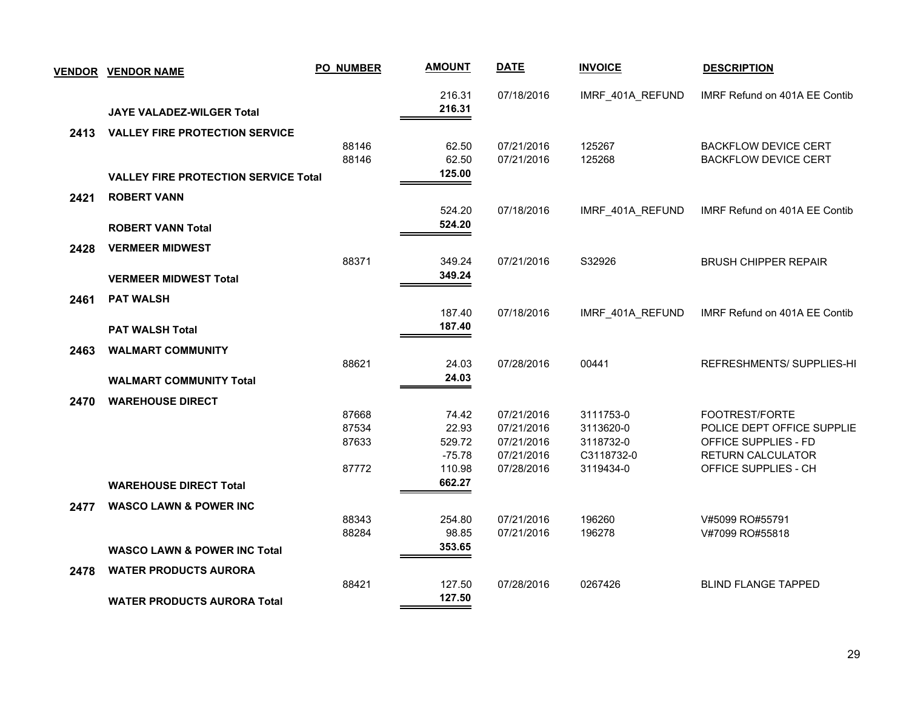|      | <b>VENDOR VENDOR NAME</b>                                          | <b>PO_NUMBER</b>                 | <b>AMOUNT</b>                                  | <b>DATE</b>                                                        | <b>INVOICE</b>                                                 | <b>DESCRIPTION</b>                                                                                                |
|------|--------------------------------------------------------------------|----------------------------------|------------------------------------------------|--------------------------------------------------------------------|----------------------------------------------------------------|-------------------------------------------------------------------------------------------------------------------|
|      | JAYE VALADEZ-WILGER Total                                          |                                  | 216.31<br>216.31                               | 07/18/2016                                                         | IMRF_401A_REFUND                                               | IMRF Refund on 401A EE Contib                                                                                     |
| 2413 | <b>VALLEY FIRE PROTECTION SERVICE</b>                              | 88146<br>88146                   | 62.50<br>62.50<br>125.00                       | 07/21/2016<br>07/21/2016                                           | 125267<br>125268                                               | <b>BACKFLOW DEVICE CERT</b><br><b>BACKFLOW DEVICE CERT</b>                                                        |
| 2421 | <b>VALLEY FIRE PROTECTION SERVICE Total</b><br><b>ROBERT VANN</b>  |                                  | 524.20                                         | 07/18/2016                                                         | IMRF_401A_REFUND                                               | IMRF Refund on 401A EE Contib                                                                                     |
| 2428 | <b>ROBERT VANN Total</b><br><b>VERMEER MIDWEST</b>                 | 88371                            | 524.20<br>349.24                               | 07/21/2016                                                         | S32926                                                         | <b>BRUSH CHIPPER REPAIR</b>                                                                                       |
| 2461 | <b>VERMEER MIDWEST Total</b><br><b>PAT WALSH</b>                   |                                  | 349.24<br>187.40                               | 07/18/2016                                                         | IMRF_401A_REFUND                                               | IMRF Refund on 401A EE Contib                                                                                     |
| 2463 | <b>PAT WALSH Total</b><br><b>WALMART COMMUNITY</b>                 | 88621                            | 187.40<br>24.03                                | 07/28/2016                                                         | 00441                                                          | REFRESHMENTS/SUPPLIES-HI                                                                                          |
| 2470 | <b>WALMART COMMUNITY Total</b><br><b>WAREHOUSE DIRECT</b>          |                                  | 24.03                                          |                                                                    |                                                                |                                                                                                                   |
|      |                                                                    | 87668<br>87534<br>87633<br>87772 | 74.42<br>22.93<br>529.72<br>$-75.78$<br>110.98 | 07/21/2016<br>07/21/2016<br>07/21/2016<br>07/21/2016<br>07/28/2016 | 3111753-0<br>3113620-0<br>3118732-0<br>C3118732-0<br>3119434-0 | FOOTREST/FORTE<br>POLICE DEPT OFFICE SUPPLIE<br>OFFICE SUPPLIES - FD<br>RETURN CALCULATOR<br>OFFICE SUPPLIES - CH |
| 2477 | <b>WAREHOUSE DIRECT Total</b><br><b>WASCO LAWN &amp; POWER INC</b> |                                  | 662.27                                         |                                                                    |                                                                |                                                                                                                   |
|      | <b>WASCO LAWN &amp; POWER INC Total</b>                            | 88343<br>88284                   | 254.80<br>98.85<br>353.65                      | 07/21/2016<br>07/21/2016                                           | 196260<br>196278                                               | V#5099 RO#55791<br>V#7099 RO#55818                                                                                |
| 2478 | <b>WATER PRODUCTS AURORA</b>                                       | 88421                            | 127.50                                         | 07/28/2016                                                         | 0267426                                                        | <b>BLIND FLANGE TAPPED</b>                                                                                        |
|      | <b>WATER PRODUCTS AURORA Total</b>                                 |                                  | 127.50                                         |                                                                    |                                                                |                                                                                                                   |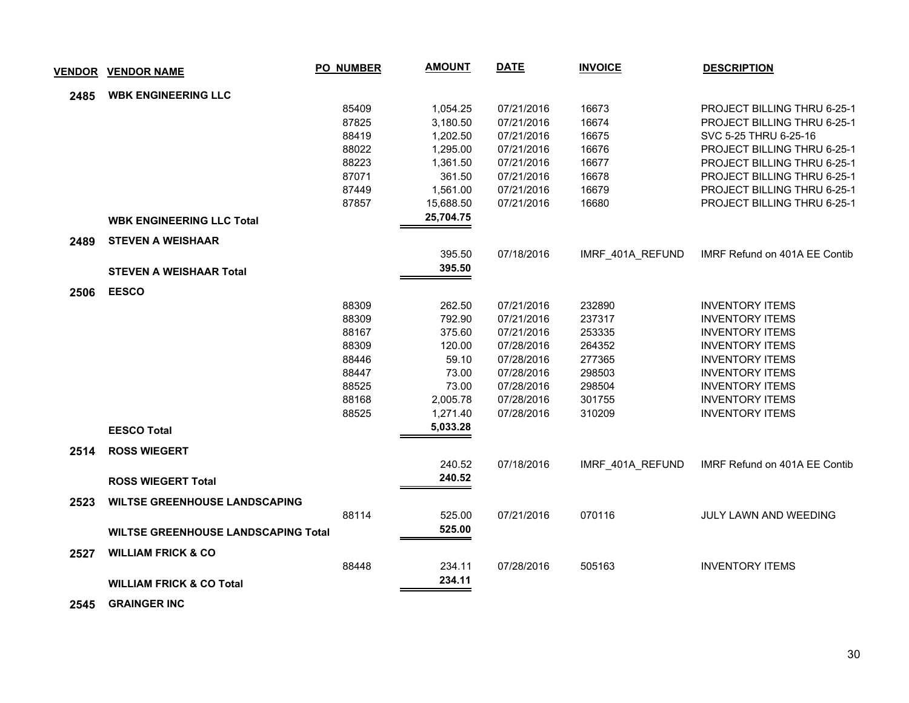| <u>VENDOR</u> | <b>VENDOR NAME</b>                         | <b>PO_NUMBER</b> | <b>AMOUNT</b> | <b>DATE</b> | <b>INVOICE</b>   | <b>DESCRIPTION</b>                 |
|---------------|--------------------------------------------|------------------|---------------|-------------|------------------|------------------------------------|
| 2485          | <b>WBK ENGINEERING LLC</b>                 |                  |               |             |                  |                                    |
|               |                                            | 85409            | 1,054.25      | 07/21/2016  | 16673            | PROJECT BILLING THRU 6-25-1        |
|               |                                            | 87825            | 3,180.50      | 07/21/2016  | 16674            | PROJECT BILLING THRU 6-25-1        |
|               |                                            | 88419            | 1,202.50      | 07/21/2016  | 16675            | SVC 5-25 THRU 6-25-16              |
|               |                                            | 88022            | 1,295.00      | 07/21/2016  | 16676            | PROJECT BILLING THRU 6-25-1        |
|               |                                            | 88223            | 1,361.50      | 07/21/2016  | 16677            | PROJECT BILLING THRU 6-25-1        |
|               |                                            | 87071            | 361.50        | 07/21/2016  | 16678            | PROJECT BILLING THRU 6-25-1        |
|               |                                            | 87449            | 1,561.00      | 07/21/2016  | 16679            | <b>PROJECT BILLING THRU 6-25-1</b> |
|               |                                            | 87857            | 15,688.50     | 07/21/2016  | 16680            | <b>PROJECT BILLING THRU 6-25-1</b> |
|               | <b>WBK ENGINEERING LLC Total</b>           |                  | 25,704.75     |             |                  |                                    |
| 2489          | <b>STEVEN A WEISHAAR</b>                   |                  |               |             |                  |                                    |
|               |                                            |                  | 395.50        | 07/18/2016  | IMRF_401A_REFUND | IMRF Refund on 401A EE Contib      |
|               | <b>STEVEN A WEISHAAR Total</b>             |                  | 395.50        |             |                  |                                    |
| 2506          | <b>EESCO</b>                               |                  |               |             |                  |                                    |
|               |                                            | 88309            | 262.50        | 07/21/2016  | 232890           | <b>INVENTORY ITEMS</b>             |
|               |                                            | 88309            | 792.90        | 07/21/2016  | 237317           | <b>INVENTORY ITEMS</b>             |
|               |                                            | 88167            | 375.60        | 07/21/2016  | 253335           | <b>INVENTORY ITEMS</b>             |
|               |                                            | 88309            | 120.00        | 07/28/2016  | 264352           | <b>INVENTORY ITEMS</b>             |
|               |                                            | 88446            | 59.10         | 07/28/2016  | 277365           | <b>INVENTORY ITEMS</b>             |
|               |                                            | 88447            | 73.00         | 07/28/2016  | 298503           | <b>INVENTORY ITEMS</b>             |
|               |                                            | 88525            | 73.00         | 07/28/2016  | 298504           | <b>INVENTORY ITEMS</b>             |
|               |                                            | 88168            | 2,005.78      | 07/28/2016  | 301755           | <b>INVENTORY ITEMS</b>             |
|               |                                            | 88525            | 1,271.40      | 07/28/2016  | 310209           | <b>INVENTORY ITEMS</b>             |
|               | <b>EESCO Total</b>                         |                  | 5,033.28      |             |                  |                                    |
| 2514          | <b>ROSS WIEGERT</b>                        |                  |               |             |                  |                                    |
|               |                                            |                  | 240.52        | 07/18/2016  | IMRF_401A_REFUND | IMRF Refund on 401A EE Contib      |
|               | <b>ROSS WIEGERT Total</b>                  |                  | 240.52        |             |                  |                                    |
| 2523          | <b>WILTSE GREENHOUSE LANDSCAPING</b>       |                  |               |             |                  |                                    |
|               |                                            | 88114            | 525.00        | 07/21/2016  | 070116           | JULY LAWN AND WEEDING              |
|               | <b>WILTSE GREENHOUSE LANDSCAPING Total</b> |                  | 525.00        |             |                  |                                    |
|               |                                            |                  |               |             |                  |                                    |
| 2527          | <b>WILLIAM FRICK &amp; CO</b>              |                  |               |             |                  |                                    |
|               |                                            | 88448            | 234.11        | 07/28/2016  | 505163           | <b>INVENTORY ITEMS</b>             |
|               | <b>WILLIAM FRICK &amp; CO Total</b>        |                  | 234.11        |             |                  |                                    |

 **2545 GRAINGER INC**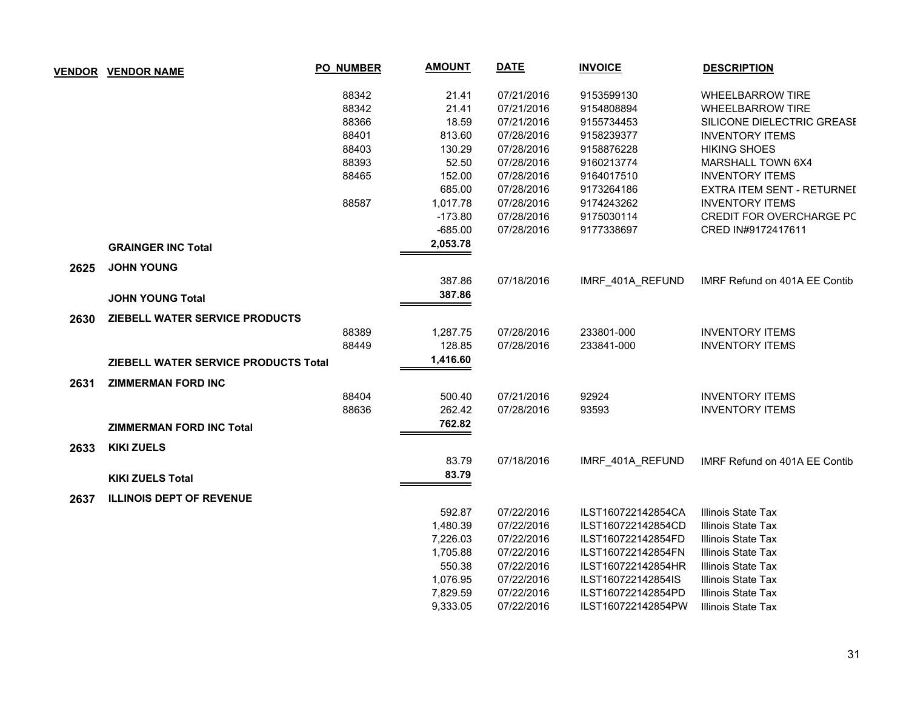|      | <b>VENDOR VENDOR NAME</b>            | <b>PO_NUMBER</b> | <b>AMOUNT</b> | <b>DATE</b> | <b>INVOICE</b>     | <b>DESCRIPTION</b>            |
|------|--------------------------------------|------------------|---------------|-------------|--------------------|-------------------------------|
|      |                                      | 88342            | 21.41         | 07/21/2016  | 9153599130         | <b>WHEELBARROW TIRE</b>       |
|      |                                      | 88342            | 21.41         | 07/21/2016  | 9154808894         | <b>WHEELBARROW TIRE</b>       |
|      |                                      | 88366            | 18.59         | 07/21/2016  | 9155734453         | SILICONE DIELECTRIC GREASE    |
|      |                                      | 88401            | 813.60        | 07/28/2016  | 9158239377         | <b>INVENTORY ITEMS</b>        |
|      |                                      | 88403            | 130.29        | 07/28/2016  | 9158876228         | <b>HIKING SHOES</b>           |
|      |                                      | 88393            | 52.50         | 07/28/2016  | 9160213774         | MARSHALL TOWN 6X4             |
|      |                                      | 88465            | 152.00        | 07/28/2016  | 9164017510         | <b>INVENTORY ITEMS</b>        |
|      |                                      |                  | 685.00        | 07/28/2016  | 9173264186         | EXTRA ITEM SENT - RETURNEI    |
|      |                                      | 88587            | 1,017.78      | 07/28/2016  | 9174243262         | <b>INVENTORY ITEMS</b>        |
|      |                                      |                  | $-173.80$     | 07/28/2016  | 9175030114         | CREDIT FOR OVERCHARGE PC      |
|      |                                      |                  | $-685.00$     | 07/28/2016  | 9177338697         | CRED IN#9172417611            |
|      | <b>GRAINGER INC Total</b>            |                  | 2,053.78      |             |                    |                               |
| 2625 | <b>JOHN YOUNG</b>                    |                  |               |             |                    |                               |
|      |                                      |                  | 387.86        | 07/18/2016  | IMRF 401A REFUND   | IMRF Refund on 401A EE Contib |
|      | <b>JOHN YOUNG Total</b>              |                  | 387.86        |             |                    |                               |
| 2630 | ZIEBELL WATER SERVICE PRODUCTS       |                  |               |             |                    |                               |
|      |                                      | 88389            | 1,287.75      | 07/28/2016  | 233801-000         | <b>INVENTORY ITEMS</b>        |
|      |                                      | 88449            | 128.85        | 07/28/2016  | 233841-000         | <b>INVENTORY ITEMS</b>        |
|      | ZIEBELL WATER SERVICE PRODUCTS Total |                  | 1,416.60      |             |                    |                               |
| 2631 | <b>ZIMMERMAN FORD INC</b>            |                  |               |             |                    |                               |
|      |                                      | 88404            | 500.40        | 07/21/2016  | 92924              | <b>INVENTORY ITEMS</b>        |
|      |                                      | 88636            | 262.42        | 07/28/2016  | 93593              | <b>INVENTORY ITEMS</b>        |
|      | <b>ZIMMERMAN FORD INC Total</b>      |                  | 762.82        |             |                    |                               |
| 2633 | <b>KIKI ZUELS</b>                    |                  |               |             |                    |                               |
|      |                                      |                  | 83.79         | 07/18/2016  | IMRF 401A REFUND   | IMRF Refund on 401A EE Contib |
|      | <b>KIKI ZUELS Total</b>              |                  | 83.79         |             |                    |                               |
| 2637 | <b>ILLINOIS DEPT OF REVENUE</b>      |                  |               |             |                    |                               |
|      |                                      |                  | 592.87        | 07/22/2016  | ILST160722142854CA | Illinois State Tax            |
|      |                                      |                  | 1,480.39      | 07/22/2016  | ILST160722142854CD | Illinois State Tax            |
|      |                                      |                  | 7,226.03      | 07/22/2016  | ILST160722142854FD | Illinois State Tax            |
|      |                                      |                  | 1,705.88      | 07/22/2016  | ILST160722142854FN | Illinois State Tax            |
|      |                                      |                  | 550.38        | 07/22/2016  | ILST160722142854HR | Illinois State Tax            |
|      |                                      |                  | 1,076.95      | 07/22/2016  | ILST160722142854IS | Illinois State Tax            |
|      |                                      |                  | 7,829.59      | 07/22/2016  | ILST160722142854PD | Illinois State Tax            |
|      |                                      |                  | 9,333.05      | 07/22/2016  | ILST160722142854PW | Illinois State Tax            |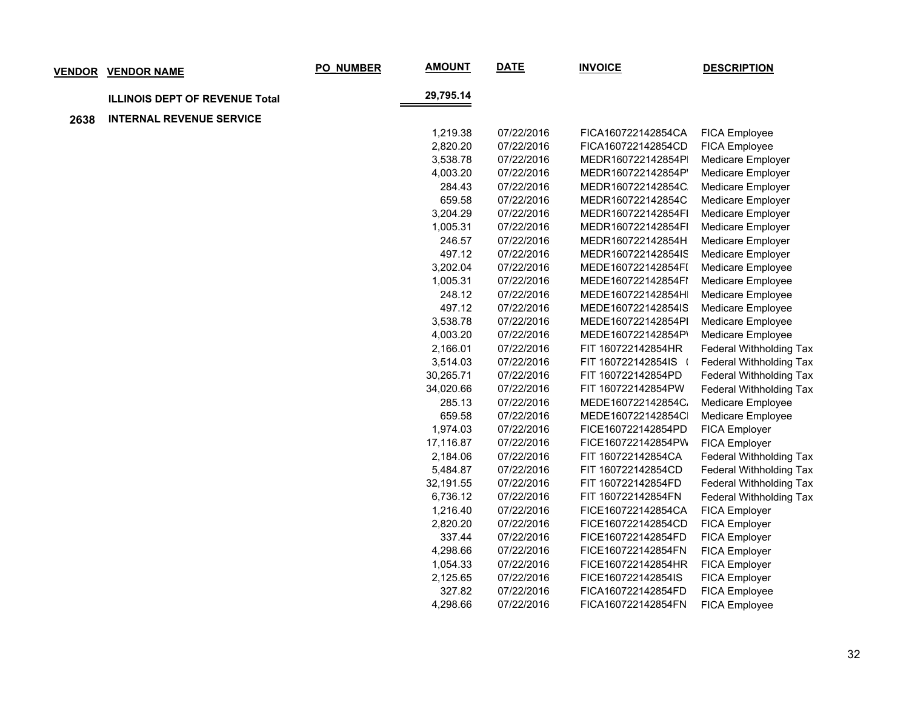|      | <b>VENDOR VENDOR NAME</b>             | PO_NUMBER | <b>AMOUNT</b> | <b>DATE</b> | <b>INVOICE</b>     | <b>DESCRIPTION</b>             |
|------|---------------------------------------|-----------|---------------|-------------|--------------------|--------------------------------|
|      | <b>ILLINOIS DEPT OF REVENUE Total</b> |           | 29,795.14     |             |                    |                                |
| 2638 | <b>INTERNAL REVENUE SERVICE</b>       |           |               |             |                    |                                |
|      |                                       |           | 1,219.38      | 07/22/2016  | FICA160722142854CA | FICA Employee                  |
|      |                                       |           | 2,820.20      | 07/22/2016  | FICA160722142854CD | FICA Employee                  |
|      |                                       |           | 3,538.78      | 07/22/2016  | MEDR160722142854P  | Medicare Employer              |
|      |                                       |           | 4,003.20      | 07/22/2016  | MEDR160722142854P  | Medicare Employer              |
|      |                                       |           | 284.43        | 07/22/2016  | MEDR160722142854C  | Medicare Employer              |
|      |                                       |           | 659.58        | 07/22/2016  | MEDR160722142854C  | Medicare Employer              |
|      |                                       |           | 3,204.29      | 07/22/2016  | MEDR160722142854FI | Medicare Employer              |
|      |                                       |           | 1,005.31      | 07/22/2016  | MEDR160722142854FI | Medicare Employer              |
|      |                                       |           | 246.57        | 07/22/2016  | MEDR160722142854H  | Medicare Employer              |
|      |                                       |           | 497.12        | 07/22/2016  | MEDR160722142854IS | Medicare Employer              |
|      |                                       |           | 3,202.04      | 07/22/2016  | MEDE160722142854FI | Medicare Employee              |
|      |                                       |           | 1,005.31      | 07/22/2016  | MEDE160722142854FI | Medicare Employee              |
|      |                                       |           | 248.12        | 07/22/2016  | MEDE160722142854H  | Medicare Employee              |
|      |                                       |           | 497.12        | 07/22/2016  | MEDE160722142854IS | Medicare Employee              |
|      |                                       |           | 3,538.78      | 07/22/2016  | MEDE160722142854Pl | Medicare Employee              |
|      |                                       |           | 4,003.20      | 07/22/2016  | MEDE160722142854P' | Medicare Employee              |
|      |                                       |           | 2,166.01      | 07/22/2016  | FIT 160722142854HR | Federal Withholding Tax        |
|      |                                       |           | 3,514.03      | 07/22/2016  | FIT 160722142854IS | Federal Withholding Tax        |
|      |                                       |           | 30,265.71     | 07/22/2016  | FIT 160722142854PD | Federal Withholding Tax        |
|      |                                       |           | 34,020.66     | 07/22/2016  | FIT 160722142854PW | Federal Withholding Tax        |
|      |                                       |           | 285.13        | 07/22/2016  | MEDE160722142854C  | Medicare Employee              |
|      |                                       |           | 659.58        | 07/22/2016  | MEDE160722142854C  | Medicare Employee              |
|      |                                       |           | 1,974.03      | 07/22/2016  | FICE160722142854PD | FICA Employer                  |
|      |                                       |           | 17,116.87     | 07/22/2016  | FICE160722142854PW | FICA Employer                  |
|      |                                       |           | 2,184.06      | 07/22/2016  | FIT 160722142854CA | Federal Withholding Tax        |
|      |                                       |           | 5,484.87      | 07/22/2016  | FIT 160722142854CD | Federal Withholding Tax        |
|      |                                       |           | 32,191.55     | 07/22/2016  | FIT 160722142854FD | <b>Federal Withholding Tax</b> |
|      |                                       |           | 6,736.12      | 07/22/2016  | FIT 160722142854FN | Federal Withholding Tax        |
|      |                                       |           | 1,216.40      | 07/22/2016  | FICE160722142854CA | FICA Employer                  |
|      |                                       |           | 2,820.20      | 07/22/2016  | FICE160722142854CD | FICA Employer                  |
|      |                                       |           | 337.44        | 07/22/2016  | FICE160722142854FD | FICA Employer                  |
|      |                                       |           | 4,298.66      | 07/22/2016  | FICE160722142854FN | FICA Employer                  |
|      |                                       |           | 1,054.33      | 07/22/2016  | FICE160722142854HR | <b>FICA Employer</b>           |
|      |                                       |           | 2,125.65      | 07/22/2016  | FICE160722142854IS | FICA Employer                  |
|      |                                       |           | 327.82        | 07/22/2016  | FICA160722142854FD | FICA Employee                  |
|      |                                       |           | 4,298.66      | 07/22/2016  | FICA160722142854FN | <b>FICA Employee</b>           |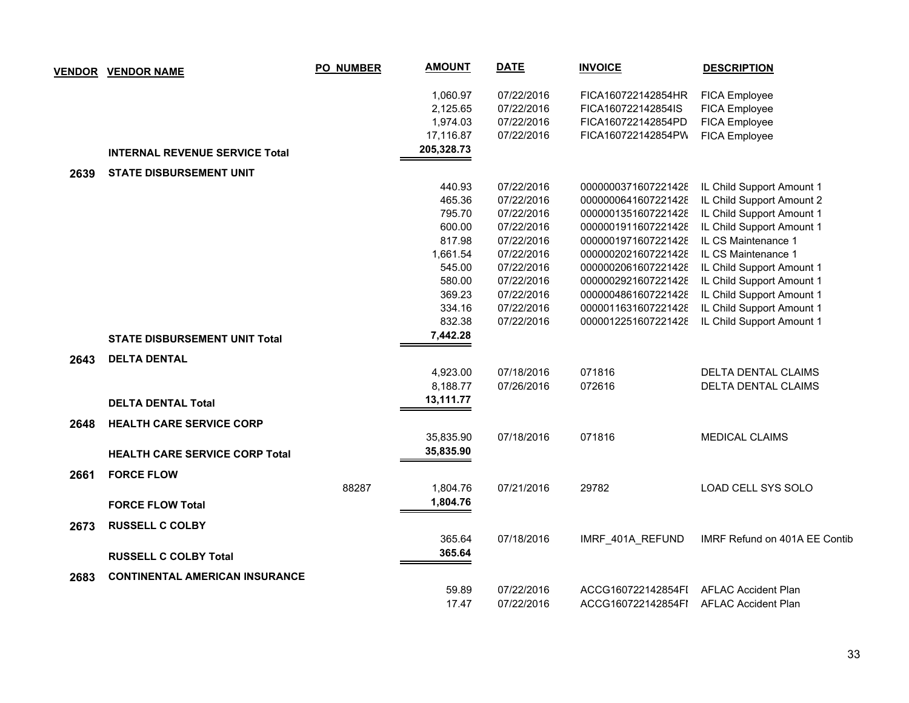| <b>VENDOR</b> | <b>VENDOR NAME</b>                    | <b>PO_NUMBER</b> | <b>AMOUNT</b> | <b>DATE</b> | <b>INVOICE</b>      | <b>DESCRIPTION</b>            |
|---------------|---------------------------------------|------------------|---------------|-------------|---------------------|-------------------------------|
|               |                                       |                  | 1,060.97      | 07/22/2016  | FICA160722142854HR  | <b>FICA Employee</b>          |
|               |                                       |                  | 2,125.65      | 07/22/2016  | FICA160722142854IS  | FICA Employee                 |
|               |                                       |                  | 1,974.03      | 07/22/2016  | FICA160722142854PD  | FICA Employee                 |
|               |                                       |                  | 17,116.87     | 07/22/2016  | FICA160722142854PW  | FICA Employee                 |
|               | <b>INTERNAL REVENUE SERVICE Total</b> |                  | 205,328.73    |             |                     |                               |
| 2639          | <b>STATE DISBURSEMENT UNIT</b>        |                  |               |             |                     |                               |
|               |                                       |                  | 440.93        | 07/22/2016  | 0000000371607221428 | IL Child Support Amount 1     |
|               |                                       |                  | 465.36        | 07/22/2016  | 0000000641607221428 | IL Child Support Amount 2     |
|               |                                       |                  | 795.70        | 07/22/2016  | 0000001351607221428 | IL Child Support Amount 1     |
|               |                                       |                  | 600.00        | 07/22/2016  | 0000001911607221428 | IL Child Support Amount 1     |
|               |                                       |                  | 817.98        | 07/22/2016  | 0000001971607221428 | IL CS Maintenance 1           |
|               |                                       |                  | 1,661.54      | 07/22/2016  | 0000002021607221428 | IL CS Maintenance 1           |
|               |                                       |                  | 545.00        | 07/22/2016  | 0000002061607221428 | IL Child Support Amount 1     |
|               |                                       |                  | 580.00        | 07/22/2016  | 0000002921607221428 | IL Child Support Amount 1     |
|               |                                       |                  | 369.23        | 07/22/2016  | 0000004861607221428 | IL Child Support Amount 1     |
|               |                                       |                  | 334.16        | 07/22/2016  | 0000011631607221428 | IL Child Support Amount 1     |
|               |                                       |                  | 832.38        | 07/22/2016  | 0000012251607221428 | IL Child Support Amount 1     |
|               | <b>STATE DISBURSEMENT UNIT Total</b>  |                  | 7,442.28      |             |                     |                               |
| 2643          | <b>DELTA DENTAL</b>                   |                  |               |             |                     |                               |
|               |                                       |                  | 4,923.00      | 07/18/2016  | 071816              | DELTA DENTAL CLAIMS           |
|               |                                       |                  | 8,188.77      | 07/26/2016  | 072616              | DELTA DENTAL CLAIMS           |
|               | <b>DELTA DENTAL Total</b>             |                  | 13,111.77     |             |                     |                               |
| 2648          | <b>HEALTH CARE SERVICE CORP</b>       |                  |               |             |                     |                               |
|               |                                       |                  | 35,835.90     | 07/18/2016  | 071816              | <b>MEDICAL CLAIMS</b>         |
|               | <b>HEALTH CARE SERVICE CORP Total</b> |                  | 35,835.90     |             |                     |                               |
| 2661          | <b>FORCE FLOW</b>                     |                  |               |             |                     |                               |
|               |                                       | 88287            | 1,804.76      | 07/21/2016  | 29782               | LOAD CELL SYS SOLO            |
|               | <b>FORCE FLOW Total</b>               |                  | 1,804.76      |             |                     |                               |
|               |                                       |                  |               |             |                     |                               |
| 2673          | <b>RUSSELL C COLBY</b>                |                  |               |             |                     |                               |
|               |                                       |                  | 365.64        | 07/18/2016  | IMRF 401A REFUND    | IMRF Refund on 401A EE Contib |
|               | <b>RUSSELL C COLBY Total</b>          |                  | 365.64        |             |                     |                               |
| 2683          | <b>CONTINENTAL AMERICAN INSURANCE</b> |                  |               |             |                     |                               |
|               |                                       |                  | 59.89         | 07/22/2016  | ACCG160722142854FI  | <b>AFLAC Accident Plan</b>    |
|               |                                       |                  | 17.47         | 07/22/2016  | ACCG160722142854FI  | <b>AFLAC Accident Plan</b>    |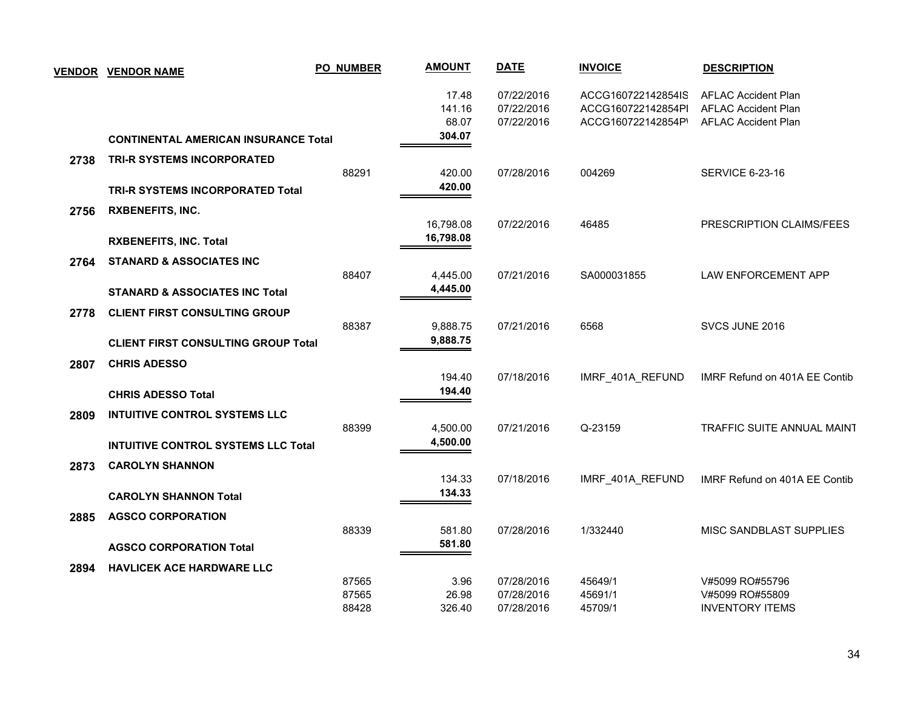|      | <b>VENDOR VENDOR NAME</b>                   | <b>PO_NUMBER</b> | <b>AMOUNT</b>            | <b>DATE</b>                            | <b>INVOICE</b>                                                 | <b>DESCRIPTION</b>                                                                     |
|------|---------------------------------------------|------------------|--------------------------|----------------------------------------|----------------------------------------------------------------|----------------------------------------------------------------------------------------|
|      |                                             |                  | 17.48<br>141.16<br>68.07 | 07/22/2016<br>07/22/2016<br>07/22/2016 | ACCG160722142854IS<br>ACCG160722142854Pl<br>ACCG160722142854P' | <b>AFLAC Accident Plan</b><br><b>AFLAC Accident Plan</b><br><b>AFLAC Accident Plan</b> |
|      | <b>CONTINENTAL AMERICAN INSURANCE Total</b> |                  | 304.07                   |                                        |                                                                |                                                                                        |
| 2738 | <b>TRI-R SYSTEMS INCORPORATED</b>           |                  |                          |                                        |                                                                |                                                                                        |
|      |                                             | 88291            | 420.00<br>420.00         | 07/28/2016                             | 004269                                                         | <b>SERVICE 6-23-16</b>                                                                 |
|      | <b>TRI-R SYSTEMS INCORPORATED Total</b>     |                  |                          |                                        |                                                                |                                                                                        |
| 2756 | <b>RXBENEFITS, INC.</b>                     |                  |                          |                                        |                                                                |                                                                                        |
|      |                                             |                  | 16,798.08<br>16,798.08   | 07/22/2016                             | 46485                                                          | PRESCRIPTION CLAIMS/FEES                                                               |
|      | <b>RXBENEFITS, INC. Total</b>               |                  |                          |                                        |                                                                |                                                                                        |
| 2764 | <b>STANARD &amp; ASSOCIATES INC</b>         |                  |                          |                                        |                                                                |                                                                                        |
|      | <b>STANARD &amp; ASSOCIATES INC Total</b>   | 88407            | 4,445.00<br>4,445.00     | 07/21/2016                             | SA000031855                                                    | LAW ENFORCEMENT APP                                                                    |
|      |                                             |                  |                          |                                        |                                                                |                                                                                        |
| 2778 | <b>CLIENT FIRST CONSULTING GROUP</b>        | 88387            | 9,888.75                 | 07/21/2016                             | 6568                                                           | SVCS JUNE 2016                                                                         |
|      | <b>CLIENT FIRST CONSULTING GROUP Total</b>  |                  | 9,888.75                 |                                        |                                                                |                                                                                        |
|      |                                             |                  |                          |                                        |                                                                |                                                                                        |
| 2807 | <b>CHRIS ADESSO</b>                         |                  | 194.40                   | 07/18/2016                             | IMRF_401A_REFUND                                               | IMRF Refund on 401A EE Contib                                                          |
|      | <b>CHRIS ADESSO Total</b>                   |                  | 194.40                   |                                        |                                                                |                                                                                        |
| 2809 | <b>INTUITIVE CONTROL SYSTEMS LLC</b>        |                  |                          |                                        |                                                                |                                                                                        |
|      |                                             | 88399            | 4,500.00                 | 07/21/2016                             | Q-23159                                                        | <b>TRAFFIC SUITE ANNUAL MAINT</b>                                                      |
|      | <b>INTUITIVE CONTROL SYSTEMS LLC Total</b>  |                  | 4,500.00                 |                                        |                                                                |                                                                                        |
| 2873 | <b>CAROLYN SHANNON</b>                      |                  |                          |                                        |                                                                |                                                                                        |
|      |                                             |                  | 134.33                   | 07/18/2016                             | IMRF 401A REFUND                                               | IMRF Refund on 401A EE Contib                                                          |
|      | <b>CAROLYN SHANNON Total</b>                |                  | 134.33                   |                                        |                                                                |                                                                                        |
| 2885 | <b>AGSCO CORPORATION</b>                    |                  |                          |                                        |                                                                |                                                                                        |
|      |                                             | 88339            | 581.80                   | 07/28/2016                             | 1/332440                                                       | MISC SANDBLAST SUPPLIES                                                                |
|      | <b>AGSCO CORPORATION Total</b>              |                  | 581.80                   |                                        |                                                                |                                                                                        |
| 2894 | <b>HAVLICEK ACE HARDWARE LLC</b>            |                  |                          |                                        |                                                                |                                                                                        |
|      |                                             | 87565            | 3.96                     | 07/28/2016                             | 45649/1                                                        | V#5099 RO#55796                                                                        |
|      |                                             | 87565            | 26.98                    | 07/28/2016                             | 45691/1                                                        | V#5099 RO#55809                                                                        |
|      |                                             | 88428            | 326.40                   | 07/28/2016                             | 45709/1                                                        | <b>INVENTORY ITEMS</b>                                                                 |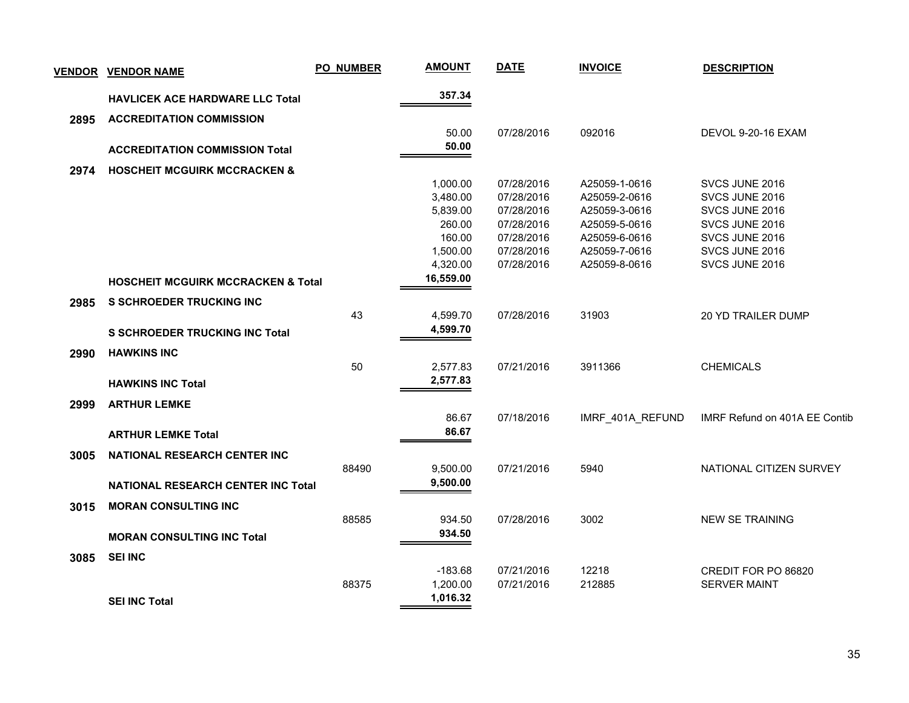| <b>VENDOR</b> | <b>VENDOR NAME</b>                            | <b>PO_NUMBER</b> | <b>AMOUNT</b>         | <b>DATE</b> | <b>INVOICE</b>   | <b>DESCRIPTION</b>            |
|---------------|-----------------------------------------------|------------------|-----------------------|-------------|------------------|-------------------------------|
|               | HAVLICEK ACE HARDWARE LLC Total               |                  | 357.34                |             |                  |                               |
| 2895          | <b>ACCREDITATION COMMISSION</b>               |                  |                       |             |                  |                               |
|               |                                               |                  | 50.00                 | 07/28/2016  | 092016           | <b>DEVOL 9-20-16 EXAM</b>     |
|               | <b>ACCREDITATION COMMISSION Total</b>         |                  | 50.00                 |             |                  |                               |
| 2974          | <b>HOSCHEIT MCGUIRK MCCRACKEN &amp;</b>       |                  |                       |             |                  |                               |
|               |                                               |                  | 1,000.00              | 07/28/2016  | A25059-1-0616    | SVCS JUNE 2016                |
|               |                                               |                  | 3,480.00              | 07/28/2016  | A25059-2-0616    | SVCS JUNE 2016                |
|               |                                               |                  | 5,839.00              | 07/28/2016  | A25059-3-0616    | SVCS JUNE 2016                |
|               |                                               |                  | 260.00                | 07/28/2016  | A25059-5-0616    | SVCS JUNE 2016                |
|               |                                               |                  | 160.00                | 07/28/2016  | A25059-6-0616    | SVCS JUNE 2016                |
|               |                                               |                  | 1,500.00              | 07/28/2016  | A25059-7-0616    | SVCS JUNE 2016                |
|               |                                               |                  | 4,320.00<br>16,559.00 | 07/28/2016  | A25059-8-0616    | SVCS JUNE 2016                |
|               | <b>HOSCHEIT MCGUIRK MCCRACKEN &amp; Total</b> |                  |                       |             |                  |                               |
| 2985          | <b>S SCHROEDER TRUCKING INC</b>               |                  |                       |             |                  |                               |
|               |                                               | 43               | 4,599.70              | 07/28/2016  | 31903            | <b>20 YD TRAILER DUMP</b>     |
|               | <b>S SCHROEDER TRUCKING INC Total</b>         |                  | 4,599.70              |             |                  |                               |
| 2990          | <b>HAWKINS INC</b>                            |                  |                       |             |                  |                               |
|               |                                               | 50               | 2,577.83              | 07/21/2016  | 3911366          | <b>CHEMICALS</b>              |
|               | <b>HAWKINS INC Total</b>                      |                  | 2,577.83              |             |                  |                               |
| 2999          | <b>ARTHUR LEMKE</b>                           |                  |                       |             |                  |                               |
|               |                                               |                  | 86.67                 | 07/18/2016  | IMRF_401A_REFUND | IMRF Refund on 401A EE Contib |
|               | <b>ARTHUR LEMKE Total</b>                     |                  | 86.67                 |             |                  |                               |
| 3005          | NATIONAL RESEARCH CENTER INC                  |                  |                       |             |                  |                               |
|               |                                               | 88490            | 9,500.00              | 07/21/2016  | 5940             | NATIONAL CITIZEN SURVEY       |
|               | <b>NATIONAL RESEARCH CENTER INC Total</b>     |                  | 9,500.00              |             |                  |                               |
| 3015          | <b>MORAN CONSULTING INC</b>                   |                  |                       |             |                  |                               |
|               |                                               | 88585            | 934.50                | 07/28/2016  | 3002             | <b>NEW SE TRAINING</b>        |
|               | <b>MORAN CONSULTING INC Total</b>             |                  | 934.50                |             |                  |                               |
|               |                                               |                  |                       |             |                  |                               |
| 3085          | <b>SEI INC</b>                                |                  |                       |             |                  |                               |
|               |                                               |                  | $-183.68$             | 07/21/2016  | 12218            | CREDIT FOR PO 86820           |
|               |                                               | 88375            | 1,200.00<br>1,016.32  | 07/21/2016  | 212885           | <b>SERVER MAINT</b>           |
|               | <b>SEI INC Total</b>                          |                  |                       |             |                  |                               |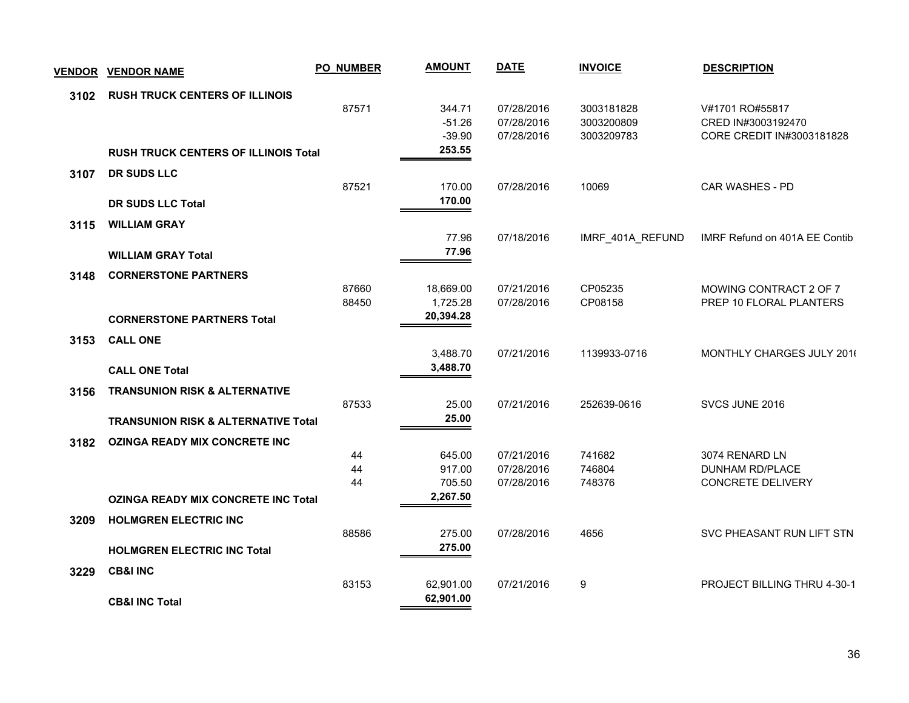| <b>VENDOR</b> | <b>VENDOR NAME</b>                             | <b>PO_NUMBER</b> | <b>AMOUNT</b>      | <b>DATE</b>              | <b>INVOICE</b>   | <b>DESCRIPTION</b>                          |
|---------------|------------------------------------------------|------------------|--------------------|--------------------------|------------------|---------------------------------------------|
| 3102          | <b>RUSH TRUCK CENTERS OF ILLINOIS</b>          |                  |                    |                          |                  |                                             |
|               |                                                | 87571            | 344.71             | 07/28/2016               | 3003181828       | V#1701 RO#55817                             |
|               |                                                |                  | $-51.26$           | 07/28/2016               | 3003200809       | CRED IN#3003192470                          |
|               | <b>RUSH TRUCK CENTERS OF ILLINOIS Total</b>    |                  | $-39.90$<br>253.55 | 07/28/2016               | 3003209783       | CORE CREDIT IN#3003181828                   |
| 3107          | DR SUDS LLC                                    |                  |                    |                          |                  |                                             |
|               |                                                | 87521            | 170.00             | 07/28/2016               | 10069            | CAR WASHES - PD                             |
|               | <b>DR SUDS LLC Total</b>                       |                  | 170.00             |                          |                  |                                             |
| 3115          | <b>WILLIAM GRAY</b>                            |                  |                    |                          |                  |                                             |
|               |                                                |                  | 77.96              | 07/18/2016               | IMRF_401A_REFUND | IMRF Refund on 401A EE Contib               |
|               | <b>WILLIAM GRAY Total</b>                      |                  | 77.96              |                          |                  |                                             |
| 3148          | <b>CORNERSTONE PARTNERS</b>                    |                  |                    |                          |                  |                                             |
|               |                                                | 87660            | 18,669.00          | 07/21/2016               | CP05235          | MOWING CONTRACT 2 OF 7                      |
|               |                                                | 88450            | 1,725.28           | 07/28/2016               | CP08158          | PREP 10 FLORAL PLANTERS                     |
|               | <b>CORNERSTONE PARTNERS Total</b>              |                  | 20,394.28          |                          |                  |                                             |
| 3153          | <b>CALL ONE</b>                                |                  |                    |                          |                  |                                             |
|               |                                                |                  | 3,488.70           | 07/21/2016               | 1139933-0716     | MONTHLY CHARGES JULY 2016                   |
|               | <b>CALL ONE Total</b>                          |                  | 3,488.70           |                          |                  |                                             |
| 3156          | <b>TRANSUNION RISK &amp; ALTERNATIVE</b>       |                  |                    |                          |                  |                                             |
|               |                                                | 87533            | 25.00              | 07/21/2016               | 252639-0616      | SVCS JUNE 2016                              |
|               | <b>TRANSUNION RISK &amp; ALTERNATIVE Total</b> |                  | 25.00              |                          |                  |                                             |
| 3182          | <b>OZINGA READY MIX CONCRETE INC</b>           |                  |                    |                          |                  |                                             |
|               |                                                | 44               | 645.00             | 07/21/2016               | 741682           | 3074 RENARD LN                              |
|               |                                                | 44<br>44         | 917.00<br>705.50   | 07/28/2016<br>07/28/2016 | 746804<br>748376 | <b>DUNHAM RD/PLACE</b><br>CONCRETE DELIVERY |
|               | <b>OZINGA READY MIX CONCRETE INC Total</b>     |                  | 2,267.50           |                          |                  |                                             |
|               |                                                |                  |                    |                          |                  |                                             |
| 3209          | <b>HOLMGREN ELECTRIC INC</b>                   | 88586            | 275.00             | 07/28/2016               | 4656             | SVC PHEASANT RUN LIFT STN                   |
|               | <b>HOLMGREN ELECTRIC INC Total</b>             |                  | 275.00             |                          |                  |                                             |
|               | <b>CB&amp;I INC</b>                            |                  |                    |                          |                  |                                             |
| 3229          |                                                | 83153            | 62,901.00          | 07/21/2016               | 9                | <b>PROJECT BILLING THRU 4-30-1</b>          |
|               | <b>CB&amp;I INC Total</b>                      |                  | 62,901.00          |                          |                  |                                             |
|               |                                                |                  |                    |                          |                  |                                             |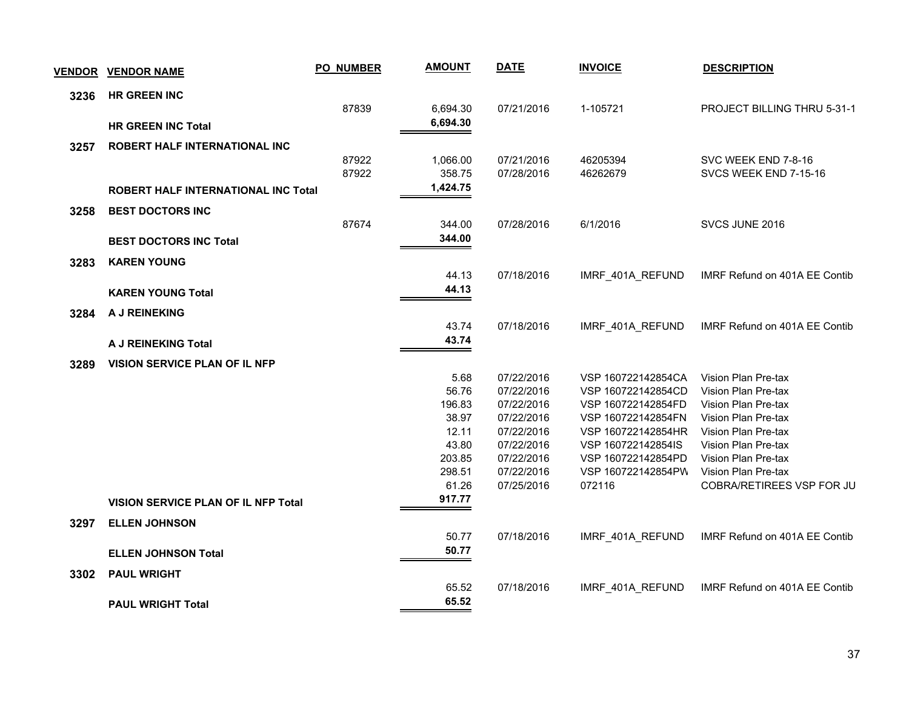| <b>VENDOR</b> | <b>VENDOR NAME</b>                         | <b>PO_NUMBER</b> | <b>AMOUNT</b> | <b>DATE</b> | <b>INVOICE</b>     | <b>DESCRIPTION</b>            |
|---------------|--------------------------------------------|------------------|---------------|-------------|--------------------|-------------------------------|
| 3236          | <b>HR GREEN INC</b>                        |                  |               |             |                    |                               |
|               |                                            | 87839            | 6,694.30      | 07/21/2016  | 1-105721           | PROJECT BILLING THRU 5-31-1   |
|               | <b>HR GREEN INC Total</b>                  |                  | 6,694.30      |             |                    |                               |
| 3257          | ROBERT HALF INTERNATIONAL INC              |                  |               |             |                    |                               |
|               |                                            | 87922            | 1,066.00      | 07/21/2016  | 46205394           | SVC WEEK END 7-8-16           |
|               |                                            | 87922            | 358.75        | 07/28/2016  | 46262679           | SVCS WEEK END 7-15-16         |
|               | <b>ROBERT HALF INTERNATIONAL INC Total</b> |                  | 1,424.75      |             |                    |                               |
| 3258          | <b>BEST DOCTORS INC</b>                    |                  |               |             |                    |                               |
|               |                                            | 87674            | 344.00        | 07/28/2016  | 6/1/2016           | SVCS JUNE 2016                |
|               | <b>BEST DOCTORS INC Total</b>              |                  | 344.00        |             |                    |                               |
| 3283          | <b>KAREN YOUNG</b>                         |                  |               |             |                    |                               |
|               |                                            |                  | 44.13         | 07/18/2016  | IMRF_401A_REFUND   | IMRF Refund on 401A EE Contib |
|               | <b>KAREN YOUNG Total</b>                   |                  | 44.13         |             |                    |                               |
| 3284          | A J REINEKING                              |                  |               |             |                    |                               |
|               |                                            |                  | 43.74         | 07/18/2016  | IMRF_401A_REFUND   | IMRF Refund on 401A EE Contib |
|               | A J REINEKING Total                        |                  | 43.74         |             |                    |                               |
| 3289          | VISION SERVICE PLAN OF IL NFP              |                  |               |             |                    |                               |
|               |                                            |                  | 5.68          | 07/22/2016  | VSP 160722142854CA | Vision Plan Pre-tax           |
|               |                                            |                  | 56.76         | 07/22/2016  | VSP 160722142854CD | Vision Plan Pre-tax           |
|               |                                            |                  | 196.83        | 07/22/2016  | VSP 160722142854FD | Vision Plan Pre-tax           |
|               |                                            |                  | 38.97         | 07/22/2016  | VSP 160722142854FN | Vision Plan Pre-tax           |
|               |                                            |                  | 12.11         | 07/22/2016  | VSP 160722142854HR | Vision Plan Pre-tax           |
|               |                                            |                  | 43.80         | 07/22/2016  | VSP 160722142854IS | Vision Plan Pre-tax           |
|               |                                            |                  | 203.85        | 07/22/2016  | VSP 160722142854PD | Vision Plan Pre-tax           |
|               |                                            |                  | 298.51        | 07/22/2016  | VSP 160722142854PW | Vision Plan Pre-tax           |
|               |                                            |                  | 61.26         | 07/25/2016  | 072116             | COBRA/RETIREES VSP FOR JU     |
|               | VISION SERVICE PLAN OF IL NFP Total        |                  | 917.77        |             |                    |                               |
| 3297          | <b>ELLEN JOHNSON</b>                       |                  |               |             |                    |                               |
|               |                                            |                  | 50.77         | 07/18/2016  | IMRF_401A_REFUND   | IMRF Refund on 401A EE Contib |
|               | <b>ELLEN JOHNSON Total</b>                 |                  | 50.77         |             |                    |                               |
| 3302          | <b>PAUL WRIGHT</b>                         |                  |               |             |                    |                               |
|               |                                            |                  | 65.52         | 07/18/2016  | IMRF 401A REFUND   | IMRF Refund on 401A EE Contib |
|               | <b>PAUL WRIGHT Total</b>                   |                  | 65.52         |             |                    |                               |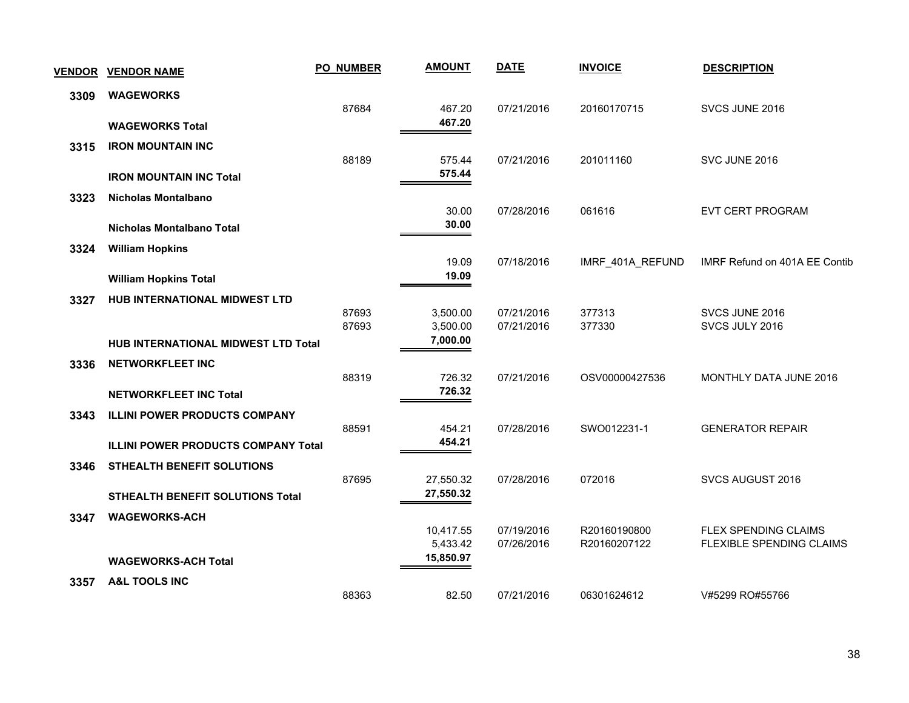| <b>VENDOR</b> | <b>VENDOR NAME</b>                         | <b>PO_NUMBER</b> | <b>AMOUNT</b>          | <b>DATE</b> | <b>INVOICE</b>   | <b>DESCRIPTION</b>              |
|---------------|--------------------------------------------|------------------|------------------------|-------------|------------------|---------------------------------|
| 3309          | <b>WAGEWORKS</b>                           |                  |                        |             |                  |                                 |
|               |                                            | 87684            | 467.20                 | 07/21/2016  | 20160170715      | SVCS JUNE 2016                  |
|               | <b>WAGEWORKS Total</b>                     |                  | 467.20                 |             |                  |                                 |
| 3315          | <b>IRON MOUNTAIN INC</b>                   |                  |                        |             |                  |                                 |
|               |                                            | 88189            | 575.44<br>575.44       | 07/21/2016  | 201011160        | SVC JUNE 2016                   |
|               | <b>IRON MOUNTAIN INC Total</b>             |                  |                        |             |                  |                                 |
| 3323          | Nicholas Montalbano                        |                  |                        |             |                  |                                 |
|               | <b>Nicholas Montalbano Total</b>           |                  | 30.00<br>30.00         | 07/28/2016  | 061616           | <b>EVT CERT PROGRAM</b>         |
|               |                                            |                  |                        |             |                  |                                 |
| 3324          | <b>William Hopkins</b>                     |                  | 19.09                  | 07/18/2016  | IMRF_401A_REFUND | IMRF Refund on 401A EE Contib   |
|               | <b>William Hopkins Total</b>               |                  | 19.09                  |             |                  |                                 |
| 3327          | <b>HUB INTERNATIONAL MIDWEST LTD</b>       |                  |                        |             |                  |                                 |
|               |                                            | 87693            | 3,500.00               | 07/21/2016  | 377313           | SVCS JUNE 2016                  |
|               |                                            | 87693            | 3,500.00               | 07/21/2016  | 377330           | SVCS JULY 2016                  |
|               | HUB INTERNATIONAL MIDWEST LTD Total        |                  | 7,000.00               |             |                  |                                 |
| 3336          | <b>NETWORKFLEET INC</b>                    |                  |                        |             |                  |                                 |
|               |                                            | 88319            | 726.32                 | 07/21/2016  | OSV00000427536   | <b>MONTHLY DATA JUNE 2016</b>   |
|               | <b>NETWORKFLEET INC Total</b>              |                  | 726.32                 |             |                  |                                 |
| 3343          | <b>ILLINI POWER PRODUCTS COMPANY</b>       |                  |                        |             |                  |                                 |
|               |                                            | 88591            | 454.21<br>454.21       | 07/28/2016  | SWO012231-1      | <b>GENERATOR REPAIR</b>         |
|               | <b>ILLINI POWER PRODUCTS COMPANY Total</b> |                  |                        |             |                  |                                 |
| 3346          | STHEALTH BENEFIT SOLUTIONS                 |                  |                        |             |                  |                                 |
|               | <b>STHEALTH BENEFIT SOLUTIONS Total</b>    | 87695            | 27,550.32<br>27,550.32 | 07/28/2016  | 072016           | SVCS AUGUST 2016                |
|               |                                            |                  |                        |             |                  |                                 |
| 3347          | <b>WAGEWORKS-ACH</b>                       |                  | 10,417.55              | 07/19/2016  | R20160190800     | FLEX SPENDING CLAIMS            |
|               |                                            |                  | 5,433.42               | 07/26/2016  | R20160207122     | <b>FLEXIBLE SPENDING CLAIMS</b> |
|               | <b>WAGEWORKS-ACH Total</b>                 |                  | 15,850.97              |             |                  |                                 |
| 3357          | <b>A&amp;L TOOLS INC</b>                   |                  |                        |             |                  |                                 |
|               |                                            | 88363            | 82.50                  | 07/21/2016  | 06301624612      | V#5299 RO#55766                 |
|               |                                            |                  |                        |             |                  |                                 |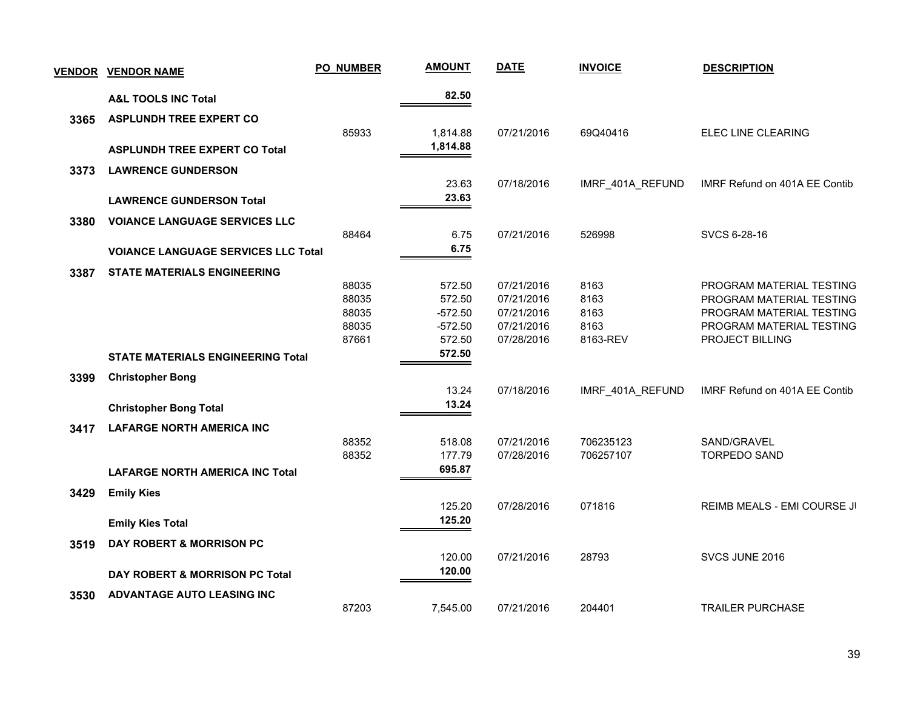| <b>VENDOR</b> | <b>VENDOR NAME</b>                         | PO_NUMBER | <b>AMOUNT</b> | <b>DATE</b> | <b>INVOICE</b>   | <b>DESCRIPTION</b>            |
|---------------|--------------------------------------------|-----------|---------------|-------------|------------------|-------------------------------|
|               | <b>A&amp;L TOOLS INC Total</b>             |           | 82.50         |             |                  |                               |
| 3365          | <b>ASPLUNDH TREE EXPERT CO</b>             |           |               |             |                  |                               |
|               |                                            | 85933     | 1,814.88      | 07/21/2016  | 69Q40416         | ELEC LINE CLEARING            |
|               | <b>ASPLUNDH TREE EXPERT CO Total</b>       |           | 1,814.88      |             |                  |                               |
| 3373          | <b>LAWRENCE GUNDERSON</b>                  |           |               |             |                  |                               |
|               |                                            |           | 23.63         | 07/18/2016  | IMRF_401A_REFUND | IMRF Refund on 401A EE Contib |
|               | <b>LAWRENCE GUNDERSON Total</b>            |           | 23.63         |             |                  |                               |
| 3380          | <b>VOIANCE LANGUAGE SERVICES LLC</b>       |           |               |             |                  |                               |
|               |                                            | 88464     | 6.75          | 07/21/2016  | 526998           | SVCS 6-28-16                  |
|               | <b>VOIANCE LANGUAGE SERVICES LLC Total</b> |           | 6.75          |             |                  |                               |
| 3387          | <b>STATE MATERIALS ENGINEERING</b>         |           |               |             |                  |                               |
|               |                                            | 88035     | 572.50        | 07/21/2016  | 8163             | PROGRAM MATERIAL TESTING      |
|               |                                            | 88035     | 572.50        | 07/21/2016  | 8163             | PROGRAM MATERIAL TESTING      |
|               |                                            | 88035     | $-572.50$     | 07/21/2016  | 8163             | PROGRAM MATERIAL TESTING      |
|               |                                            | 88035     | $-572.50$     | 07/21/2016  | 8163             | PROGRAM MATERIAL TESTING      |
|               |                                            | 87661     | 572.50        | 07/28/2016  | 8163-REV         | PROJECT BILLING               |
|               | <b>STATE MATERIALS ENGINEERING Total</b>   |           | 572.50        |             |                  |                               |
| 3399          | <b>Christopher Bong</b>                    |           |               |             |                  |                               |
|               |                                            |           | 13.24         | 07/18/2016  | IMRF 401A REFUND | IMRF Refund on 401A EE Contib |
|               | <b>Christopher Bong Total</b>              |           | 13.24         |             |                  |                               |
| 3417          | <b>LAFARGE NORTH AMERICA INC</b>           |           |               |             |                  |                               |
|               |                                            | 88352     | 518.08        | 07/21/2016  | 706235123        | SAND/GRAVEL                   |
|               |                                            | 88352     | 177.79        | 07/28/2016  | 706257107        | <b>TORPEDO SAND</b>           |
|               | <b>LAFARGE NORTH AMERICA INC Total</b>     |           | 695.87        |             |                  |                               |
| 3429          | <b>Emily Kies</b>                          |           |               |             |                  |                               |
|               |                                            |           | 125.20        | 07/28/2016  | 071816           | REIMB MEALS - EMI COURSE JI   |
|               | <b>Emily Kies Total</b>                    |           | 125.20        |             |                  |                               |
| 3519          | DAY ROBERT & MORRISON PC                   |           |               |             |                  |                               |
|               |                                            |           | 120.00        | 07/21/2016  | 28793            | SVCS JUNE 2016                |
|               | DAY ROBERT & MORRISON PC Total             |           | 120.00        |             |                  |                               |
| 3530          | ADVANTAGE AUTO LEASING INC                 |           |               |             |                  |                               |
|               |                                            | 87203     | 7,545.00      | 07/21/2016  | 204401           | <b>TRAILER PURCHASE</b>       |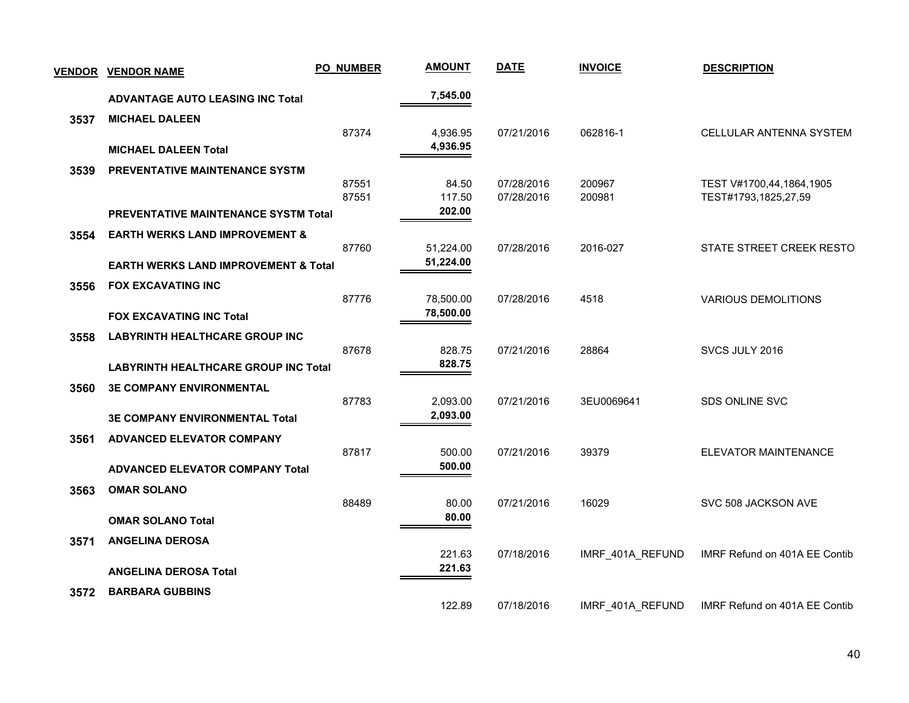| <b>VENDOR</b> | <b>VENDOR NAME</b>                              | <b>PO_NUMBER</b> | <b>AMOUNT</b>        | <b>DATE</b>              | <b>INVOICE</b>   | <b>DESCRIPTION</b>                               |
|---------------|-------------------------------------------------|------------------|----------------------|--------------------------|------------------|--------------------------------------------------|
|               | <b>ADVANTAGE AUTO LEASING INC Total</b>         |                  | 7,545.00             |                          |                  |                                                  |
| 3537          | <b>MICHAEL DALEEN</b>                           |                  |                      |                          |                  |                                                  |
|               | <b>MICHAEL DALEEN Total</b>                     | 87374            | 4,936.95<br>4,936.95 | 07/21/2016               | 062816-1         | CELLULAR ANTENNA SYSTEM                          |
| 3539          | PREVENTATIVE MAINTENANCE SYSTM                  |                  |                      |                          |                  |                                                  |
|               |                                                 | 87551<br>87551   | 84.50<br>117.50      | 07/28/2016<br>07/28/2016 | 200967<br>200981 | TEST V#1700,44,1864,1905<br>TEST#1793,1825,27,59 |
|               | <b>PREVENTATIVE MAINTENANCE SYSTM Total</b>     |                  | 202.00               |                          |                  |                                                  |
| 3554          | <b>EARTH WERKS LAND IMPROVEMENT &amp;</b>       | 87760            | 51,224.00            | 07/28/2016               | 2016-027         | STATE STREET CREEK RESTO                         |
|               | <b>EARTH WERKS LAND IMPROVEMENT &amp; Total</b> |                  | 51,224.00            |                          |                  |                                                  |
| 3556          | <b>FOX EXCAVATING INC</b>                       | 87776            | 78,500.00            | 07/28/2016               | 4518             | <b>VARIOUS DEMOLITIONS</b>                       |
|               | <b>FOX EXCAVATING INC Total</b>                 |                  | 78,500.00            |                          |                  |                                                  |
| 3558          | <b>LABYRINTH HEALTHCARE GROUP INC</b>           |                  |                      |                          |                  |                                                  |
|               |                                                 | 87678            | 828.75<br>828.75     | 07/21/2016               | 28864            | SVCS JULY 2016                                   |
|               | <b>LABYRINTH HEALTHCARE GROUP INC Total</b>     |                  |                      |                          |                  |                                                  |
| 3560          | <b>3E COMPANY ENVIRONMENTAL</b>                 | 87783            | 2,093.00             | 07/21/2016               | 3EU0069641       | <b>SDS ONLINE SVC</b>                            |
|               | <b>3E COMPANY ENVIRONMENTAL Total</b>           |                  | 2,093.00             |                          |                  |                                                  |
| 3561          | <b>ADVANCED ELEVATOR COMPANY</b>                |                  |                      |                          |                  |                                                  |
|               | <b>ADVANCED ELEVATOR COMPANY Total</b>          | 87817            | 500.00<br>500.00     | 07/21/2016               | 39379            | ELEVATOR MAINTENANCE                             |
| 3563          | <b>OMAR SOLANO</b>                              |                  |                      |                          |                  |                                                  |
|               |                                                 | 88489            | 80.00                | 07/21/2016               | 16029            | SVC 508 JACKSON AVE                              |
|               | <b>OMAR SOLANO Total</b>                        |                  | 80.00                |                          |                  |                                                  |
| 3571          | <b>ANGELINA DEROSA</b>                          |                  | 221.63               | 07/18/2016               | IMRF 401A REFUND | IMRF Refund on 401A EE Contib                    |
|               | <b>ANGELINA DEROSA Total</b>                    |                  | 221.63               |                          |                  |                                                  |
| 3572          | <b>BARBARA GUBBINS</b>                          |                  | 122.89               | 07/18/2016               | IMRF_401A_REFUND | IMRF Refund on 401A EE Contib                    |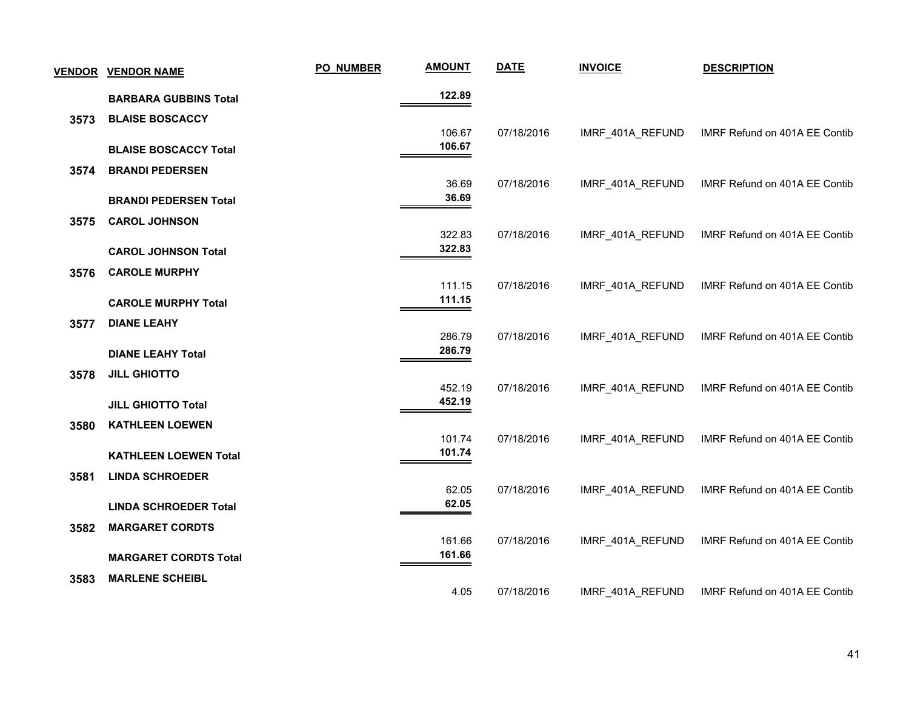|      | <b>VENDOR VENDOR NAME</b>    | PO_NUMBER | <b>AMOUNT</b>    | <b>DATE</b> | <b>INVOICE</b>   | <b>DESCRIPTION</b>            |
|------|------------------------------|-----------|------------------|-------------|------------------|-------------------------------|
|      | <b>BARBARA GUBBINS Total</b> |           | 122.89           |             |                  |                               |
| 3573 | <b>BLAISE BOSCACCY</b>       |           |                  |             |                  |                               |
|      | <b>BLAISE BOSCACCY Total</b> |           | 106.67<br>106.67 | 07/18/2016  | IMRF_401A_REFUND | IMRF Refund on 401A EE Contib |
| 3574 | <b>BRANDI PEDERSEN</b>       |           |                  |             |                  |                               |
|      |                              |           | 36.69            | 07/18/2016  | IMRF_401A_REFUND | IMRF Refund on 401A EE Contib |
|      | <b>BRANDI PEDERSEN Total</b> |           | 36.69            |             |                  |                               |
| 3575 | <b>CAROL JOHNSON</b>         |           |                  |             |                  |                               |
|      | <b>CAROL JOHNSON Total</b>   |           | 322.83<br>322.83 | 07/18/2016  | IMRF_401A_REFUND | IMRF Refund on 401A EE Contib |
| 3576 | <b>CAROLE MURPHY</b>         |           |                  |             |                  |                               |
|      |                              |           | 111.15           | 07/18/2016  | IMRF_401A_REFUND | IMRF Refund on 401A EE Contib |
|      | <b>CAROLE MURPHY Total</b>   |           | 111.15           |             |                  |                               |
| 3577 | <b>DIANE LEAHY</b>           |           |                  |             |                  |                               |
|      |                              |           | 286.79<br>286.79 | 07/18/2016  | IMRF_401A_REFUND | IMRF Refund on 401A EE Contib |
|      | <b>DIANE LEAHY Total</b>     |           |                  |             |                  |                               |
| 3578 | <b>JILL GHIOTTO</b>          |           | 452.19           | 07/18/2016  | IMRF_401A_REFUND | IMRF Refund on 401A EE Contib |
|      | <b>JILL GHIOTTO Total</b>    |           | 452.19           |             |                  |                               |
| 3580 | <b>KATHLEEN LOEWEN</b>       |           |                  |             |                  |                               |
|      |                              |           | 101.74           | 07/18/2016  | IMRF_401A_REFUND | IMRF Refund on 401A EE Contib |
|      | <b>KATHLEEN LOEWEN Total</b> |           | 101.74           |             |                  |                               |
| 3581 | <b>LINDA SCHROEDER</b>       |           |                  |             |                  |                               |
|      | <b>LINDA SCHROEDER Total</b> |           | 62.05<br>62.05   | 07/18/2016  | IMRF 401A REFUND | IMRF Refund on 401A EE Contib |
| 3582 | <b>MARGARET CORDTS</b>       |           |                  |             |                  |                               |
|      |                              |           | 161.66           | 07/18/2016  | IMRF_401A_REFUND | IMRF Refund on 401A EE Contib |
|      | <b>MARGARET CORDTS Total</b> |           | 161.66           |             |                  |                               |
| 3583 | <b>MARLENE SCHEIBL</b>       |           |                  |             |                  |                               |
|      |                              |           | 4.05             | 07/18/2016  | IMRF 401A REFUND | IMRF Refund on 401A EE Contib |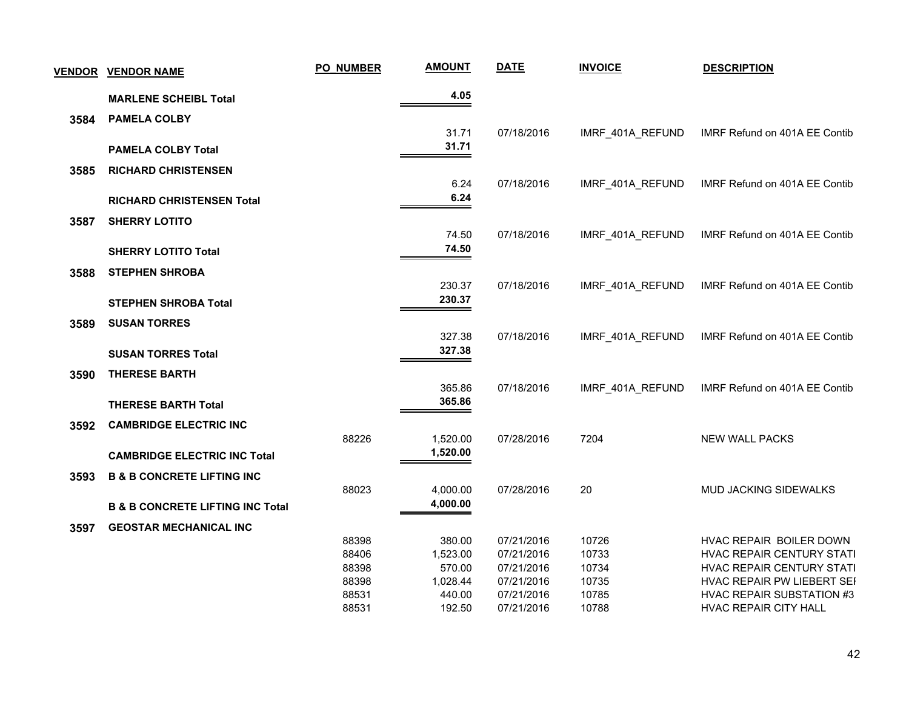| <u>VENDOR</u> | <b>VENDOR NAME</b>                          | <b>PO_NUMBER</b> | <b>AMOUNT</b>      | <b>DATE</b>              | <b>INVOICE</b>   | <b>DESCRIPTION</b>                                   |
|---------------|---------------------------------------------|------------------|--------------------|--------------------------|------------------|------------------------------------------------------|
|               | <b>MARLENE SCHEIBL Total</b>                |                  | 4.05               |                          |                  |                                                      |
| 3584          | <b>PAMELA COLBY</b>                         |                  |                    |                          |                  |                                                      |
|               |                                             |                  | 31.71              | 07/18/2016               | IMRF_401A_REFUND | IMRF Refund on 401A EE Contib                        |
|               | <b>PAMELA COLBY Total</b>                   |                  | 31.71              |                          |                  |                                                      |
|               |                                             |                  |                    |                          |                  |                                                      |
| 3585          | <b>RICHARD CHRISTENSEN</b>                  |                  |                    |                          |                  |                                                      |
|               |                                             |                  | 6.24<br>6.24       | 07/18/2016               | IMRF_401A_REFUND | IMRF Refund on 401A EE Contib                        |
|               | <b>RICHARD CHRISTENSEN Total</b>            |                  |                    |                          |                  |                                                      |
| 3587          | <b>SHERRY LOTITO</b>                        |                  |                    |                          |                  |                                                      |
|               |                                             |                  | 74.50              | 07/18/2016               | IMRF_401A_REFUND | IMRF Refund on 401A EE Contib                        |
|               | <b>SHERRY LOTITO Total</b>                  |                  | 74.50              |                          |                  |                                                      |
| 3588          | <b>STEPHEN SHROBA</b>                       |                  |                    |                          |                  |                                                      |
|               |                                             |                  | 230.37             | 07/18/2016               | IMRF_401A_REFUND | IMRF Refund on 401A EE Contib                        |
|               | <b>STEPHEN SHROBA Total</b>                 |                  | 230.37             |                          |                  |                                                      |
|               |                                             |                  |                    |                          |                  |                                                      |
| 3589          | <b>SUSAN TORRES</b>                         |                  | 327.38             | 07/18/2016               | IMRF_401A_REFUND | IMRF Refund on 401A EE Contib                        |
|               | <b>SUSAN TORRES Total</b>                   |                  | 327.38             |                          |                  |                                                      |
|               |                                             |                  |                    |                          |                  |                                                      |
| 3590          | <b>THERESE BARTH</b>                        |                  |                    |                          |                  |                                                      |
|               |                                             |                  | 365.86             | 07/18/2016               | IMRF_401A_REFUND | IMRF Refund on 401A EE Contib                        |
|               | <b>THERESE BARTH Total</b>                  |                  | 365.86             |                          |                  |                                                      |
| 3592          | <b>CAMBRIDGE ELECTRIC INC</b>               |                  |                    |                          |                  |                                                      |
|               |                                             | 88226            | 1,520.00           | 07/28/2016               | 7204             | <b>NEW WALL PACKS</b>                                |
|               | <b>CAMBRIDGE ELECTRIC INC Total</b>         |                  | 1,520.00           |                          |                  |                                                      |
| 3593          | <b>B &amp; B CONCRETE LIFTING INC</b>       |                  |                    |                          |                  |                                                      |
|               |                                             | 88023            | 4,000.00           | 07/28/2016               | 20               | <b>MUD JACKING SIDEWALKS</b>                         |
|               | <b>B &amp; B CONCRETE LIFTING INC Total</b> |                  | 4,000.00           |                          |                  |                                                      |
|               |                                             |                  |                    |                          |                  |                                                      |
| 3597          | <b>GEOSTAR MECHANICAL INC</b>               |                  |                    |                          |                  |                                                      |
|               |                                             | 88398<br>88406   | 380.00<br>1,523.00 | 07/21/2016<br>07/21/2016 | 10726<br>10733   | HVAC REPAIR BOILER DOWN<br>HVAC REPAIR CENTURY STATI |
|               |                                             | 88398            | 570.00             | 07/21/2016               | 10734            | HVAC REPAIR CENTURY STATI                            |
|               |                                             | 88398            | 1,028.44           | 07/21/2016               | 10735            | HVAC REPAIR PW LIEBERT SEI                           |
|               |                                             | 88531            | 440.00             | 07/21/2016               | 10785            | <b>HVAC REPAIR SUBSTATION #3</b>                     |
|               |                                             | 88531            | 192.50             | 07/21/2016               | 10788            | <b>HVAC REPAIR CITY HALL</b>                         |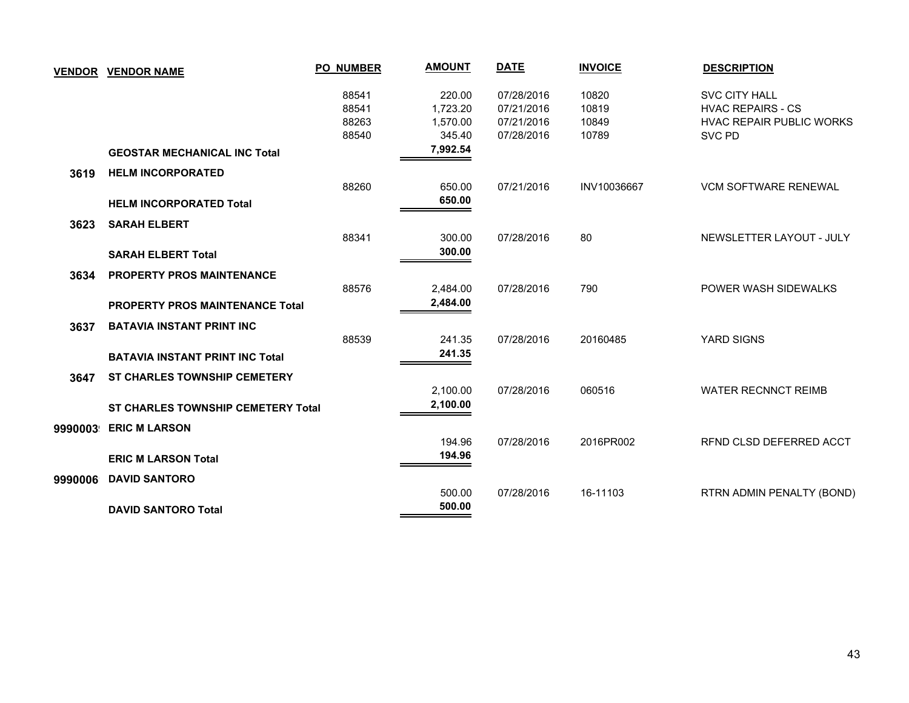| <b>VENDOR</b> | <b>VENDOR NAME</b>                                                         | <b>PO_NUMBER</b>                 | <b>AMOUNT</b>                            | <b>DATE</b>                                          | <b>INVOICE</b>                   | <b>DESCRIPTION</b>                                                                            |
|---------------|----------------------------------------------------------------------------|----------------------------------|------------------------------------------|------------------------------------------------------|----------------------------------|-----------------------------------------------------------------------------------------------|
|               |                                                                            | 88541<br>88541<br>88263<br>88540 | 220.00<br>1,723.20<br>1,570.00<br>345.40 | 07/28/2016<br>07/21/2016<br>07/21/2016<br>07/28/2016 | 10820<br>10819<br>10849<br>10789 | <b>SVC CITY HALL</b><br><b>HVAC REPAIRS - CS</b><br><b>HVAC REPAIR PUBLIC WORKS</b><br>SVC PD |
|               | <b>GEOSTAR MECHANICAL INC Total</b>                                        |                                  | 7,992.54                                 |                                                      |                                  |                                                                                               |
| 3619          | <b>HELM INCORPORATED</b><br><b>HELM INCORPORATED Total</b>                 | 88260                            | 650.00<br>650.00                         | 07/21/2016                                           | INV10036667                      | <b>VCM SOFTWARE RENEWAL</b>                                                                   |
| 3623          | <b>SARAH ELBERT</b><br><b>SARAH ELBERT Total</b>                           | 88341                            | 300.00<br>300.00                         | 07/28/2016                                           | 80                               | NEWSLETTER LAYOUT - JULY                                                                      |
| 3634          | <b>PROPERTY PROS MAINTENANCE</b><br><b>PROPERTY PROS MAINTENANCE Total</b> | 88576                            | 2,484.00<br>2,484.00                     | 07/28/2016                                           | 790                              | POWER WASH SIDEWALKS                                                                          |
| 3637          | <b>BATAVIA INSTANT PRINT INC</b><br><b>BATAVIA INSTANT PRINT INC Total</b> | 88539                            | 241.35<br>241.35                         | 07/28/2016                                           | 20160485                         | YARD SIGNS                                                                                    |
| 3647          | <b>ST CHARLES TOWNSHIP CEMETERY</b>                                        |                                  | 2,100.00<br>2,100.00                     | 07/28/2016                                           | 060516                           | <b>WATER RECNNCT REIMB</b>                                                                    |
| 9990003       | <b>ST CHARLES TOWNSHIP CEMETERY Total</b><br><b>ERIC M LARSON</b>          |                                  | 194.96                                   | 07/28/2016                                           | 2016PR002                        | RFND CLSD DEFERRED ACCT                                                                       |
| 9990006       | <b>ERIC M LARSON Total</b><br><b>DAVID SANTORO</b>                         |                                  | 194.96                                   |                                                      |                                  |                                                                                               |
|               | <b>DAVID SANTORO Total</b>                                                 |                                  | 500.00<br>500.00                         | 07/28/2016                                           | 16-11103                         | RTRN ADMIN PENALTY (BOND)                                                                     |